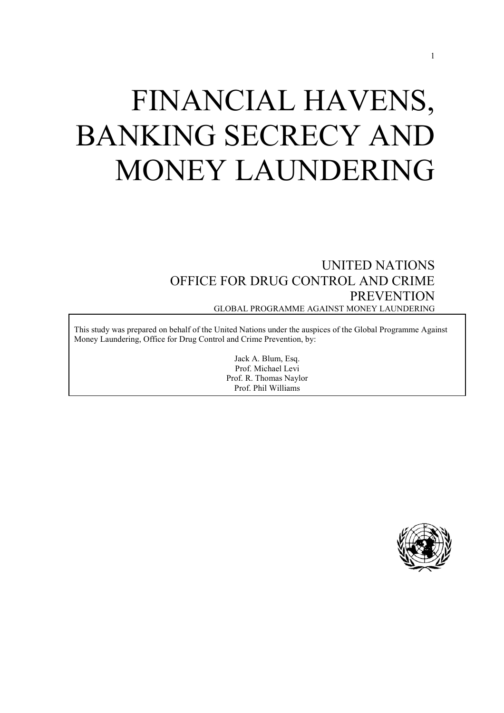# FINANCIAL HAVENS, BANKING SECRECY AND MONEY LAUNDERING

# UNITED NATIONS OFFICE FOR DRUG CONTROL AND CRIME **PREVENTION** GLOBAL PROGRAMME AGAINST MONEY LAUNDERING

This study was prepared on behalf of the United Nations under the auspices of the Global Programme Against Money Laundering, Office for Drug Control and Crime Prevention, by:

> Jack A. Blum, Esq. Prof. Michael Levi Prof. R. Thomas Naylor Prof. Phil Williams

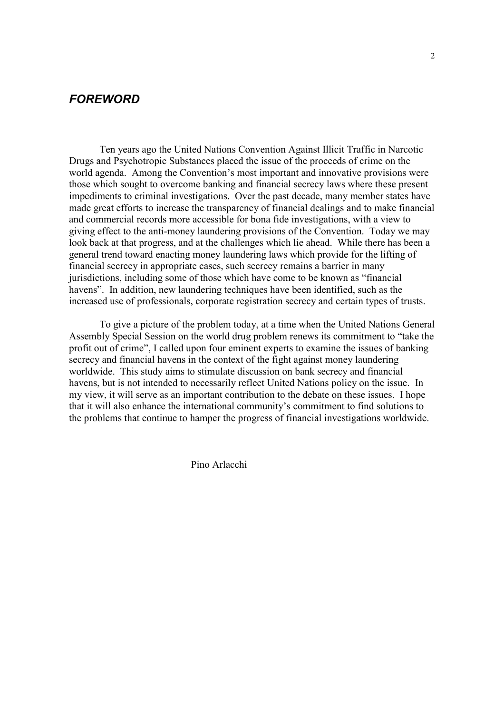## *FOREWORD*

Ten years ago the United Nations Convention Against Illicit Traffic in Narcotic Drugs and Psychotropic Substances placed the issue of the proceeds of crime on the world agenda. Among the Convention's most important and innovative provisions were those which sought to overcome banking and financial secrecy laws where these present impediments to criminal investigations. Over the past decade, many member states have made great efforts to increase the transparency of financial dealings and to make financial and commercial records more accessible for bona fide investigations, with a view to giving effect to the anti-money laundering provisions of the Convention. Today we may look back at that progress, and at the challenges which lie ahead. While there has been a general trend toward enacting money laundering laws which provide for the lifting of financial secrecy in appropriate cases, such secrecy remains a barrier in many jurisdictions, including some of those which have come to be known as "financial havens". In addition, new laundering techniques have been identified, such as the increased use of professionals, corporate registration secrecy and certain types of trusts.

To give a picture of the problem today, at a time when the United Nations General Assembly Special Session on the world drug problem renews its commitment to "take the profit out of crime", I called upon four eminent experts to examine the issues of banking secrecy and financial havens in the context of the fight against money laundering worldwide. This study aims to stimulate discussion on bank secrecy and financial havens, but is not intended to necessarily reflect United Nations policy on the issue. In my view, it will serve as an important contribution to the debate on these issues. I hope that it will also enhance the international community's commitment to find solutions to the problems that continue to hamper the progress of financial investigations worldwide.

Pino Arlacchi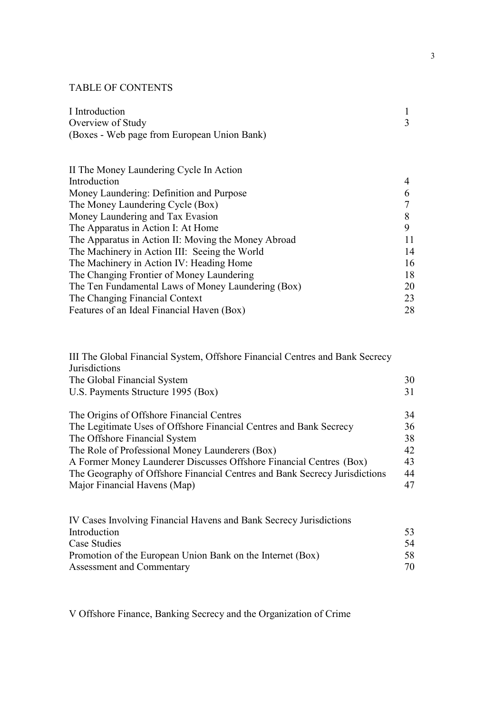## TABLE OF CONTENTS

| I Introduction                              |  |
|---------------------------------------------|--|
| Overview of Study                           |  |
| (Boxes - Web page from European Union Bank) |  |

| II The Money Laundering Cycle In Action             |    |
|-----------------------------------------------------|----|
| Introduction                                        | 4  |
| Money Laundering: Definition and Purpose            | 6  |
| The Money Laundering Cycle (Box)                    |    |
| Money Laundering and Tax Evasion                    | 8  |
| The Apparatus in Action I: At Home                  | 9  |
| The Apparatus in Action II: Moving the Money Abroad | 11 |
| The Machinery in Action III: Seeing the World       | 14 |
| The Machinery in Action IV: Heading Home            | 16 |
| The Changing Frontier of Money Laundering           | 18 |
| The Ten Fundamental Laws of Money Laundering (Box)  | 20 |
| The Changing Financial Context                      | 23 |
| Features of an Ideal Financial Haven (Box)          | 28 |

| III The Global Financial System, Offshore Financial Centres and Bank Secrecy |    |
|------------------------------------------------------------------------------|----|
| <b>Jurisdictions</b>                                                         |    |
| The Global Financial System                                                  | 30 |
| U.S. Payments Structure 1995 (Box)                                           | 31 |
| The Origins of Offshore Financial Centres                                    | 34 |
| The Legitimate Uses of Offshore Financial Centres and Bank Secrecy           | 36 |
| The Offshore Financial System                                                | 38 |
| The Role of Professional Money Launderers (Box)                              | 42 |
| A Former Money Launderer Discusses Offshore Financial Centres (Box)          | 43 |
| The Geography of Offshore Financial Centres and Bank Secrecy Jurisdictions   | 44 |
| Major Financial Havens (Map)                                                 | 47 |
|                                                                              |    |

| IV Cases Involving Financial Havens and Bank Secrecy Jurisdictions |    |
|--------------------------------------------------------------------|----|
| Introduction                                                       | 53 |
| Case Studies                                                       | 54 |
| Promotion of the European Union Bank on the Internet (Box)         | 58 |
| Assessment and Commentary                                          | 70 |

V Offshore Finance, Banking Secrecy and the Organization of Crime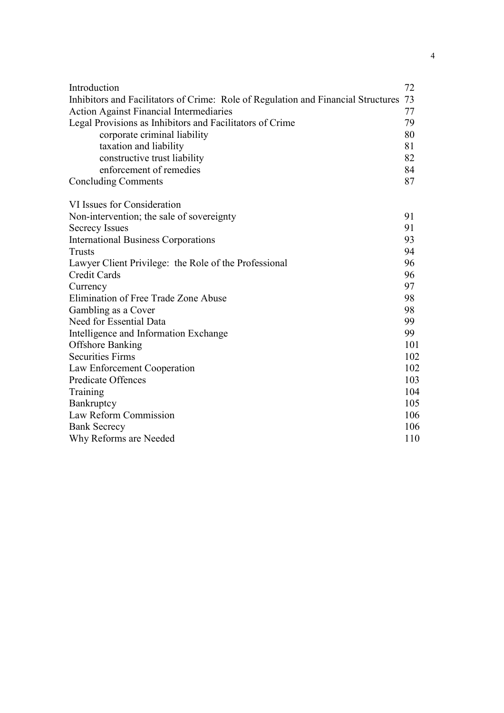| Introduction                                                                      | 72  |
|-----------------------------------------------------------------------------------|-----|
| Inhibitors and Facilitators of Crime: Role of Regulation and Financial Structures | 73  |
| <b>Action Against Financial Intermediaries</b>                                    | 77  |
| Legal Provisions as Inhibitors and Facilitators of Crime                          | 79  |
| corporate criminal liability                                                      | 80  |
| taxation and liability                                                            | 81  |
| constructive trust liability                                                      | 82  |
| enforcement of remedies                                                           | 84  |
| <b>Concluding Comments</b>                                                        | 87  |
| VI Issues for Consideration                                                       |     |
| Non-intervention; the sale of sovereignty                                         | 91  |
| <b>Secrecy Issues</b>                                                             | 91  |
| <b>International Business Corporations</b>                                        | 93  |
| <b>Trusts</b>                                                                     | 94  |
| Lawyer Client Privilege: the Role of the Professional                             | 96  |
| Credit Cards                                                                      | 96  |
| Currency                                                                          | 97  |
| Elimination of Free Trade Zone Abuse                                              | 98  |
| Gambling as a Cover                                                               | 98  |
| Need for Essential Data                                                           | 99  |
| Intelligence and Information Exchange                                             | 99  |
| <b>Offshore Banking</b>                                                           | 101 |
| <b>Securities Firms</b>                                                           | 102 |
| Law Enforcement Cooperation                                                       | 102 |
| <b>Predicate Offences</b>                                                         | 103 |
| Training                                                                          | 104 |
| Bankruptcy                                                                        | 105 |
| Law Reform Commission                                                             | 106 |
| <b>Bank Secrecy</b>                                                               | 106 |
| Why Reforms are Needed                                                            | 110 |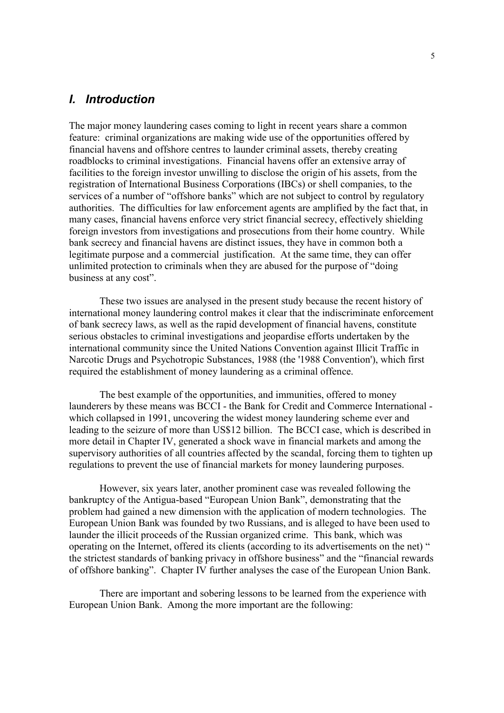## *I. Introduction*

The major money laundering cases coming to light in recent years share a common feature: criminal organizations are making wide use of the opportunities offered by financial havens and offshore centres to launder criminal assets, thereby creating roadblocks to criminal investigations. Financial havens offer an extensive array of facilities to the foreign investor unwilling to disclose the origin of his assets, from the registration of International Business Corporations (IBCs) or shell companies, to the services of a number of "offshore banks" which are not subject to control by regulatory authorities. The difficulties for law enforcement agents are amplified by the fact that, in many cases, financial havens enforce very strict financial secrecy, effectively shielding foreign investors from investigations and prosecutions from their home country. While bank secrecy and financial havens are distinct issues, they have in common both a legitimate purpose and a commercial justification. At the same time, they can offer unlimited protection to criminals when they are abused for the purpose of "doing business at any cost".

These two issues are analysed in the present study because the recent history of international money laundering control makes it clear that the indiscriminate enforcement of bank secrecy laws, as well as the rapid development of financial havens, constitute serious obstacles to criminal investigations and jeopardise efforts undertaken by the international community since the United Nations Convention against Illicit Traffic in Narcotic Drugs and Psychotropic Substances, 1988 (the '1988 Convention'), which first required the establishment of money laundering as a criminal offence.

The best example of the opportunities, and immunities, offered to money launderers by these means was BCCI - the Bank for Credit and Commerce International which collapsed in 1991, uncovering the widest money laundering scheme ever and leading to the seizure of more than US\$12 billion. The BCCI case, which is described in more detail in Chapter IV, generated a shock wave in financial markets and among the supervisory authorities of all countries affected by the scandal, forcing them to tighten up regulations to prevent the use of financial markets for money laundering purposes.

However, six years later, another prominent case was revealed following the bankruptcy of the Antigua-based "European Union Bank", demonstrating that the problem had gained a new dimension with the application of modern technologies. The European Union Bank was founded by two Russians, and is alleged to have been used to launder the illicit proceeds of the Russian organized crime. This bank, which was operating on the Internet, offered its clients (according to its advertisements on the net) " the strictest standards of banking privacy in offshore business" and the "financial rewards of offshore banking". Chapter IV further analyses the case of the European Union Bank.

There are important and sobering lessons to be learned from the experience with European Union Bank. Among the more important are the following: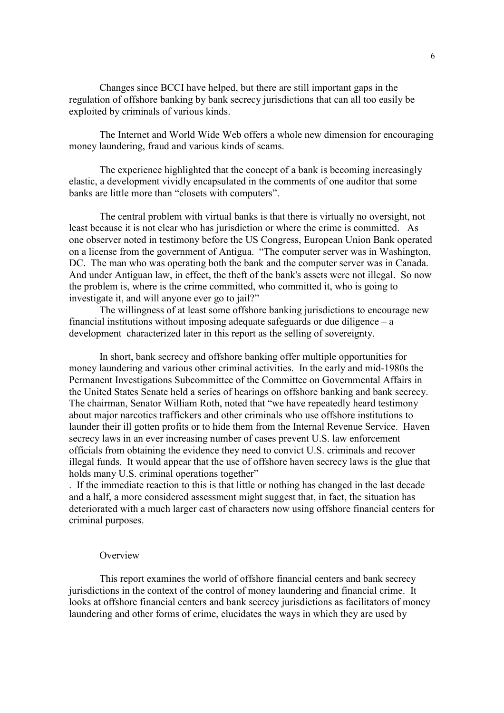Changes since BCCI have helped, but there are still important gaps in the regulation of offshore banking by bank secrecy jurisdictions that can all too easily be exploited by criminals of various kinds.

 The Internet and World Wide Web offers a whole new dimension for encouraging money laundering, fraud and various kinds of scams.

 The experience highlighted that the concept of a bank is becoming increasingly elastic, a development vividly encapsulated in the comments of one auditor that some banks are little more than "closets with computers".

 The central problem with virtual banks is that there is virtually no oversight, not least because it is not clear who has jurisdiction or where the crime is committed. As one observer noted in testimony before the US Congress, European Union Bank operated on a license from the government of Antigua. "The computer server was in Washington, DC. The man who was operating both the bank and the computer server was in Canada. And under Antiguan law, in effect, the theft of the bank's assets were not illegal. So now the problem is, where is the crime committed, who committed it, who is going to investigate it, and will anyone ever go to jail?"

 The willingness of at least some offshore banking jurisdictions to encourage new financial institutions without imposing adequate safeguards or due diligence  $-$  a development characterized later in this report as the selling of sovereignty.

In short, bank secrecy and offshore banking offer multiple opportunities for money laundering and various other criminal activities. In the early and mid-1980s the Permanent Investigations Subcommittee of the Committee on Governmental Affairs in the United States Senate held a series of hearings on offshore banking and bank secrecy. The chairman, Senator William Roth, noted that "we have repeatedly heard testimony about major narcotics traffickers and other criminals who use offshore institutions to launder their ill gotten profits or to hide them from the Internal Revenue Service. Haven secrecy laws in an ever increasing number of cases prevent U.S. law enforcement officials from obtaining the evidence they need to convict U.S. criminals and recover illegal funds. It would appear that the use of offshore haven secrecy laws is the glue that holds many U.S. criminal operations together"

. If the immediate reaction to this is that little or nothing has changed in the last decade and a half, a more considered assessment might suggest that, in fact, the situation has deteriorated with a much larger cast of characters now using offshore financial centers for criminal purposes.

## **Overview**

This report examines the world of offshore financial centers and bank secrecy jurisdictions in the context of the control of money laundering and financial crime. It looks at offshore financial centers and bank secrecy jurisdictions as facilitators of money laundering and other forms of crime, elucidates the ways in which they are used by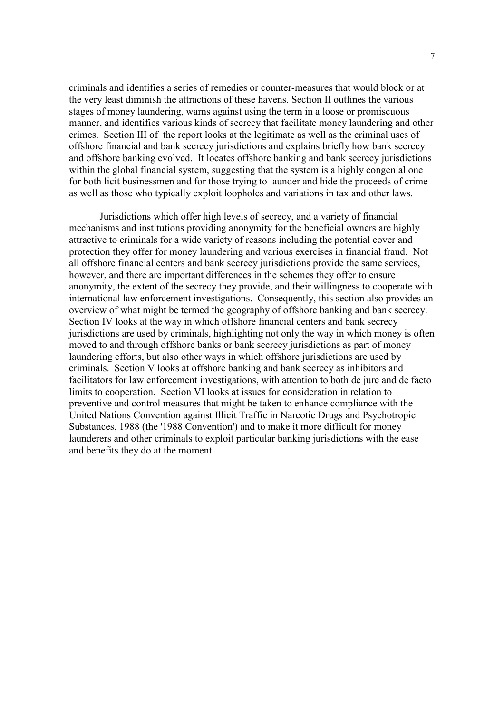criminals and identifies a series of remedies or counter-measures that would block or at the very least diminish the attractions of these havens. Section II outlines the various stages of money laundering, warns against using the term in a loose or promiscuous manner, and identifies various kinds of secrecy that facilitate money laundering and other crimes. Section III of the report looks at the legitimate as well as the criminal uses of offshore financial and bank secrecy jurisdictions and explains briefly how bank secrecy and offshore banking evolved. It locates offshore banking and bank secrecy jurisdictions within the global financial system, suggesting that the system is a highly congenial one for both licit businessmen and for those trying to launder and hide the proceeds of crime as well as those who typically exploit loopholes and variations in tax and other laws.

Jurisdictions which offer high levels of secrecy, and a variety of financial mechanisms and institutions providing anonymity for the beneficial owners are highly attractive to criminals for a wide variety of reasons including the potential cover and protection they offer for money laundering and various exercises in financial fraud. Not all offshore financial centers and bank secrecy jurisdictions provide the same services, however, and there are important differences in the schemes they offer to ensure anonymity, the extent of the secrecy they provide, and their willingness to cooperate with international law enforcement investigations. Consequently, this section also provides an overview of what might be termed the geography of offshore banking and bank secrecy. Section IV looks at the way in which offshore financial centers and bank secrecy jurisdictions are used by criminals, highlighting not only the way in which money is often moved to and through offshore banks or bank secrecy jurisdictions as part of money laundering efforts, but also other ways in which offshore jurisdictions are used by criminals. Section V looks at offshore banking and bank secrecy as inhibitors and facilitators for law enforcement investigations, with attention to both de jure and de facto limits to cooperation. Section VI looks at issues for consideration in relation to preventive and control measures that might be taken to enhance compliance with the United Nations Convention against Illicit Traffic in Narcotic Drugs and Psychotropic Substances, 1988 (the '1988 Convention') and to make it more difficult for money launderers and other criminals to exploit particular banking jurisdictions with the ease and benefits they do at the moment.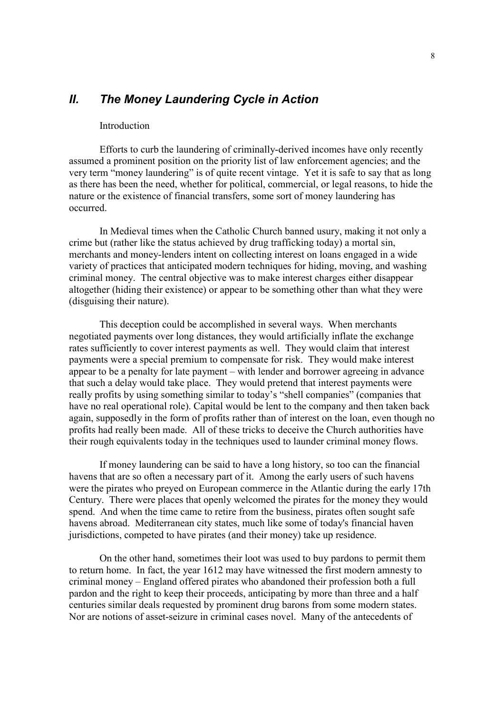# *II. The Money Laundering Cycle in Action*

## Introduction

Efforts to curb the laundering of criminally-derived incomes have only recently assumed a prominent position on the priority list of law enforcement agencies; and the very term "money laundering" is of quite recent vintage. Yet it is safe to say that as long as there has been the need, whether for political, commercial, or legal reasons, to hide the nature or the existence of financial transfers, some sort of money laundering has occurred.

In Medieval times when the Catholic Church banned usury, making it not only a crime but (rather like the status achieved by drug trafficking today) a mortal sin, merchants and money-lenders intent on collecting interest on loans engaged in a wide variety of practices that anticipated modern techniques for hiding, moving, and washing criminal money. The central objective was to make interest charges either disappear altogether (hiding their existence) or appear to be something other than what they were (disguising their nature).

This deception could be accomplished in several ways. When merchants negotiated payments over long distances, they would artificially inflate the exchange rates sufficiently to cover interest payments as well. They would claim that interest payments were a special premium to compensate for risk. They would make interest appear to be a penalty for late payment – with lender and borrower agreeing in advance that such a delay would take place. They would pretend that interest payments were really profits by using something similar to today's "shell companies" (companies that have no real operational role). Capital would be lent to the company and then taken back again, supposedly in the form of profits rather than of interest on the loan, even though no profits had really been made. All of these tricks to deceive the Church authorities have their rough equivalents today in the techniques used to launder criminal money flows.

If money laundering can be said to have a long history, so too can the financial havens that are so often a necessary part of it. Among the early users of such havens were the pirates who preyed on European commerce in the Atlantic during the early 17th Century. There were places that openly welcomed the pirates for the money they would spend. And when the time came to retire from the business, pirates often sought safe havens abroad. Mediterranean city states, much like some of today's financial haven jurisdictions, competed to have pirates (and their money) take up residence.

On the other hand, sometimes their loot was used to buy pardons to permit them to return home. In fact, the year 1612 may have witnessed the first modern amnesty to criminal money – England offered pirates who abandoned their profession both a full pardon and the right to keep their proceeds, anticipating by more than three and a half centuries similar deals requested by prominent drug barons from some modern states. Nor are notions of asset-seizure in criminal cases novel. Many of the antecedents of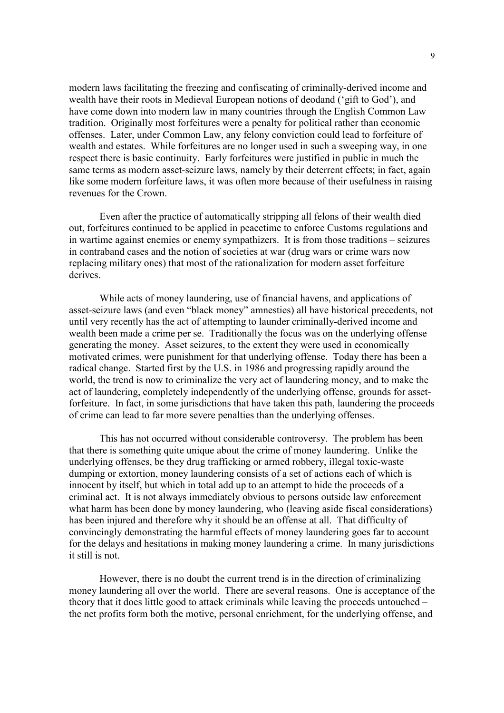modern laws facilitating the freezing and confiscating of criminally-derived income and wealth have their roots in Medieval European notions of deodand ('gift to God'), and have come down into modern law in many countries through the English Common Law tradition. Originally most forfeitures were a penalty for political rather than economic offenses. Later, under Common Law, any felony conviction could lead to forfeiture of wealth and estates. While forfeitures are no longer used in such a sweeping way, in one respect there is basic continuity. Early forfeitures were justified in public in much the same terms as modern asset-seizure laws, namely by their deterrent effects; in fact, again like some modern forfeiture laws, it was often more because of their usefulness in raising revenues for the Crown.

Even after the practice of automatically stripping all felons of their wealth died out, forfeitures continued to be applied in peacetime to enforce Customs regulations and in wartime against enemies or enemy sympathizers. It is from those traditions – seizures in contraband cases and the notion of societies at war (drug wars or crime wars now replacing military ones) that most of the rationalization for modern asset forfeiture derives.

While acts of money laundering, use of financial havens, and applications of asset-seizure laws (and even "black money" amnesties) all have historical precedents, not until very recently has the act of attempting to launder criminally-derived income and wealth been made a crime per se. Traditionally the focus was on the underlying offense generating the money. Asset seizures, to the extent they were used in economically motivated crimes, were punishment for that underlying offense. Today there has been a radical change. Started first by the U.S. in 1986 and progressing rapidly around the world, the trend is now to criminalize the very act of laundering money, and to make the act of laundering, completely independently of the underlying offense, grounds for assetforfeiture. In fact, in some jurisdictions that have taken this path, laundering the proceeds of crime can lead to far more severe penalties than the underlying offenses.

This has not occurred without considerable controversy. The problem has been that there is something quite unique about the crime of money laundering. Unlike the underlying offenses, be they drug trafficking or armed robbery, illegal toxic-waste dumping or extortion, money laundering consists of a set of actions each of which is innocent by itself, but which in total add up to an attempt to hide the proceeds of a criminal act. It is not always immediately obvious to persons outside law enforcement what harm has been done by money laundering, who (leaving aside fiscal considerations) has been injured and therefore why it should be an offense at all. That difficulty of convincingly demonstrating the harmful effects of money laundering goes far to account for the delays and hesitations in making money laundering a crime. In many jurisdictions it still is not.

However, there is no doubt the current trend is in the direction of criminalizing money laundering all over the world. There are several reasons. One is acceptance of the theory that it does little good to attack criminals while leaving the proceeds untouched – the net profits form both the motive, personal enrichment, for the underlying offense, and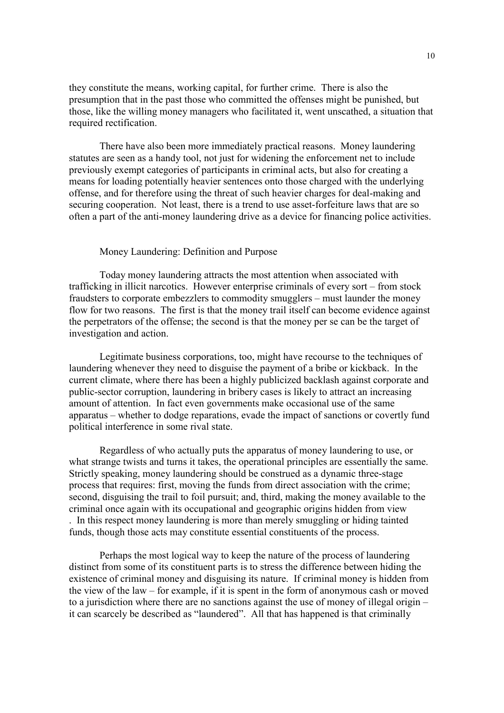they constitute the means, working capital, for further crime. There is also the presumption that in the past those who committed the offenses might be punished, but those, like the willing money managers who facilitated it, went unscathed, a situation that required rectification.

There have also been more immediately practical reasons. Money laundering statutes are seen as a handy tool, not just for widening the enforcement net to include previously exempt categories of participants in criminal acts, but also for creating a means for loading potentially heavier sentences onto those charged with the underlying offense, and for therefore using the threat of such heavier charges for deal-making and securing cooperation. Not least, there is a trend to use asset-forfeiture laws that are so often a part of the anti-money laundering drive as a device for financing police activities.

#### Money Laundering: Definition and Purpose

Today money laundering attracts the most attention when associated with trafficking in illicit narcotics. However enterprise criminals of every sort – from stock fraudsters to corporate embezzlers to commodity smugglers – must launder the money flow for two reasons. The first is that the money trail itself can become evidence against the perpetrators of the offense; the second is that the money per se can be the target of investigation and action.

Legitimate business corporations, too, might have recourse to the techniques of laundering whenever they need to disguise the payment of a bribe or kickback. In the current climate, where there has been a highly publicized backlash against corporate and public-sector corruption, laundering in bribery cases is likely to attract an increasing amount of attention. In fact even governments make occasional use of the same apparatus – whether to dodge reparations, evade the impact of sanctions or covertly fund political interference in some rival state.

Regardless of who actually puts the apparatus of money laundering to use, or what strange twists and turns it takes, the operational principles are essentially the same. Strictly speaking, money laundering should be construed as a dynamic three-stage process that requires: first, moving the funds from direct association with the crime; second, disguising the trail to foil pursuit; and, third, making the money available to the criminal once again with its occupational and geographic origins hidden from view . In this respect money laundering is more than merely smuggling or hiding tainted funds, though those acts may constitute essential constituents of the process.

Perhaps the most logical way to keep the nature of the process of laundering distinct from some of its constituent parts is to stress the difference between hiding the existence of criminal money and disguising its nature. If criminal money is hidden from the view of the law – for example, if it is spent in the form of anonymous cash or moved to a jurisdiction where there are no sanctions against the use of money of illegal origin – it can scarcely be described as "laundered". All that has happened is that criminally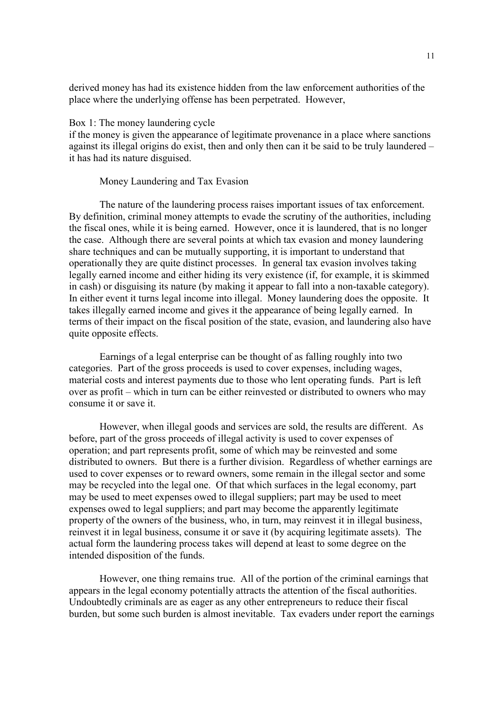derived money has had its existence hidden from the law enforcement authorities of the place where the underlying offense has been perpetrated. However,

#### Box 1: The money laundering cycle

if the money is given the appearance of legitimate provenance in a place where sanctions against its illegal origins do exist, then and only then can it be said to be truly laundered – it has had its nature disguised.

## Money Laundering and Tax Evasion

The nature of the laundering process raises important issues of tax enforcement. By definition, criminal money attempts to evade the scrutiny of the authorities, including the fiscal ones, while it is being earned. However, once it is laundered, that is no longer the case. Although there are several points at which tax evasion and money laundering share techniques and can be mutually supporting, it is important to understand that operationally they are quite distinct processes. In general tax evasion involves taking legally earned income and either hiding its very existence (if, for example, it is skimmed in cash) or disguising its nature (by making it appear to fall into a non-taxable category). In either event it turns legal income into illegal. Money laundering does the opposite. It takes illegally earned income and gives it the appearance of being legally earned. In terms of their impact on the fiscal position of the state, evasion, and laundering also have quite opposite effects.

Earnings of a legal enterprise can be thought of as falling roughly into two categories. Part of the gross proceeds is used to cover expenses, including wages, material costs and interest payments due to those who lent operating funds. Part is left over as profit – which in turn can be either reinvested or distributed to owners who may consume it or save it.

However, when illegal goods and services are sold, the results are different. As before, part of the gross proceeds of illegal activity is used to cover expenses of operation; and part represents profit, some of which may be reinvested and some distributed to owners. But there is a further division. Regardless of whether earnings are used to cover expenses or to reward owners, some remain in the illegal sector and some may be recycled into the legal one. Of that which surfaces in the legal economy, part may be used to meet expenses owed to illegal suppliers; part may be used to meet expenses owed to legal suppliers; and part may become the apparently legitimate property of the owners of the business, who, in turn, may reinvest it in illegal business, reinvest it in legal business, consume it or save it (by acquiring legitimate assets). The actual form the laundering process takes will depend at least to some degree on the intended disposition of the funds.

However, one thing remains true. All of the portion of the criminal earnings that appears in the legal economy potentially attracts the attention of the fiscal authorities. Undoubtedly criminals are as eager as any other entrepreneurs to reduce their fiscal burden, but some such burden is almost inevitable. Tax evaders under report the earnings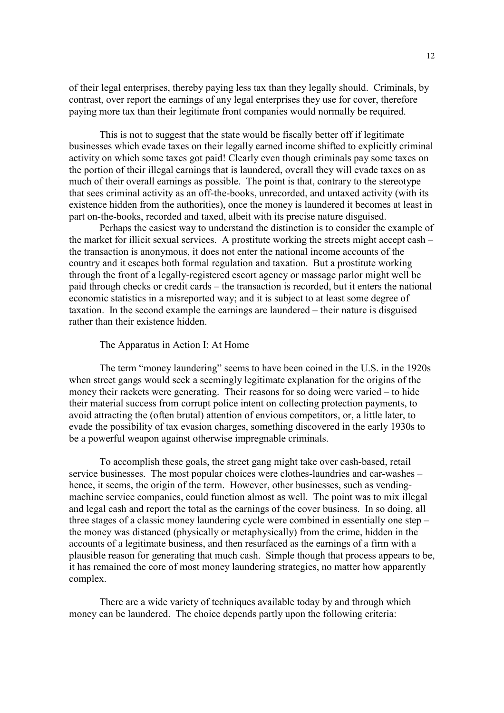of their legal enterprises, thereby paying less tax than they legally should. Criminals, by contrast, over report the earnings of any legal enterprises they use for cover, therefore paying more tax than their legitimate front companies would normally be required.

This is not to suggest that the state would be fiscally better off if legitimate businesses which evade taxes on their legally earned income shifted to explicitly criminal activity on which some taxes got paid! Clearly even though criminals pay some taxes on the portion of their illegal earnings that is laundered, overall they will evade taxes on as much of their overall earnings as possible. The point is that, contrary to the stereotype that sees criminal activity as an off-the-books, unrecorded, and untaxed activity (with its existence hidden from the authorities), once the money is laundered it becomes at least in part on-the-books, recorded and taxed, albeit with its precise nature disguised.

Perhaps the easiest way to understand the distinction is to consider the example of the market for illicit sexual services. A prostitute working the streets might accept cash – the transaction is anonymous, it does not enter the national income accounts of the country and it escapes both formal regulation and taxation. But a prostitute working through the front of a legally-registered escort agency or massage parlor might well be paid through checks or credit cards – the transaction is recorded, but it enters the national economic statistics in a misreported way; and it is subject to at least some degree of taxation. In the second example the earnings are laundered – their nature is disguised rather than their existence hidden.

#### The Apparatus in Action I: At Home

The term "money laundering" seems to have been coined in the U.S. in the 1920s when street gangs would seek a seemingly legitimate explanation for the origins of the money their rackets were generating. Their reasons for so doing were varied – to hide their material success from corrupt police intent on collecting protection payments, to avoid attracting the (often brutal) attention of envious competitors, or, a little later, to evade the possibility of tax evasion charges, something discovered in the early 1930s to be a powerful weapon against otherwise impregnable criminals.

To accomplish these goals, the street gang might take over cash-based, retail service businesses. The most popular choices were clothes-laundries and car-washes – hence, it seems, the origin of the term. However, other businesses, such as vendingmachine service companies, could function almost as well. The point was to mix illegal and legal cash and report the total as the earnings of the cover business. In so doing, all three stages of a classic money laundering cycle were combined in essentially one step – the money was distanced (physically or metaphysically) from the crime, hidden in the accounts of a legitimate business, and then resurfaced as the earnings of a firm with a plausible reason for generating that much cash. Simple though that process appears to be, it has remained the core of most money laundering strategies, no matter how apparently complex.

There are a wide variety of techniques available today by and through which money can be laundered. The choice depends partly upon the following criteria: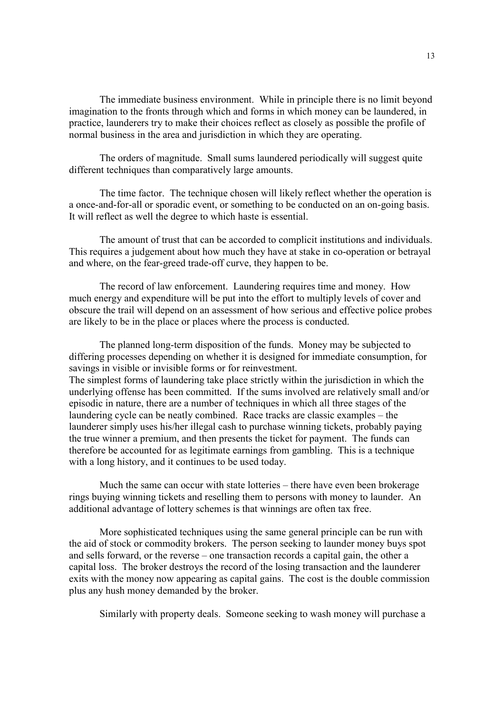The immediate business environment. While in principle there is no limit beyond imagination to the fronts through which and forms in which money can be laundered, in practice, launderers try to make their choices reflect as closely as possible the profile of normal business in the area and jurisdiction in which they are operating.

 The orders of magnitude. Small sums laundered periodically will suggest quite different techniques than comparatively large amounts.

 The time factor. The technique chosen will likely reflect whether the operation is a once-and-for-all or sporadic event, or something to be conducted on an on-going basis. It will reflect as well the degree to which haste is essential.

 The amount of trust that can be accorded to complicit institutions and individuals. This requires a judgement about how much they have at stake in co-operation or betrayal and where, on the fear-greed trade-off curve, they happen to be.

 The record of law enforcement. Laundering requires time and money. How much energy and expenditure will be put into the effort to multiply levels of cover and obscure the trail will depend on an assessment of how serious and effective police probes are likely to be in the place or places where the process is conducted.

 The planned long-term disposition of the funds. Money may be subjected to differing processes depending on whether it is designed for immediate consumption, for savings in visible or invisible forms or for reinvestment. The simplest forms of laundering take place strictly within the jurisdiction in which the underlying offense has been committed. If the sums involved are relatively small and/or episodic in nature, there are a number of techniques in which all three stages of the laundering cycle can be neatly combined. Race tracks are classic examples – the launderer simply uses his/her illegal cash to purchase winning tickets, probably paying the true winner a premium, and then presents the ticket for payment. The funds can therefore be accounted for as legitimate earnings from gambling. This is a technique with a long history, and it continues to be used today.

Much the same can occur with state lotteries – there have even been brokerage rings buying winning tickets and reselling them to persons with money to launder. An additional advantage of lottery schemes is that winnings are often tax free.

More sophisticated techniques using the same general principle can be run with the aid of stock or commodity brokers. The person seeking to launder money buys spot and sells forward, or the reverse – one transaction records a capital gain, the other a capital loss. The broker destroys the record of the losing transaction and the launderer exits with the money now appearing as capital gains. The cost is the double commission plus any hush money demanded by the broker.

Similarly with property deals. Someone seeking to wash money will purchase a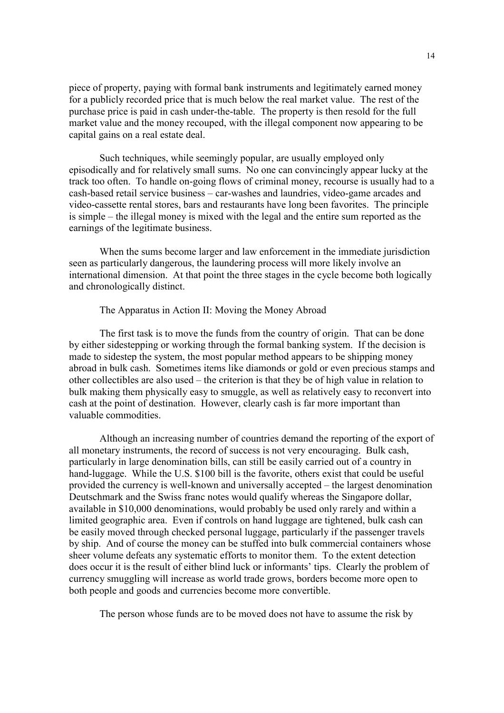piece of property, paying with formal bank instruments and legitimately earned money for a publicly recorded price that is much below the real market value. The rest of the purchase price is paid in cash under-the-table. The property is then resold for the full market value and the money recouped, with the illegal component now appearing to be capital gains on a real estate deal.

Such techniques, while seemingly popular, are usually employed only episodically and for relatively small sums. No one can convincingly appear lucky at the track too often. To handle on-going flows of criminal money, recourse is usually had to a cash-based retail service business – car-washes and laundries, video-game arcades and video-cassette rental stores, bars and restaurants have long been favorites. The principle is simple – the illegal money is mixed with the legal and the entire sum reported as the earnings of the legitimate business.

When the sums become larger and law enforcement in the immediate jurisdiction seen as particularly dangerous, the laundering process will more likely involve an international dimension. At that point the three stages in the cycle become both logically and chronologically distinct.

#### The Apparatus in Action II: Moving the Money Abroad

The first task is to move the funds from the country of origin. That can be done by either sidestepping or working through the formal banking system. If the decision is made to sidestep the system, the most popular method appears to be shipping money abroad in bulk cash. Sometimes items like diamonds or gold or even precious stamps and other collectibles are also used – the criterion is that they be of high value in relation to bulk making them physically easy to smuggle, as well as relatively easy to reconvert into cash at the point of destination. However, clearly cash is far more important than valuable commodities.

Although an increasing number of countries demand the reporting of the export of all monetary instruments, the record of success is not very encouraging. Bulk cash, particularly in large denomination bills, can still be easily carried out of a country in hand-luggage. While the U.S. \$100 bill is the favorite, others exist that could be useful provided the currency is well-known and universally accepted – the largest denomination Deutschmark and the Swiss franc notes would qualify whereas the Singapore dollar, available in \$10,000 denominations, would probably be used only rarely and within a limited geographic area. Even if controls on hand luggage are tightened, bulk cash can be easily moved through checked personal luggage, particularly if the passenger travels by ship. And of course the money can be stuffed into bulk commercial containers whose sheer volume defeats any systematic efforts to monitor them. To the extent detection does occur it is the result of either blind luck or informants' tips. Clearly the problem of currency smuggling will increase as world trade grows, borders become more open to both people and goods and currencies become more convertible.

The person whose funds are to be moved does not have to assume the risk by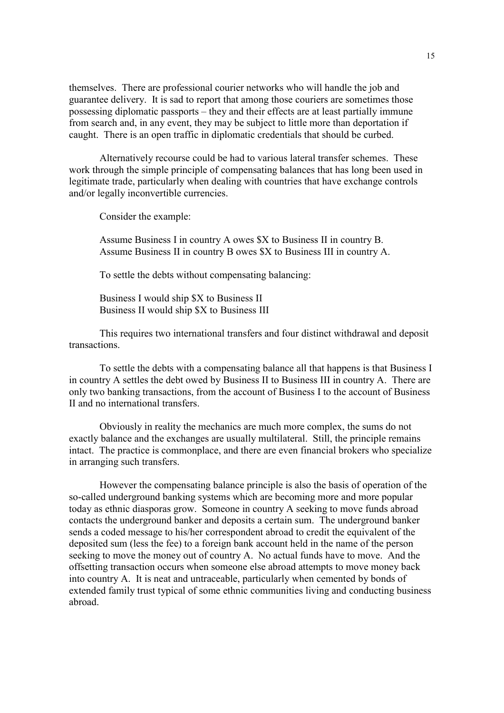themselves. There are professional courier networks who will handle the job and guarantee delivery. It is sad to report that among those couriers are sometimes those possessing diplomatic passports – they and their effects are at least partially immune from search and, in any event, they may be subject to little more than deportation if caught. There is an open traffic in diplomatic credentials that should be curbed.

Alternatively recourse could be had to various lateral transfer schemes. These work through the simple principle of compensating balances that has long been used in legitimate trade, particularly when dealing with countries that have exchange controls and/or legally inconvertible currencies.

Consider the example:

Assume Business I in country A owes \$X to Business II in country B. Assume Business II in country B owes \$X to Business III in country A.

To settle the debts without compensating balancing:

Business I would ship \$X to Business II Business II would ship \$X to Business III

This requires two international transfers and four distinct withdrawal and deposit transactions.

To settle the debts with a compensating balance all that happens is that Business I in country A settles the debt owed by Business II to Business III in country A. There are only two banking transactions, from the account of Business I to the account of Business II and no international transfers.

Obviously in reality the mechanics are much more complex, the sums do not exactly balance and the exchanges are usually multilateral. Still, the principle remains intact. The practice is commonplace, and there are even financial brokers who specialize in arranging such transfers.

However the compensating balance principle is also the basis of operation of the so-called underground banking systems which are becoming more and more popular today as ethnic diasporas grow. Someone in country A seeking to move funds abroad contacts the underground banker and deposits a certain sum. The underground banker sends a coded message to his/her correspondent abroad to credit the equivalent of the deposited sum (less the fee) to a foreign bank account held in the name of the person seeking to move the money out of country A. No actual funds have to move. And the offsetting transaction occurs when someone else abroad attempts to move money back into country A. It is neat and untraceable, particularly when cemented by bonds of extended family trust typical of some ethnic communities living and conducting business abroad.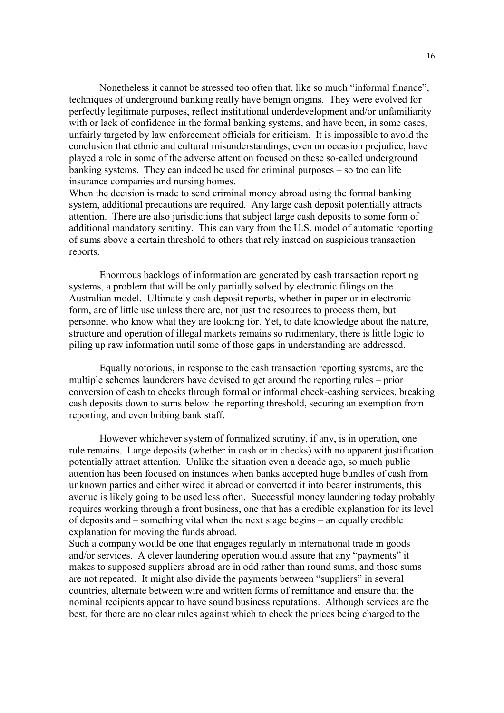Nonetheless it cannot be stressed too often that, like so much "informal finance", techniques of underground banking really have benign origins. They were evolved for perfectly legitimate purposes, reflect institutional underdevelopment and/or unfamiliarity with or lack of confidence in the formal banking systems, and have been, in some cases, unfairly targeted by law enforcement officials for criticism. It is impossible to avoid the conclusion that ethnic and cultural misunderstandings, even on occasion prejudice, have played a role in some of the adverse attention focused on these so-called underground banking systems. They can indeed be used for criminal purposes – so too can life insurance companies and nursing homes.

When the decision is made to send criminal money abroad using the formal banking system, additional precautions are required. Any large cash deposit potentially attracts attention. There are also jurisdictions that subject large cash deposits to some form of additional mandatory scrutiny. This can vary from the U.S. model of automatic reporting of sums above a certain threshold to others that rely instead on suspicious transaction reports.

Enormous backlogs of information are generated by cash transaction reporting systems, a problem that will be only partially solved by electronic filings on the Australian model. Ultimately cash deposit reports, whether in paper or in electronic form, are of little use unless there are, not just the resources to process them, but personnel who know what they are looking for. Yet, to date knowledge about the nature, structure and operation of illegal markets remains so rudimentary, there is little logic to piling up raw information until some of those gaps in understanding are addressed.

Equally notorious, in response to the cash transaction reporting systems, are the multiple schemes launderers have devised to get around the reporting rules – prior conversion of cash to checks through formal or informal check-cashing services, breaking cash deposits down to sums below the reporting threshold, securing an exemption from reporting, and even bribing bank staff.

However whichever system of formalized scrutiny, if any, is in operation, one rule remains. Large deposits (whether in cash or in checks) with no apparent justification potentially attract attention. Unlike the situation even a decade ago, so much public attention has been focused on instances when banks accepted huge bundles of cash from unknown parties and either wired it abroad or converted it into bearer instruments, this avenue is likely going to be used less often. Successful money laundering today probably requires working through a front business, one that has a credible explanation for its level of deposits and – something vital when the next stage begins – an equally credible explanation for moving the funds abroad.

Such a company would be one that engages regularly in international trade in goods and/or services. A clever laundering operation would assure that any "payments" it makes to supposed suppliers abroad are in odd rather than round sums, and those sums are not repeated. It might also divide the payments between "suppliers" in several countries, alternate between wire and written forms of remittance and ensure that the nominal recipients appear to have sound business reputations. Although services are the best, for there are no clear rules against which to check the prices being charged to the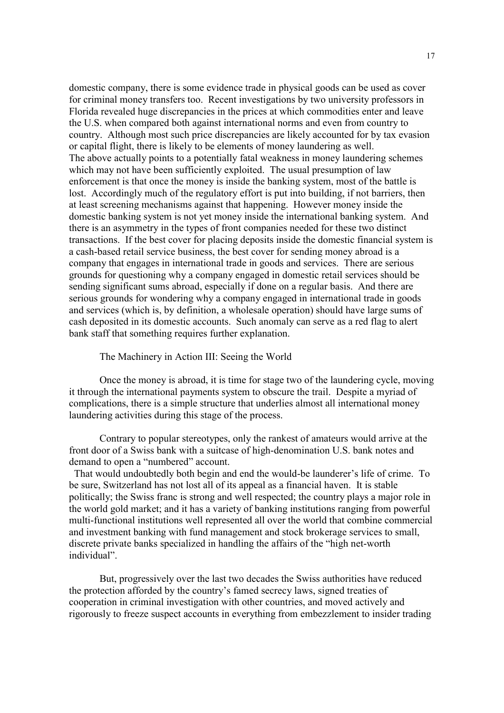domestic company, there is some evidence trade in physical goods can be used as cover for criminal money transfers too. Recent investigations by two university professors in Florida revealed huge discrepancies in the prices at which commodities enter and leave the U.S. when compared both against international norms and even from country to country. Although most such price discrepancies are likely accounted for by tax evasion or capital flight, there is likely to be elements of money laundering as well. The above actually points to a potentially fatal weakness in money laundering schemes which may not have been sufficiently exploited. The usual presumption of law enforcement is that once the money is inside the banking system, most of the battle is lost. Accordingly much of the regulatory effort is put into building, if not barriers, then at least screening mechanisms against that happening. However money inside the domestic banking system is not yet money inside the international banking system. And there is an asymmetry in the types of front companies needed for these two distinct transactions. If the best cover for placing deposits inside the domestic financial system is a cash-based retail service business, the best cover for sending money abroad is a company that engages in international trade in goods and services. There are serious grounds for questioning why a company engaged in domestic retail services should be sending significant sums abroad, especially if done on a regular basis. And there are serious grounds for wondering why a company engaged in international trade in goods and services (which is, by definition, a wholesale operation) should have large sums of cash deposited in its domestic accounts. Such anomaly can serve as a red flag to alert bank staff that something requires further explanation.

## The Machinery in Action III: Seeing the World

Once the money is abroad, it is time for stage two of the laundering cycle, moving it through the international payments system to obscure the trail. Despite a myriad of complications, there is a simple structure that underlies almost all international money laundering activities during this stage of the process.

Contrary to popular stereotypes, only the rankest of amateurs would arrive at the front door of a Swiss bank with a suitcase of high-denomination U.S. bank notes and demand to open a "numbered" account.

 That would undoubtedly both begin and end the would-be launderer's life of crime. To be sure, Switzerland has not lost all of its appeal as a financial haven. It is stable politically; the Swiss franc is strong and well respected; the country plays a major role in the world gold market; and it has a variety of banking institutions ranging from powerful multi-functional institutions well represented all over the world that combine commercial and investment banking with fund management and stock brokerage services to small, discrete private banks specialized in handling the affairs of the "high net-worth individual".

But, progressively over the last two decades the Swiss authorities have reduced the protection afforded by the country's famed secrecy laws, signed treaties of cooperation in criminal investigation with other countries, and moved actively and rigorously to freeze suspect accounts in everything from embezzlement to insider trading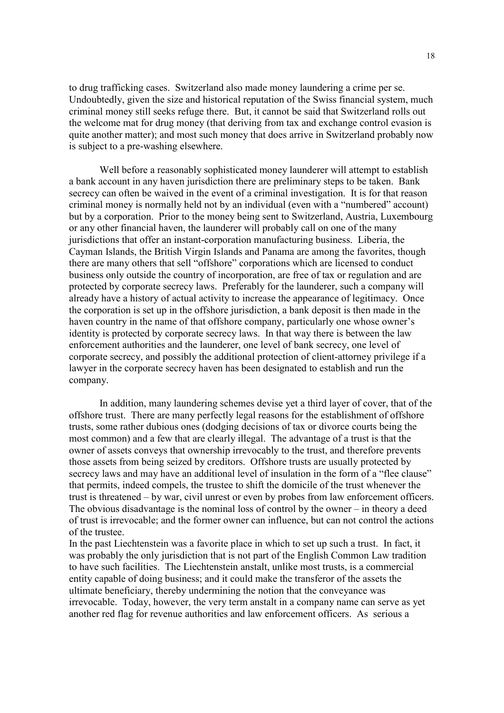to drug trafficking cases. Switzerland also made money laundering a crime per se. Undoubtedly, given the size and historical reputation of the Swiss financial system, much criminal money still seeks refuge there. But, it cannot be said that Switzerland rolls out the welcome mat for drug money (that deriving from tax and exchange control evasion is quite another matter); and most such money that does arrive in Switzerland probably now is subject to a pre-washing elsewhere.

Well before a reasonably sophisticated money launderer will attempt to establish a bank account in any haven jurisdiction there are preliminary steps to be taken. Bank secrecy can often be waived in the event of a criminal investigation. It is for that reason criminal money is normally held not by an individual (even with a "numbered" account) but by a corporation. Prior to the money being sent to Switzerland, Austria, Luxembourg or any other financial haven, the launderer will probably call on one of the many jurisdictions that offer an instant-corporation manufacturing business. Liberia, the Cayman Islands, the British Virgin Islands and Panama are among the favorites, though there are many others that sell "offshore" corporations which are licensed to conduct business only outside the country of incorporation, are free of tax or regulation and are protected by corporate secrecy laws. Preferably for the launderer, such a company will already have a history of actual activity to increase the appearance of legitimacy. Once the corporation is set up in the offshore jurisdiction, a bank deposit is then made in the haven country in the name of that offshore company, particularly one whose owner's identity is protected by corporate secrecy laws. In that way there is between the law enforcement authorities and the launderer, one level of bank secrecy, one level of corporate secrecy, and possibly the additional protection of client-attorney privilege if a lawyer in the corporate secrecy haven has been designated to establish and run the company.

In addition, many laundering schemes devise yet a third layer of cover, that of the offshore trust. There are many perfectly legal reasons for the establishment of offshore trusts, some rather dubious ones (dodging decisions of tax or divorce courts being the most common) and a few that are clearly illegal. The advantage of a trust is that the owner of assets conveys that ownership irrevocably to the trust, and therefore prevents those assets from being seized by creditors. Offshore trusts are usually protected by secrecy laws and may have an additional level of insulation in the form of a "flee clause" that permits, indeed compels, the trustee to shift the domicile of the trust whenever the trust is threatened – by war, civil unrest or even by probes from law enforcement officers. The obvious disadvantage is the nominal loss of control by the owner – in theory a deed of trust is irrevocable; and the former owner can influence, but can not control the actions of the trustee.

In the past Liechtenstein was a favorite place in which to set up such a trust. In fact, it was probably the only jurisdiction that is not part of the English Common Law tradition to have such facilities. The Liechtenstein anstalt, unlike most trusts, is a commercial entity capable of doing business; and it could make the transferor of the assets the ultimate beneficiary, thereby undermining the notion that the conveyance was irrevocable. Today, however, the very term anstalt in a company name can serve as yet another red flag for revenue authorities and law enforcement officers. As serious a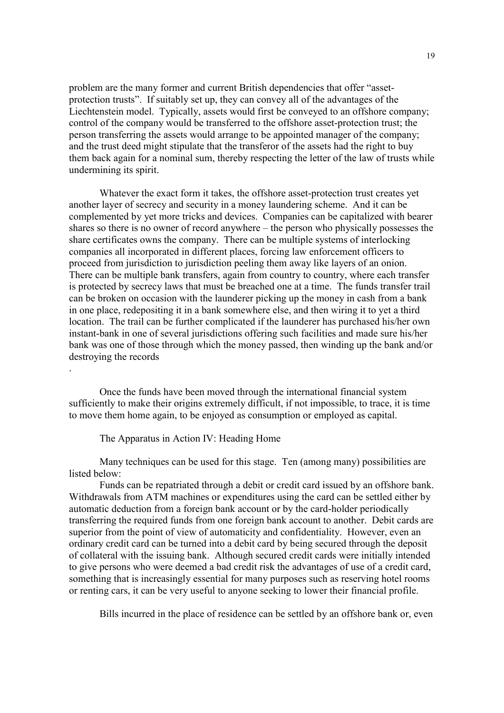problem are the many former and current British dependencies that offer "assetprotection trusts". If suitably set up, they can convey all of the advantages of the Liechtenstein model. Typically, assets would first be conveyed to an offshore company; control of the company would be transferred to the offshore asset-protection trust; the person transferring the assets would arrange to be appointed manager of the company; and the trust deed might stipulate that the transferor of the assets had the right to buy them back again for a nominal sum, thereby respecting the letter of the law of trusts while undermining its spirit.

Whatever the exact form it takes, the offshore asset-protection trust creates yet another layer of secrecy and security in a money laundering scheme. And it can be complemented by yet more tricks and devices. Companies can be capitalized with bearer shares so there is no owner of record anywhere – the person who physically possesses the share certificates owns the company. There can be multiple systems of interlocking companies all incorporated in different places, forcing law enforcement officers to proceed from jurisdiction to jurisdiction peeling them away like layers of an onion. There can be multiple bank transfers, again from country to country, where each transfer is protected by secrecy laws that must be breached one at a time. The funds transfer trail can be broken on occasion with the launderer picking up the money in cash from a bank in one place, redepositing it in a bank somewhere else, and then wiring it to yet a third location. The trail can be further complicated if the launderer has purchased his/her own instant-bank in one of several jurisdictions offering such facilities and made sure his/her bank was one of those through which the money passed, then winding up the bank and/or destroying the records

Once the funds have been moved through the international financial system sufficiently to make their origins extremely difficult, if not impossible, to trace, it is time to move them home again, to be enjoyed as consumption or employed as capital.

The Apparatus in Action IV: Heading Home

.

Many techniques can be used for this stage. Ten (among many) possibilities are listed below:

 Funds can be repatriated through a debit or credit card issued by an offshore bank. Withdrawals from ATM machines or expenditures using the card can be settled either by automatic deduction from a foreign bank account or by the card-holder periodically transferring the required funds from one foreign bank account to another. Debit cards are superior from the point of view of automaticity and confidentiality. However, even an ordinary credit card can be turned into a debit card by being secured through the deposit of collateral with the issuing bank. Although secured credit cards were initially intended to give persons who were deemed a bad credit risk the advantages of use of a credit card, something that is increasingly essential for many purposes such as reserving hotel rooms or renting cars, it can be very useful to anyone seeking to lower their financial profile.

Bills incurred in the place of residence can be settled by an offshore bank or, even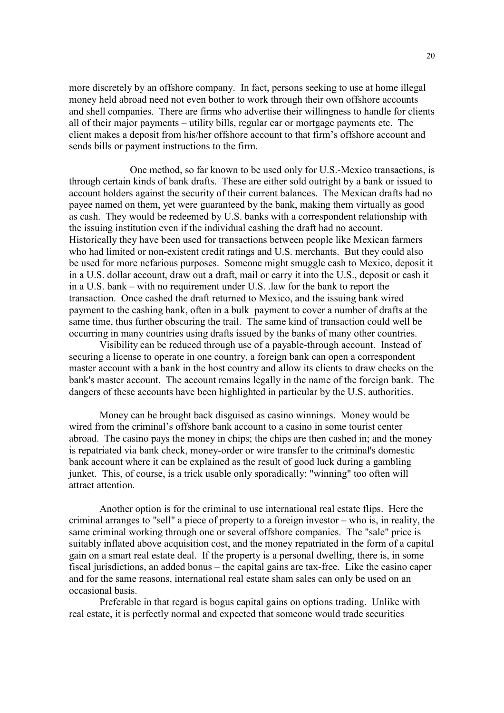more discretely by an offshore company. In fact, persons seeking to use at home illegal money held abroad need not even bother to work through their own offshore accounts and shell companies. There are firms who advertise their willingness to handle for clients all of their major payments – utility bills, regular car or mortgage payments etc. The client makes a deposit from his/her offshore account to that firm's offshore account and sends bills or payment instructions to the firm.

 One method, so far known to be used only for U.S.-Mexico transactions, is through certain kinds of bank drafts. These are either sold outright by a bank or issued to account holders against the security of their current balances. The Mexican drafts had no payee named on them, yet were guaranteed by the bank, making them virtually as good as cash. They would be redeemed by U.S. banks with a correspondent relationship with the issuing institution even if the individual cashing the draft had no account. Historically they have been used for transactions between people like Mexican farmers who had limited or non-existent credit ratings and U.S. merchants. But they could also be used for more nefarious purposes. Someone might smuggle cash to Mexico, deposit it in a U.S. dollar account, draw out a draft, mail or carry it into the U.S., deposit or cash it in a U.S. bank – with no requirement under U.S. .law for the bank to report the transaction. Once cashed the draft returned to Mexico, and the issuing bank wired payment to the cashing bank, often in a bulk payment to cover a number of drafts at the same time, thus further obscuring the trail. The same kind of transaction could well be occurring in many countries using drafts issued by the banks of many other countries.

 Visibility can be reduced through use of a payable-through account. Instead of securing a license to operate in one country, a foreign bank can open a correspondent master account with a bank in the host country and allow its clients to draw checks on the bank's master account. The account remains legally in the name of the foreign bank. The dangers of these accounts have been highlighted in particular by the U.S. authorities.

 Money can be brought back disguised as casino winnings. Money would be wired from the criminal's offshore bank account to a casino in some tourist center abroad. The casino pays the money in chips; the chips are then cashed in; and the money is repatriated via bank check, money-order or wire transfer to the criminal's domestic bank account where it can be explained as the result of good luck during a gambling junket. This, of course, is a trick usable only sporadically: "winning" too often will attract attention.

 Another option is for the criminal to use international real estate flips. Here the criminal arranges to "sell" a piece of property to a foreign investor – who is, in reality, the same criminal working through one or several offshore companies. The "sale" price is suitably inflated above acquisition cost, and the money repatriated in the form of a capital gain on a smart real estate deal. If the property is a personal dwelling, there is, in some fiscal jurisdictions, an added bonus – the capital gains are tax-free. Like the casino caper and for the same reasons, international real estate sham sales can only be used on an occasional basis.

 Preferable in that regard is bogus capital gains on options trading. Unlike with real estate, it is perfectly normal and expected that someone would trade securities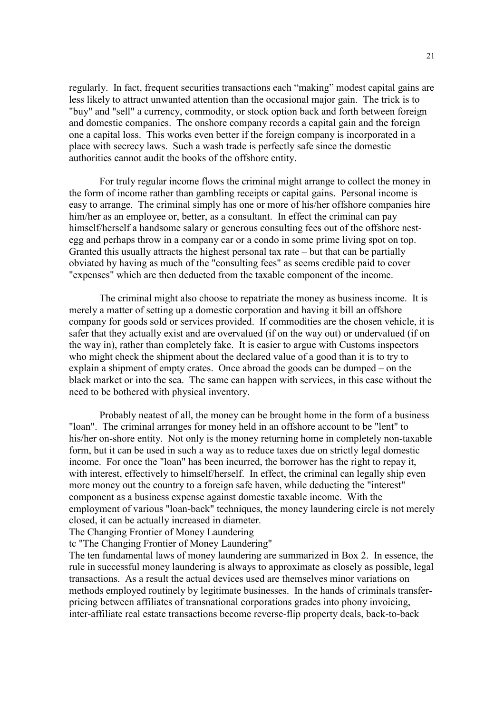regularly. In fact, frequent securities transactions each "making" modest capital gains are less likely to attract unwanted attention than the occasional major gain. The trick is to "buy" and "sell" a currency, commodity, or stock option back and forth between foreign and domestic companies. The onshore company records a capital gain and the foreign one a capital loss. This works even better if the foreign company is incorporated in a place with secrecy laws. Such a wash trade is perfectly safe since the domestic authorities cannot audit the books of the offshore entity.

 For truly regular income flows the criminal might arrange to collect the money in the form of income rather than gambling receipts or capital gains. Personal income is easy to arrange. The criminal simply has one or more of his/her offshore companies hire him/her as an employee or, better, as a consultant. In effect the criminal can pay himself/herself a handsome salary or generous consulting fees out of the offshore nestegg and perhaps throw in a company car or a condo in some prime living spot on top. Granted this usually attracts the highest personal tax rate – but that can be partially obviated by having as much of the "consulting fees" as seems credible paid to cover "expenses" which are then deducted from the taxable component of the income.

 The criminal might also choose to repatriate the money as business income. It is merely a matter of setting up a domestic corporation and having it bill an offshore company for goods sold or services provided. If commodities are the chosen vehicle, it is safer that they actually exist and are overvalued (if on the way out) or undervalued (if on the way in), rather than completely fake. It is easier to argue with Customs inspectors who might check the shipment about the declared value of a good than it is to try to explain a shipment of empty crates. Once abroad the goods can be dumped – on the black market or into the sea. The same can happen with services, in this case without the need to be bothered with physical inventory.

 Probably neatest of all, the money can be brought home in the form of a business "loan". The criminal arranges for money held in an offshore account to be "lent" to his/her on-shore entity. Not only is the money returning home in completely non-taxable form, but it can be used in such a way as to reduce taxes due on strictly legal domestic income. For once the "loan" has been incurred, the borrower has the right to repay it, with interest, effectively to himself/herself. In effect, the criminal can legally ship even more money out the country to a foreign safe haven, while deducting the "interest" component as a business expense against domestic taxable income. With the employment of various "loan-back" techniques, the money laundering circle is not merely closed, it can be actually increased in diameter.

The Changing Frontier of Money Laundering

tc "The Changing Frontier of Money Laundering"

The ten fundamental laws of money laundering are summarized in Box 2. In essence, the rule in successful money laundering is always to approximate as closely as possible, legal transactions. As a result the actual devices used are themselves minor variations on methods employed routinely by legitimate businesses. In the hands of criminals transferpricing between affiliates of transnational corporations grades into phony invoicing, inter-affiliate real estate transactions become reverse-flip property deals, back-to-back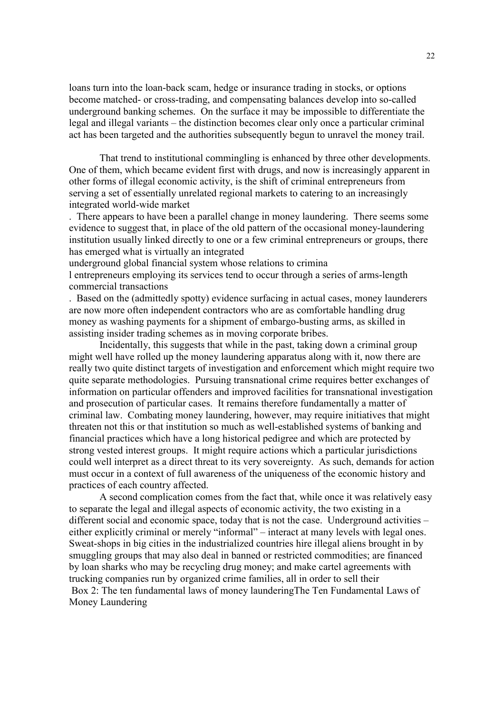loans turn into the loan-back scam, hedge or insurance trading in stocks, or options become matched- or cross-trading, and compensating balances develop into so-called underground banking schemes. On the surface it may be impossible to differentiate the legal and illegal variants – the distinction becomes clear only once a particular criminal act has been targeted and the authorities subsequently begun to unravel the money trail.

That trend to institutional commingling is enhanced by three other developments. One of them, which became evident first with drugs, and now is increasingly apparent in other forms of illegal economic activity, is the shift of criminal entrepreneurs from serving a set of essentially unrelated regional markets to catering to an increasingly integrated world-wide market

. There appears to have been a parallel change in money laundering. There seems some evidence to suggest that, in place of the old pattern of the occasional money-laundering institution usually linked directly to one or a few criminal entrepreneurs or groups, there has emerged what is virtually an integrated

underground global financial system whose relations to crimina

l entrepreneurs employing its services tend to occur through a series of arms-length commercial transactions

. Based on the (admittedly spotty) evidence surfacing in actual cases, money launderers are now more often independent contractors who are as comfortable handling drug money as washing payments for a shipment of embargo-busting arms, as skilled in assisting insider trading schemes as in moving corporate bribes.

Incidentally, this suggests that while in the past, taking down a criminal group might well have rolled up the money laundering apparatus along with it, now there are really two quite distinct targets of investigation and enforcement which might require two quite separate methodologies. Pursuing transnational crime requires better exchanges of information on particular offenders and improved facilities for transnational investigation and prosecution of particular cases. It remains therefore fundamentally a matter of criminal law. Combating money laundering, however, may require initiatives that might threaten not this or that institution so much as well-established systems of banking and financial practices which have a long historical pedigree and which are protected by strong vested interest groups. It might require actions which a particular jurisdictions could well interpret as a direct threat to its very sovereignty. As such, demands for action must occur in a context of full awareness of the uniqueness of the economic history and practices of each country affected.

A second complication comes from the fact that, while once it was relatively easy to separate the legal and illegal aspects of economic activity, the two existing in a different social and economic space, today that is not the case. Underground activities – either explicitly criminal or merely "informal" – interact at many levels with legal ones. Sweat-shops in big cities in the industrialized countries hire illegal aliens brought in by smuggling groups that may also deal in banned or restricted commodities; are financed by loan sharks who may be recycling drug money; and make cartel agreements with trucking companies run by organized crime families, all in order to sell their Box 2: The ten fundamental laws of money launderingThe Ten Fundamental Laws of Money Laundering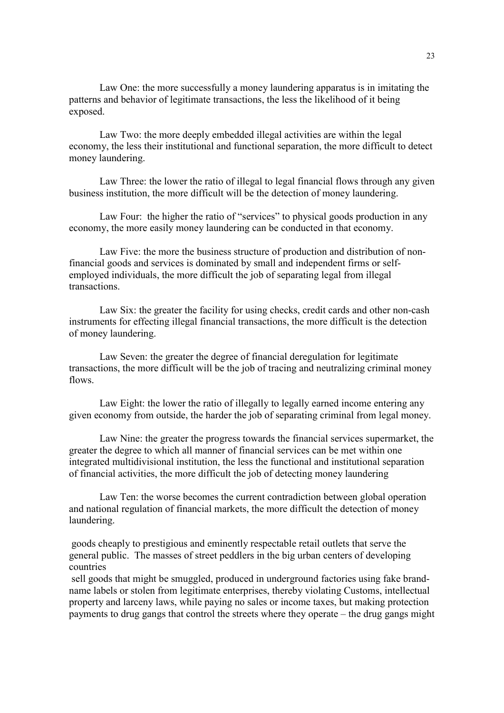Law One: the more successfully a money laundering apparatus is in imitating the patterns and behavior of legitimate transactions, the less the likelihood of it being exposed.

 Law Two: the more deeply embedded illegal activities are within the legal economy, the less their institutional and functional separation, the more difficult to detect money laundering.

 Law Three: the lower the ratio of illegal to legal financial flows through any given business institution, the more difficult will be the detection of money laundering.

 Law Four: the higher the ratio of "services" to physical goods production in any economy, the more easily money laundering can be conducted in that economy.

 Law Five: the more the business structure of production and distribution of nonfinancial goods and services is dominated by small and independent firms or selfemployed individuals, the more difficult the job of separating legal from illegal transactions.

 Law Six: the greater the facility for using checks, credit cards and other non-cash instruments for effecting illegal financial transactions, the more difficult is the detection of money laundering.

 Law Seven: the greater the degree of financial deregulation for legitimate transactions, the more difficult will be the job of tracing and neutralizing criminal money flows.

 Law Eight: the lower the ratio of illegally to legally earned income entering any given economy from outside, the harder the job of separating criminal from legal money.

 Law Nine: the greater the progress towards the financial services supermarket, the greater the degree to which all manner of financial services can be met within one integrated multidivisional institution, the less the functional and institutional separation of financial activities, the more difficult the job of detecting money laundering

 Law Ten: the worse becomes the current contradiction between global operation and national regulation of financial markets, the more difficult the detection of money laundering.

 goods cheaply to prestigious and eminently respectable retail outlets that serve the general public. The masses of street peddlers in the big urban centers of developing countries

 sell goods that might be smuggled, produced in underground factories using fake brandname labels or stolen from legitimate enterprises, thereby violating Customs, intellectual property and larceny laws, while paying no sales or income taxes, but making protection payments to drug gangs that control the streets where they operate – the drug gangs might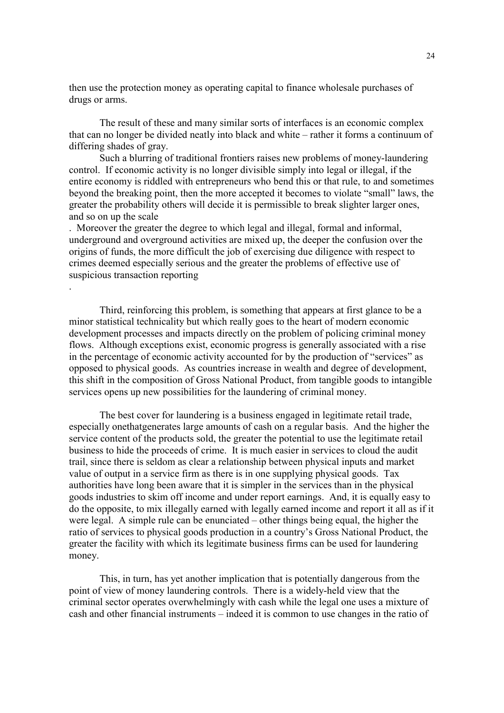then use the protection money as operating capital to finance wholesale purchases of drugs or arms.

The result of these and many similar sorts of interfaces is an economic complex that can no longer be divided neatly into black and white – rather it forms a continuum of differing shades of gray.

Such a blurring of traditional frontiers raises new problems of money-laundering control. If economic activity is no longer divisible simply into legal or illegal, if the entire economy is riddled with entrepreneurs who bend this or that rule, to and sometimes beyond the breaking point, then the more accepted it becomes to violate "small" laws, the greater the probability others will decide it is permissible to break slighter larger ones, and so on up the scale

. Moreover the greater the degree to which legal and illegal, formal and informal, underground and overground activities are mixed up, the deeper the confusion over the origins of funds, the more difficult the job of exercising due diligence with respect to crimes deemed especially serious and the greater the problems of effective use of suspicious transaction reporting

.

Third, reinforcing this problem, is something that appears at first glance to be a minor statistical technicality but which really goes to the heart of modern economic development processes and impacts directly on the problem of policing criminal money flows. Although exceptions exist, economic progress is generally associated with a rise in the percentage of economic activity accounted for by the production of "services" as opposed to physical goods. As countries increase in wealth and degree of development, this shift in the composition of Gross National Product, from tangible goods to intangible services opens up new possibilities for the laundering of criminal money.

The best cover for laundering is a business engaged in legitimate retail trade, especially onethatgenerates large amounts of cash on a regular basis. And the higher the service content of the products sold, the greater the potential to use the legitimate retail business to hide the proceeds of crime. It is much easier in services to cloud the audit trail, since there is seldom as clear a relationship between physical inputs and market value of output in a service firm as there is in one supplying physical goods. Tax authorities have long been aware that it is simpler in the services than in the physical goods industries to skim off income and under report earnings. And, it is equally easy to do the opposite, to mix illegally earned with legally earned income and report it all as if it were legal. A simple rule can be enunciated – other things being equal, the higher the ratio of services to physical goods production in a country's Gross National Product, the greater the facility with which its legitimate business firms can be used for laundering money.

This, in turn, has yet another implication that is potentially dangerous from the point of view of money laundering controls. There is a widely-held view that the criminal sector operates overwhelmingly with cash while the legal one uses a mixture of cash and other financial instruments – indeed it is common to use changes in the ratio of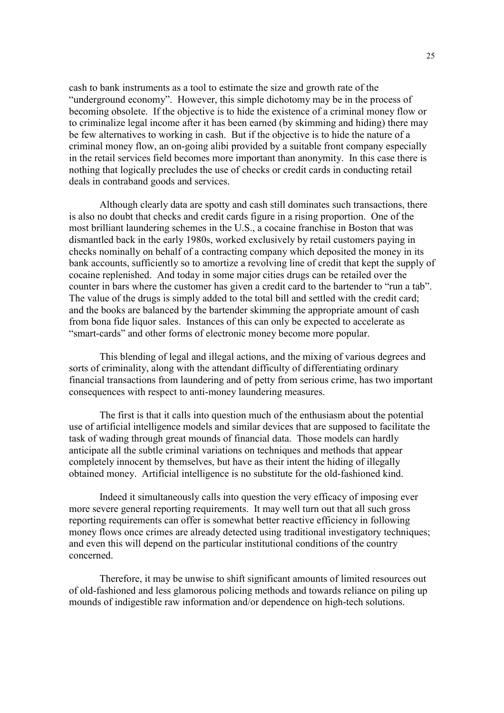cash to bank instruments as a tool to estimate the size and growth rate of the "underground economy". However, this simple dichotomy may be in the process of becoming obsolete. If the objective is to hide the existence of a criminal money flow or to criminalize legal income after it has been earned (by skimming and hiding) there may be few alternatives to working in cash. But if the objective is to hide the nature of a criminal money flow, an on-going alibi provided by a suitable front company especially in the retail services field becomes more important than anonymity. In this case there is nothing that logically precludes the use of checks or credit cards in conducting retail deals in contraband goods and services.

Although clearly data are spotty and cash still dominates such transactions, there is also no doubt that checks and credit cards figure in a rising proportion. One of the most brilliant laundering schemes in the U.S., a cocaine franchise in Boston that was dismantled back in the early 1980s, worked exclusively by retail customers paying in checks nominally on behalf of a contracting company which deposited the money in its bank accounts, sufficiently so to amortize a revolving line of credit that kept the supply of cocaine replenished. And today in some major cities drugs can be retailed over the counter in bars where the customer has given a credit card to the bartender to "run a tab". The value of the drugs is simply added to the total bill and settled with the credit card; and the books are balanced by the bartender skimming the appropriate amount of cash from bona fide liquor sales. Instances of this can only be expected to accelerate as "smart-cards" and other forms of electronic money become more popular.

This blending of legal and illegal actions, and the mixing of various degrees and sorts of criminality, along with the attendant difficulty of differentiating ordinary financial transactions from laundering and of petty from serious crime, has two important consequences with respect to anti-money laundering measures.

The first is that it calls into question much of the enthusiasm about the potential use of artificial intelligence models and similar devices that are supposed to facilitate the task of wading through great mounds of financial data. Those models can hardly anticipate all the subtle criminal variations on techniques and methods that appear completely innocent by themselves, but have as their intent the hiding of illegally obtained money. Artificial intelligence is no substitute for the old-fashioned kind.

Indeed it simultaneously calls into question the very efficacy of imposing ever more severe general reporting requirements. It may well turn out that all such gross reporting requirements can offer is somewhat better reactive efficiency in following money flows once crimes are already detected using traditional investigatory techniques; and even this will depend on the particular institutional conditions of the country concerned.

Therefore, it may be unwise to shift significant amounts of limited resources out of old-fashioned and less glamorous policing methods and towards reliance on piling up mounds of indigestible raw information and/or dependence on high-tech solutions.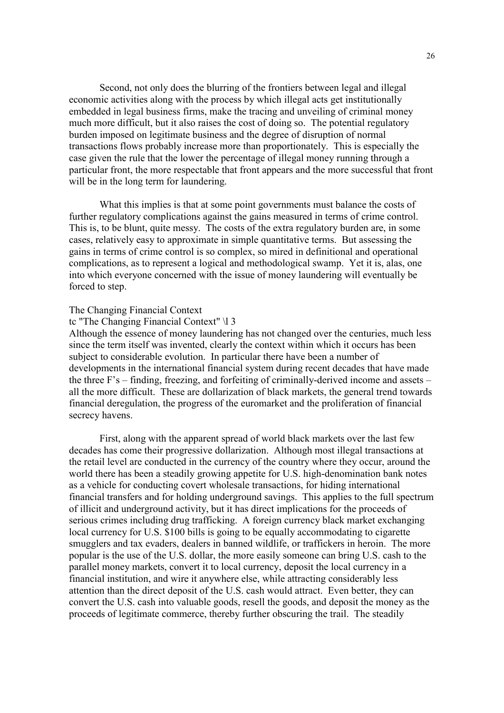Second, not only does the blurring of the frontiers between legal and illegal economic activities along with the process by which illegal acts get institutionally embedded in legal business firms, make the tracing and unveiling of criminal money much more difficult, but it also raises the cost of doing so. The potential regulatory burden imposed on legitimate business and the degree of disruption of normal transactions flows probably increase more than proportionately. This is especially the case given the rule that the lower the percentage of illegal money running through a particular front, the more respectable that front appears and the more successful that front will be in the long term for laundering.

What this implies is that at some point governments must balance the costs of further regulatory complications against the gains measured in terms of crime control. This is, to be blunt, quite messy. The costs of the extra regulatory burden are, in some cases, relatively easy to approximate in simple quantitative terms. But assessing the gains in terms of crime control is so complex, so mired in definitional and operational complications, as to represent a logical and methodological swamp. Yet it is, alas, one into which everyone concerned with the issue of money laundering will eventually be forced to step.

#### The Changing Financial Context

tc "The Changing Financial Context" \l 3

Although the essence of money laundering has not changed over the centuries, much less since the term itself was invented, clearly the context within which it occurs has been subject to considerable evolution. In particular there have been a number of developments in the international financial system during recent decades that have made the three F's – finding, freezing, and forfeiting of criminally-derived income and assets – all the more difficult. These are dollarization of black markets, the general trend towards financial deregulation, the progress of the euromarket and the proliferation of financial secrecy havens.

First, along with the apparent spread of world black markets over the last few decades has come their progressive dollarization. Although most illegal transactions at the retail level are conducted in the currency of the country where they occur, around the world there has been a steadily growing appetite for U.S. high-denomination bank notes as a vehicle for conducting covert wholesale transactions, for hiding international financial transfers and for holding underground savings. This applies to the full spectrum of illicit and underground activity, but it has direct implications for the proceeds of serious crimes including drug trafficking. A foreign currency black market exchanging local currency for U.S. \$100 bills is going to be equally accommodating to cigarette smugglers and tax evaders, dealers in banned wildlife, or traffickers in heroin. The more popular is the use of the U.S. dollar, the more easily someone can bring U.S. cash to the parallel money markets, convert it to local currency, deposit the local currency in a financial institution, and wire it anywhere else, while attracting considerably less attention than the direct deposit of the U.S. cash would attract. Even better, they can convert the U.S. cash into valuable goods, resell the goods, and deposit the money as the proceeds of legitimate commerce, thereby further obscuring the trail. The steadily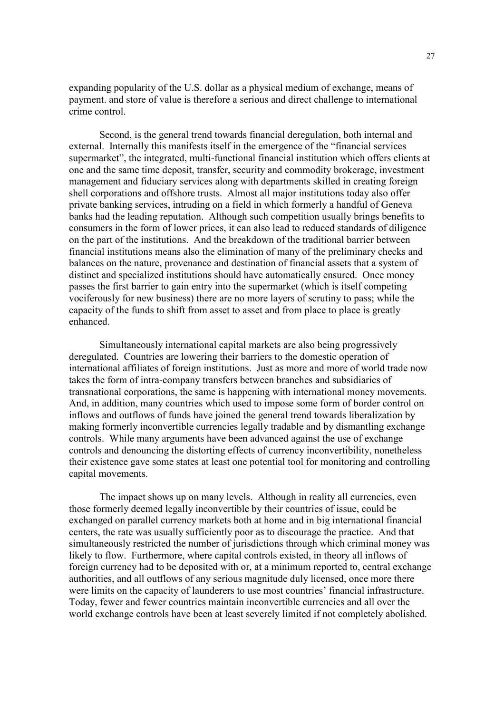expanding popularity of the U.S. dollar as a physical medium of exchange, means of payment. and store of value is therefore a serious and direct challenge to international crime control.

Second, is the general trend towards financial deregulation, both internal and external. Internally this manifests itself in the emergence of the "financial services supermarket", the integrated, multi-functional financial institution which offers clients at one and the same time deposit, transfer, security and commodity brokerage, investment management and fiduciary services along with departments skilled in creating foreign shell corporations and offshore trusts. Almost all major institutions today also offer private banking services, intruding on a field in which formerly a handful of Geneva banks had the leading reputation. Although such competition usually brings benefits to consumers in the form of lower prices, it can also lead to reduced standards of diligence on the part of the institutions. And the breakdown of the traditional barrier between financial institutions means also the elimination of many of the preliminary checks and balances on the nature, provenance and destination of financial assets that a system of distinct and specialized institutions should have automatically ensured. Once money passes the first barrier to gain entry into the supermarket (which is itself competing vociferously for new business) there are no more layers of scrutiny to pass; while the capacity of the funds to shift from asset to asset and from place to place is greatly enhanced.

Simultaneously international capital markets are also being progressively deregulated. Countries are lowering their barriers to the domestic operation of international affiliates of foreign institutions. Just as more and more of world trade now takes the form of intra-company transfers between branches and subsidiaries of transnational corporations, the same is happening with international money movements. And, in addition, many countries which used to impose some form of border control on inflows and outflows of funds have joined the general trend towards liberalization by making formerly inconvertible currencies legally tradable and by dismantling exchange controls. While many arguments have been advanced against the use of exchange controls and denouncing the distorting effects of currency inconvertibility, nonetheless their existence gave some states at least one potential tool for monitoring and controlling capital movements.

The impact shows up on many levels. Although in reality all currencies, even those formerly deemed legally inconvertible by their countries of issue, could be exchanged on parallel currency markets both at home and in big international financial centers, the rate was usually sufficiently poor as to discourage the practice. And that simultaneously restricted the number of jurisdictions through which criminal money was likely to flow. Furthermore, where capital controls existed, in theory all inflows of foreign currency had to be deposited with or, at a minimum reported to, central exchange authorities, and all outflows of any serious magnitude duly licensed, once more there were limits on the capacity of launderers to use most countries' financial infrastructure. Today, fewer and fewer countries maintain inconvertible currencies and all over the world exchange controls have been at least severely limited if not completely abolished.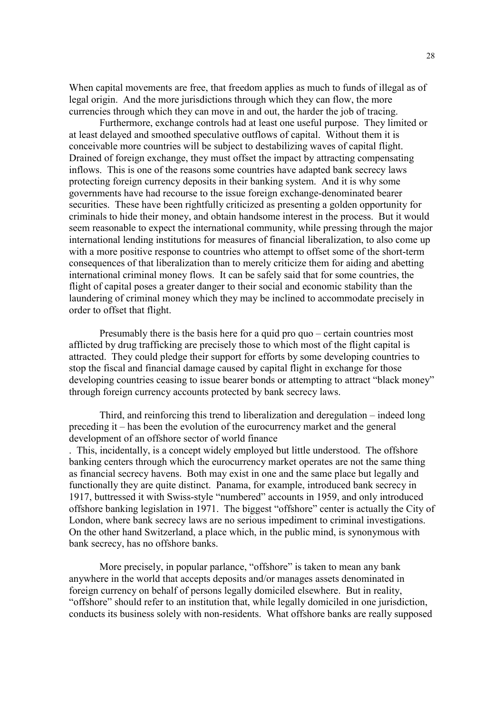When capital movements are free, that freedom applies as much to funds of illegal as of legal origin. And the more jurisdictions through which they can flow, the more currencies through which they can move in and out, the harder the job of tracing.

Furthermore, exchange controls had at least one useful purpose. They limited or at least delayed and smoothed speculative outflows of capital. Without them it is conceivable more countries will be subject to destabilizing waves of capital flight. Drained of foreign exchange, they must offset the impact by attracting compensating inflows. This is one of the reasons some countries have adapted bank secrecy laws protecting foreign currency deposits in their banking system. And it is why some governments have had recourse to the issue foreign exchange-denominated bearer securities. These have been rightfully criticized as presenting a golden opportunity for criminals to hide their money, and obtain handsome interest in the process. But it would seem reasonable to expect the international community, while pressing through the major international lending institutions for measures of financial liberalization, to also come up with a more positive response to countries who attempt to offset some of the short-term consequences of that liberalization than to merely criticize them for aiding and abetting international criminal money flows. It can be safely said that for some countries, the flight of capital poses a greater danger to their social and economic stability than the laundering of criminal money which they may be inclined to accommodate precisely in order to offset that flight.

Presumably there is the basis here for a quid pro quo – certain countries most afflicted by drug trafficking are precisely those to which most of the flight capital is attracted. They could pledge their support for efforts by some developing countries to stop the fiscal and financial damage caused by capital flight in exchange for those developing countries ceasing to issue bearer bonds or attempting to attract "black money" through foreign currency accounts protected by bank secrecy laws.

Third, and reinforcing this trend to liberalization and deregulation – indeed long preceding it – has been the evolution of the eurocurrency market and the general development of an offshore sector of world finance

. This, incidentally, is a concept widely employed but little understood. The offshore banking centers through which the eurocurrency market operates are not the same thing as financial secrecy havens. Both may exist in one and the same place but legally and functionally they are quite distinct. Panama, for example, introduced bank secrecy in 1917, buttressed it with Swiss-style "numbered" accounts in 1959, and only introduced offshore banking legislation in 1971. The biggest "offshore" center is actually the City of London, where bank secrecy laws are no serious impediment to criminal investigations. On the other hand Switzerland, a place which, in the public mind, is synonymous with bank secrecy, has no offshore banks.

More precisely, in popular parlance, "offshore" is taken to mean any bank anywhere in the world that accepts deposits and/or manages assets denominated in foreign currency on behalf of persons legally domiciled elsewhere. But in reality, "offshore" should refer to an institution that, while legally domiciled in one jurisdiction, conducts its business solely with non-residents. What offshore banks are really supposed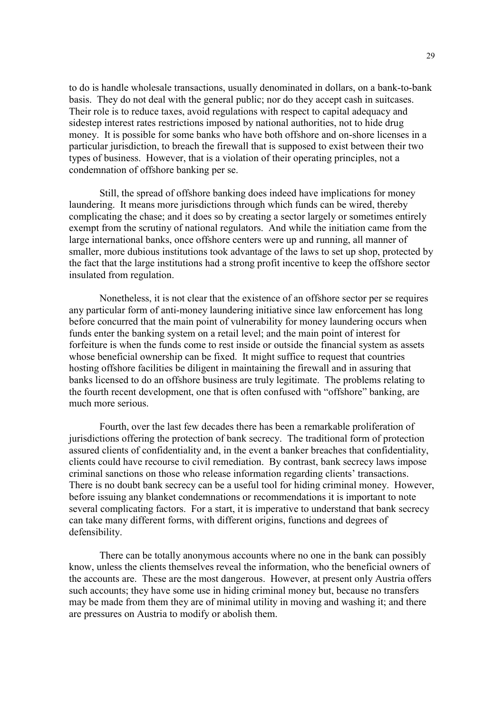to do is handle wholesale transactions, usually denominated in dollars, on a bank-to-bank basis. They do not deal with the general public; nor do they accept cash in suitcases. Their role is to reduce taxes, avoid regulations with respect to capital adequacy and sidestep interest rates restrictions imposed by national authorities, not to hide drug money. It is possible for some banks who have both offshore and on-shore licenses in a particular jurisdiction, to breach the firewall that is supposed to exist between their two types of business. However, that is a violation of their operating principles, not a condemnation of offshore banking per se.

Still, the spread of offshore banking does indeed have implications for money laundering. It means more jurisdictions through which funds can be wired, thereby complicating the chase; and it does so by creating a sector largely or sometimes entirely exempt from the scrutiny of national regulators. And while the initiation came from the large international banks, once offshore centers were up and running, all manner of smaller, more dubious institutions took advantage of the laws to set up shop, protected by the fact that the large institutions had a strong profit incentive to keep the offshore sector insulated from regulation.

Nonetheless, it is not clear that the existence of an offshore sector per se requires any particular form of anti-money laundering initiative since law enforcement has long before concurred that the main point of vulnerability for money laundering occurs when funds enter the banking system on a retail level; and the main point of interest for forfeiture is when the funds come to rest inside or outside the financial system as assets whose beneficial ownership can be fixed. It might suffice to request that countries hosting offshore facilities be diligent in maintaining the firewall and in assuring that banks licensed to do an offshore business are truly legitimate. The problems relating to the fourth recent development, one that is often confused with "offshore" banking, are much more serious.

Fourth, over the last few decades there has been a remarkable proliferation of jurisdictions offering the protection of bank secrecy. The traditional form of protection assured clients of confidentiality and, in the event a banker breaches that confidentiality, clients could have recourse to civil remediation. By contrast, bank secrecy laws impose criminal sanctions on those who release information regarding clients' transactions. There is no doubt bank secrecy can be a useful tool for hiding criminal money. However, before issuing any blanket condemnations or recommendations it is important to note several complicating factors. For a start, it is imperative to understand that bank secrecy can take many different forms, with different origins, functions and degrees of defensibility.

 There can be totally anonymous accounts where no one in the bank can possibly know, unless the clients themselves reveal the information, who the beneficial owners of the accounts are. These are the most dangerous. However, at present only Austria offers such accounts; they have some use in hiding criminal money but, because no transfers may be made from them they are of minimal utility in moving and washing it; and there are pressures on Austria to modify or abolish them.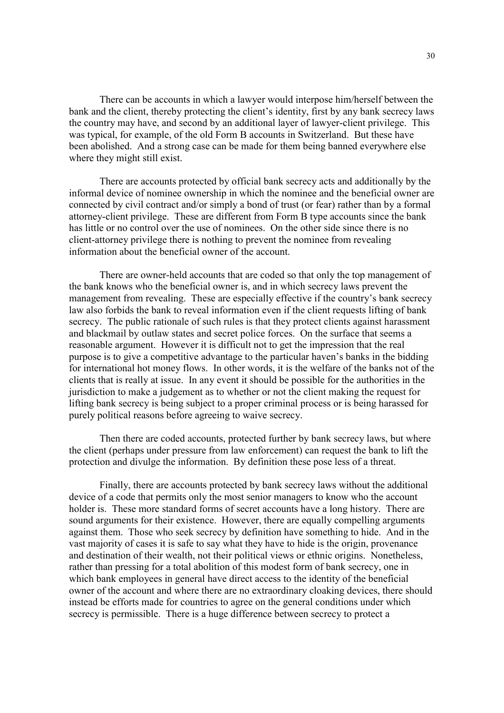There can be accounts in which a lawyer would interpose him/herself between the bank and the client, thereby protecting the client's identity, first by any bank secrecy laws the country may have, and second by an additional layer of lawyer-client privilege. This was typical, for example, of the old Form B accounts in Switzerland. But these have been abolished. And a strong case can be made for them being banned everywhere else where they might still exist.

 There are accounts protected by official bank secrecy acts and additionally by the informal device of nominee ownership in which the nominee and the beneficial owner are connected by civil contract and/or simply a bond of trust (or fear) rather than by a formal attorney-client privilege. These are different from Form B type accounts since the bank has little or no control over the use of nominees. On the other side since there is no client-attorney privilege there is nothing to prevent the nominee from revealing information about the beneficial owner of the account.

 There are owner-held accounts that are coded so that only the top management of the bank knows who the beneficial owner is, and in which secrecy laws prevent the management from revealing. These are especially effective if the country's bank secrecy law also forbids the bank to reveal information even if the client requests lifting of bank secrecy. The public rationale of such rules is that they protect clients against harassment and blackmail by outlaw states and secret police forces. On the surface that seems a reasonable argument. However it is difficult not to get the impression that the real purpose is to give a competitive advantage to the particular haven's banks in the bidding for international hot money flows. In other words, it is the welfare of the banks not of the clients that is really at issue. In any event it should be possible for the authorities in the jurisdiction to make a judgement as to whether or not the client making the request for lifting bank secrecy is being subject to a proper criminal process or is being harassed for purely political reasons before agreeing to waive secrecy.

 Then there are coded accounts, protected further by bank secrecy laws, but where the client (perhaps under pressure from law enforcement) can request the bank to lift the protection and divulge the information. By definition these pose less of a threat.

 Finally, there are accounts protected by bank secrecy laws without the additional device of a code that permits only the most senior managers to know who the account holder is. These more standard forms of secret accounts have a long history. There are sound arguments for their existence. However, there are equally compelling arguments against them. Those who seek secrecy by definition have something to hide. And in the vast majority of cases it is safe to say what they have to hide is the origin, provenance and destination of their wealth, not their political views or ethnic origins. Nonetheless, rather than pressing for a total abolition of this modest form of bank secrecy, one in which bank employees in general have direct access to the identity of the beneficial owner of the account and where there are no extraordinary cloaking devices, there should instead be efforts made for countries to agree on the general conditions under which secrecy is permissible. There is a huge difference between secrecy to protect a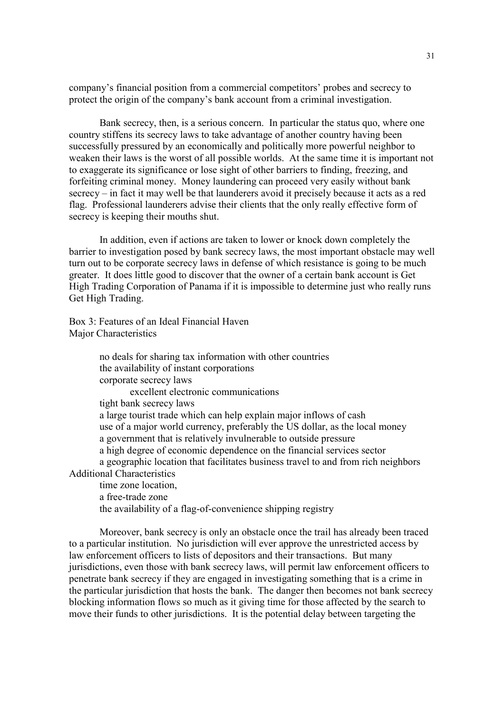company's financial position from a commercial competitors' probes and secrecy to protect the origin of the company's bank account from a criminal investigation.

Bank secrecy, then, is a serious concern. In particular the status quo, where one country stiffens its secrecy laws to take advantage of another country having been successfully pressured by an economically and politically more powerful neighbor to weaken their laws is the worst of all possible worlds. At the same time it is important not to exaggerate its significance or lose sight of other barriers to finding, freezing, and forfeiting criminal money. Money laundering can proceed very easily without bank secrecy – in fact it may well be that launderers avoid it precisely because it acts as a red flag. Professional launderers advise their clients that the only really effective form of secrecy is keeping their mouths shut.

In addition, even if actions are taken to lower or knock down completely the barrier to investigation posed by bank secrecy laws, the most important obstacle may well turn out to be corporate secrecy laws in defense of which resistance is going to be much greater. It does little good to discover that the owner of a certain bank account is Get High Trading Corporation of Panama if it is impossible to determine just who really runs Get High Trading.

Box 3: Features of an Ideal Financial Haven Major Characteristics

 no deals for sharing tax information with other countries the availability of instant corporations corporate secrecy laws excellent electronic communications tight bank secrecy laws a large tourist trade which can help explain major inflows of cash use of a major world currency, preferably the US dollar, as the local money a government that is relatively invulnerable to outside pressure a high degree of economic dependence on the financial services sector a geographic location that facilitates business travel to and from rich neighbors Additional Characteristics time zone location, a free-trade zone

the availability of a flag-of-convenience shipping registry

Moreover, bank secrecy is only an obstacle once the trail has already been traced to a particular institution. No jurisdiction will ever approve the unrestricted access by law enforcement officers to lists of depositors and their transactions. But many jurisdictions, even those with bank secrecy laws, will permit law enforcement officers to penetrate bank secrecy if they are engaged in investigating something that is a crime in the particular jurisdiction that hosts the bank. The danger then becomes not bank secrecy blocking information flows so much as it giving time for those affected by the search to move their funds to other jurisdictions. It is the potential delay between targeting the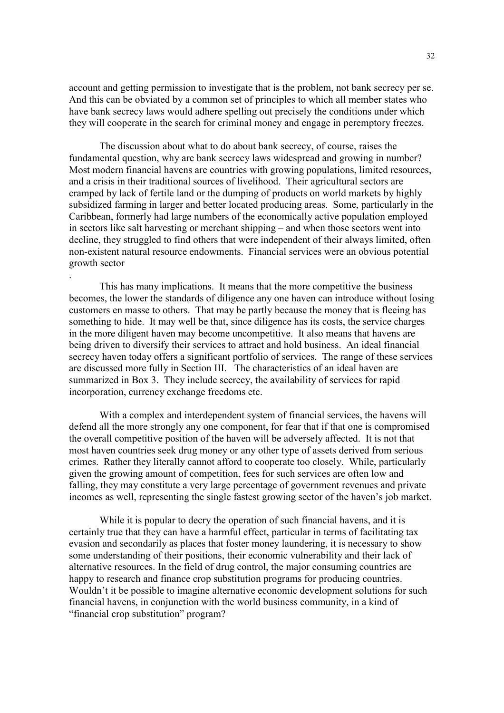account and getting permission to investigate that is the problem, not bank secrecy per se. And this can be obviated by a common set of principles to which all member states who have bank secrecy laws would adhere spelling out precisely the conditions under which they will cooperate in the search for criminal money and engage in peremptory freezes.

The discussion about what to do about bank secrecy, of course, raises the fundamental question, why are bank secrecy laws widespread and growing in number? Most modern financial havens are countries with growing populations, limited resources, and a crisis in their traditional sources of livelihood. Their agricultural sectors are cramped by lack of fertile land or the dumping of products on world markets by highly subsidized farming in larger and better located producing areas. Some, particularly in the Caribbean, formerly had large numbers of the economically active population employed in sectors like salt harvesting or merchant shipping – and when those sectors went into decline, they struggled to find others that were independent of their always limited, often non-existent natural resource endowments. Financial services were an obvious potential growth sector

This has many implications. It means that the more competitive the business becomes, the lower the standards of diligence any one haven can introduce without losing customers en masse to others. That may be partly because the money that is fleeing has something to hide. It may well be that, since diligence has its costs, the service charges in the more diligent haven may become uncompetitive. It also means that havens are being driven to diversify their services to attract and hold business. An ideal financial secrecy haven today offers a significant portfolio of services. The range of these services are discussed more fully in Section III. The characteristics of an ideal haven are summarized in Box 3. They include secrecy, the availability of services for rapid incorporation, currency exchange freedoms etc.

.

With a complex and interdependent system of financial services, the havens will defend all the more strongly any one component, for fear that if that one is compromised the overall competitive position of the haven will be adversely affected. It is not that most haven countries seek drug money or any other type of assets derived from serious crimes. Rather they literally cannot afford to cooperate too closely. While, particularly given the growing amount of competition, fees for such services are often low and falling, they may constitute a very large percentage of government revenues and private incomes as well, representing the single fastest growing sector of the haven's job market.

While it is popular to decry the operation of such financial havens, and it is certainly true that they can have a harmful effect, particular in terms of facilitating tax evasion and secondarily as places that foster money laundering, it is necessary to show some understanding of their positions, their economic vulnerability and their lack of alternative resources. In the field of drug control, the major consuming countries are happy to research and finance crop substitution programs for producing countries. Wouldn't it be possible to imagine alternative economic development solutions for such financial havens, in conjunction with the world business community, in a kind of "financial crop substitution" program?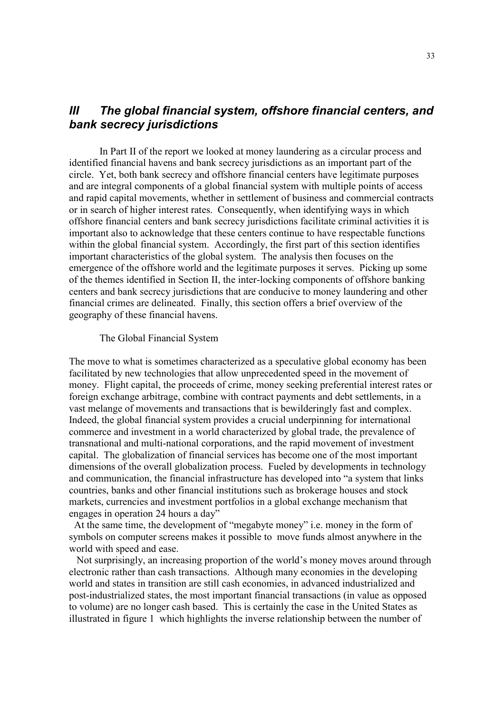# *III The global financial system, offshore financial centers, and bank secrecy jurisdictions*

In Part II of the report we looked at money laundering as a circular process and identified financial havens and bank secrecy jurisdictions as an important part of the circle. Yet, both bank secrecy and offshore financial centers have legitimate purposes and are integral components of a global financial system with multiple points of access and rapid capital movements, whether in settlement of business and commercial contracts or in search of higher interest rates. Consequently, when identifying ways in which offshore financial centers and bank secrecy jurisdictions facilitate criminal activities it is important also to acknowledge that these centers continue to have respectable functions within the global financial system. Accordingly, the first part of this section identifies important characteristics of the global system. The analysis then focuses on the emergence of the offshore world and the legitimate purposes it serves. Picking up some of the themes identified in Section II, the inter-locking components of offshore banking centers and bank secrecy jurisdictions that are conducive to money laundering and other financial crimes are delineated. Finally, this section offers a brief overview of the geography of these financial havens.

The Global Financial System

The move to what is sometimes characterized as a speculative global economy has been facilitated by new technologies that allow unprecedented speed in the movement of money. Flight capital, the proceeds of crime, money seeking preferential interest rates or foreign exchange arbitrage, combine with contract payments and debt settlements, in a vast melange of movements and transactions that is bewilderingly fast and complex. Indeed, the global financial system provides a crucial underpinning for international commerce and investment in a world characterized by global trade, the prevalence of transnational and multi-national corporations, and the rapid movement of investment capital. The globalization of financial services has become one of the most important dimensions of the overall globalization process. Fueled by developments in technology and communication, the financial infrastructure has developed into "a system that links countries, banks and other financial institutions such as brokerage houses and stock markets, currencies and investment portfolios in a global exchange mechanism that engages in operation 24 hours a day"

 At the same time, the development of "megabyte money" i.e. money in the form of symbols on computer screens makes it possible to move funds almost anywhere in the world with speed and ease.

 Not surprisingly, an increasing proportion of the world's money moves around through electronic rather than cash transactions. Although many economies in the developing world and states in transition are still cash economies, in advanced industrialized and post-industrialized states, the most important financial transactions (in value as opposed to volume) are no longer cash based. This is certainly the case in the United States as illustrated in figure 1 which highlights the inverse relationship between the number of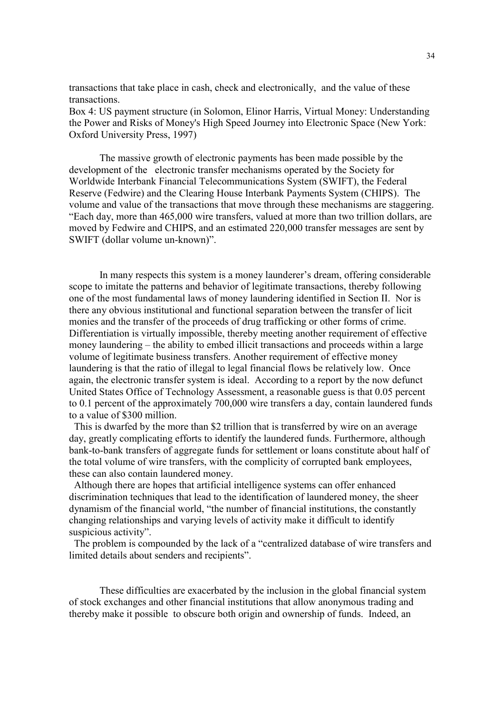transactions that take place in cash, check and electronically, and the value of these transactions.

Box 4: US payment structure (in Solomon, Elinor Harris, Virtual Money: Understanding the Power and Risks of Money's High Speed Journey into Electronic Space (New York: Oxford University Press, 1997)

The massive growth of electronic payments has been made possible by the development of the electronic transfer mechanisms operated by the Society for Worldwide Interbank Financial Telecommunications System (SWIFT), the Federal Reserve (Fedwire) and the Clearing House Interbank Payments System (CHIPS). The volume and value of the transactions that move through these mechanisms are staggering. "Each day, more than 465,000 wire transfers, valued at more than two trillion dollars, are moved by Fedwire and CHIPS, and an estimated 220,000 transfer messages are sent by SWIFT (dollar volume un-known)".

In many respects this system is a money launderer's dream, offering considerable scope to imitate the patterns and behavior of legitimate transactions, thereby following one of the most fundamental laws of money laundering identified in Section II. Nor is there any obvious institutional and functional separation between the transfer of licit monies and the transfer of the proceeds of drug trafficking or other forms of crime. Differentiation is virtually impossible, thereby meeting another requirement of effective money laundering – the ability to embed illicit transactions and proceeds within a large volume of legitimate business transfers. Another requirement of effective money laundering is that the ratio of illegal to legal financial flows be relatively low. Once again, the electronic transfer system is ideal. According to a report by the now defunct United States Office of Technology Assessment, a reasonable guess is that 0.05 percent to 0.1 percent of the approximately 700,000 wire transfers a day, contain laundered funds to a value of \$300 million.

 This is dwarfed by the more than \$2 trillion that is transferred by wire on an average day, greatly complicating efforts to identify the laundered funds. Furthermore, although bank-to-bank transfers of aggregate funds for settlement or loans constitute about half of the total volume of wire transfers, with the complicity of corrupted bank employees, these can also contain laundered money.

 Although there are hopes that artificial intelligence systems can offer enhanced discrimination techniques that lead to the identification of laundered money, the sheer dynamism of the financial world, "the number of financial institutions, the constantly changing relationships and varying levels of activity make it difficult to identify suspicious activity".

 The problem is compounded by the lack of a "centralized database of wire transfers and limited details about senders and recipients".

These difficulties are exacerbated by the inclusion in the global financial system of stock exchanges and other financial institutions that allow anonymous trading and thereby make it possible to obscure both origin and ownership of funds. Indeed, an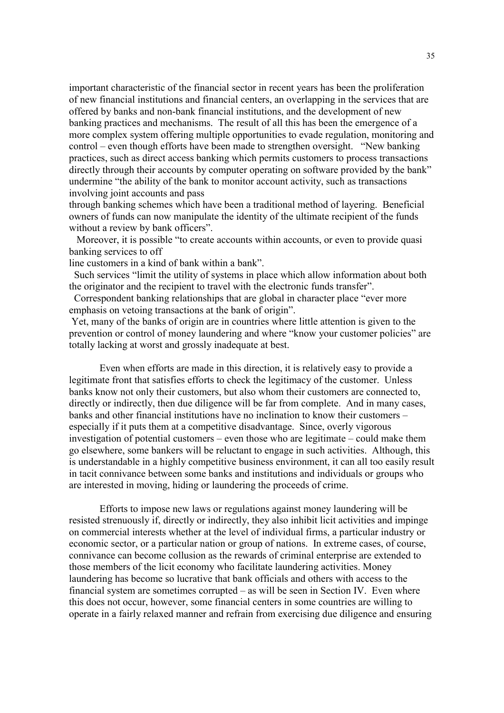important characteristic of the financial sector in recent years has been the proliferation of new financial institutions and financial centers, an overlapping in the services that are offered by banks and non-bank financial institutions, and the development of new banking practices and mechanisms. The result of all this has been the emergence of a more complex system offering multiple opportunities to evade regulation, monitoring and control – even though efforts have been made to strengthen oversight. "New banking practices, such as direct access banking which permits customers to process transactions directly through their accounts by computer operating on software provided by the bank" undermine "the ability of the bank to monitor account activity, such as transactions involving joint accounts and pass

through banking schemes which have been a traditional method of layering. Beneficial owners of funds can now manipulate the identity of the ultimate recipient of the funds without a review by bank officers".

Moreover, it is possible "to create accounts within accounts, or even to provide quasi banking services to off

line customers in a kind of bank within a bank".

 Such services "limit the utility of systems in place which allow information about both the originator and the recipient to travel with the electronic funds transfer".

 Correspondent banking relationships that are global in character place "ever more emphasis on vetoing transactions at the bank of origin".

 Yet, many of the banks of origin are in countries where little attention is given to the prevention or control of money laundering and where "know your customer policies" are totally lacking at worst and grossly inadequate at best.

Even when efforts are made in this direction, it is relatively easy to provide a legitimate front that satisfies efforts to check the legitimacy of the customer. Unless banks know not only their customers, but also whom their customers are connected to, directly or indirectly, then due diligence will be far from complete. And in many cases, banks and other financial institutions have no inclination to know their customers – especially if it puts them at a competitive disadvantage. Since, overly vigorous investigation of potential customers – even those who are legitimate – could make them go elsewhere, some bankers will be reluctant to engage in such activities. Although, this is understandable in a highly competitive business environment, it can all too easily result in tacit connivance between some banks and institutions and individuals or groups who are interested in moving, hiding or laundering the proceeds of crime.

Efforts to impose new laws or regulations against money laundering will be resisted strenuously if, directly or indirectly, they also inhibit licit activities and impinge on commercial interests whether at the level of individual firms, a particular industry or economic sector, or a particular nation or group of nations. In extreme cases, of course, connivance can become collusion as the rewards of criminal enterprise are extended to those members of the licit economy who facilitate laundering activities. Money laundering has become so lucrative that bank officials and others with access to the financial system are sometimes corrupted – as will be seen in Section IV. Even where this does not occur, however, some financial centers in some countries are willing to operate in a fairly relaxed manner and refrain from exercising due diligence and ensuring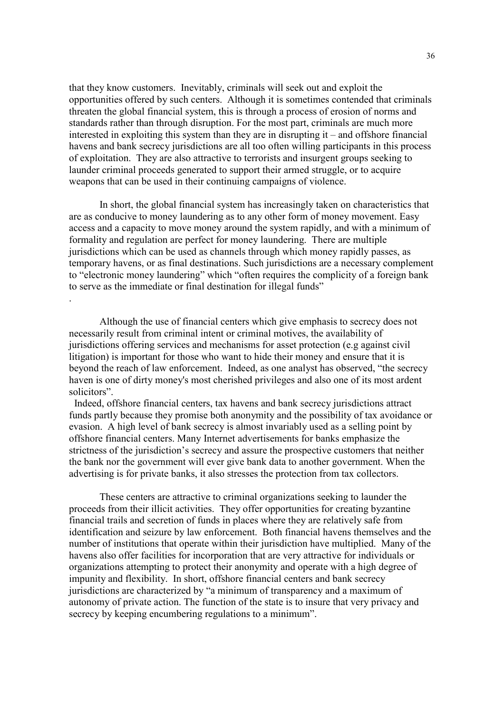that they know customers. Inevitably, criminals will seek out and exploit the opportunities offered by such centers. Although it is sometimes contended that criminals threaten the global financial system, this is through a process of erosion of norms and standards rather than through disruption. For the most part, criminals are much more interested in exploiting this system than they are in disrupting it – and offshore financial havens and bank secrecy jurisdictions are all too often willing participants in this process of exploitation. They are also attractive to terrorists and insurgent groups seeking to launder criminal proceeds generated to support their armed struggle, or to acquire weapons that can be used in their continuing campaigns of violence.

In short, the global financial system has increasingly taken on characteristics that are as conducive to money laundering as to any other form of money movement. Easy access and a capacity to move money around the system rapidly, and with a minimum of formality and regulation are perfect for money laundering. There are multiple jurisdictions which can be used as channels through which money rapidly passes, as temporary havens, or as final destinations. Such jurisdictions are a necessary complement to "electronic money laundering" which "often requires the complicity of a foreign bank to serve as the immediate or final destination for illegal funds" .

Although the use of financial centers which give emphasis to secrecy does not necessarily result from criminal intent or criminal motives, the availability of jurisdictions offering services and mechanisms for asset protection (e.g against civil litigation) is important for those who want to hide their money and ensure that it is beyond the reach of law enforcement. Indeed, as one analyst has observed, "the secrecy haven is one of dirty money's most cherished privileges and also one of its most ardent solicitors".

 Indeed, offshore financial centers, tax havens and bank secrecy jurisdictions attract funds partly because they promise both anonymity and the possibility of tax avoidance or evasion. A high level of bank secrecy is almost invariably used as a selling point by offshore financial centers. Many Internet advertisements for banks emphasize the strictness of the jurisdiction's secrecy and assure the prospective customers that neither the bank nor the government will ever give bank data to another government. When the advertising is for private banks, it also stresses the protection from tax collectors.

These centers are attractive to criminal organizations seeking to launder the proceeds from their illicit activities. They offer opportunities for creating byzantine financial trails and secretion of funds in places where they are relatively safe from identification and seizure by law enforcement. Both financial havens themselves and the number of institutions that operate within their jurisdiction have multiplied. Many of the havens also offer facilities for incorporation that are very attractive for individuals or organizations attempting to protect their anonymity and operate with a high degree of impunity and flexibility. In short, offshore financial centers and bank secrecy jurisdictions are characterized by "a minimum of transparency and a maximum of autonomy of private action. The function of the state is to insure that very privacy and secrecy by keeping encumbering regulations to a minimum".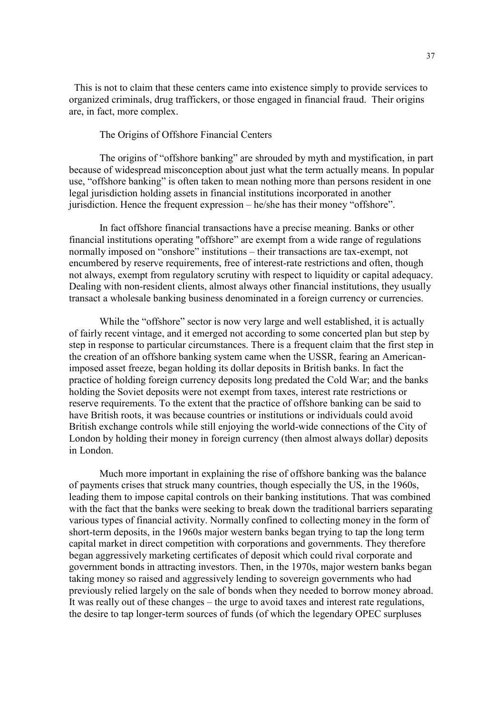This is not to claim that these centers came into existence simply to provide services to organized criminals, drug traffickers, or those engaged in financial fraud. Their origins are, in fact, more complex.

# The Origins of Offshore Financial Centers

The origins of "offshore banking" are shrouded by myth and mystification, in part because of widespread misconception about just what the term actually means. In popular use, "offshore banking" is often taken to mean nothing more than persons resident in one legal jurisdiction holding assets in financial institutions incorporated in another jurisdiction. Hence the frequent expression – he/she has their money "offshore".

In fact offshore financial transactions have a precise meaning. Banks or other financial institutions operating "offshore" are exempt from a wide range of regulations normally imposed on "onshore" institutions – their transactions are tax-exempt, not encumbered by reserve requirements, free of interest-rate restrictions and often, though not always, exempt from regulatory scrutiny with respect to liquidity or capital adequacy. Dealing with non-resident clients, almost always other financial institutions, they usually transact a wholesale banking business denominated in a foreign currency or currencies.

While the "offshore" sector is now very large and well established, it is actually of fairly recent vintage, and it emerged not according to some concerted plan but step by step in response to particular circumstances. There is a frequent claim that the first step in the creation of an offshore banking system came when the USSR, fearing an Americanimposed asset freeze, began holding its dollar deposits in British banks. In fact the practice of holding foreign currency deposits long predated the Cold War; and the banks holding the Soviet deposits were not exempt from taxes, interest rate restrictions or reserve requirements. To the extent that the practice of offshore banking can be said to have British roots, it was because countries or institutions or individuals could avoid British exchange controls while still enjoying the world-wide connections of the City of London by holding their money in foreign currency (then almost always dollar) deposits in London.

Much more important in explaining the rise of offshore banking was the balance of payments crises that struck many countries, though especially the US, in the 1960s, leading them to impose capital controls on their banking institutions. That was combined with the fact that the banks were seeking to break down the traditional barriers separating various types of financial activity. Normally confined to collecting money in the form of short-term deposits, in the 1960s major western banks began trying to tap the long term capital market in direct competition with corporations and governments. They therefore began aggressively marketing certificates of deposit which could rival corporate and government bonds in attracting investors. Then, in the 1970s, major western banks began taking money so raised and aggressively lending to sovereign governments who had previously relied largely on the sale of bonds when they needed to borrow money abroad. It was really out of these changes – the urge to avoid taxes and interest rate regulations, the desire to tap longer-term sources of funds (of which the legendary OPEC surpluses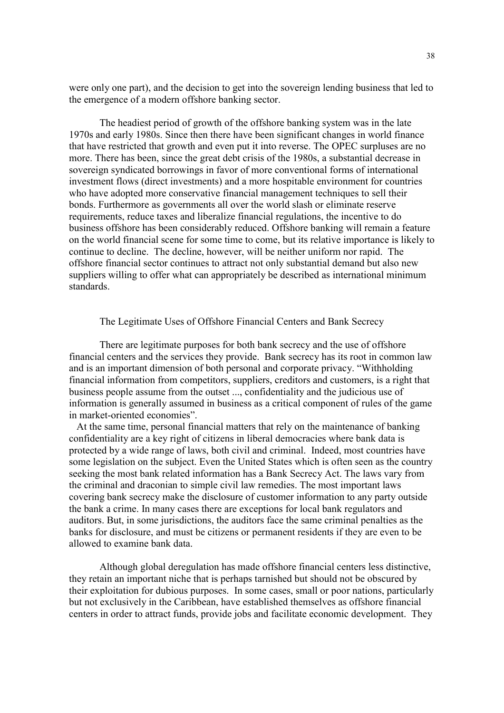were only one part), and the decision to get into the sovereign lending business that led to the emergence of a modern offshore banking sector.

The headiest period of growth of the offshore banking system was in the late 1970s and early 1980s. Since then there have been significant changes in world finance that have restricted that growth and even put it into reverse. The OPEC surpluses are no more. There has been, since the great debt crisis of the 1980s, a substantial decrease in sovereign syndicated borrowings in favor of more conventional forms of international investment flows (direct investments) and a more hospitable environment for countries who have adopted more conservative financial management techniques to sell their bonds. Furthermore as governments all over the world slash or eliminate reserve requirements, reduce taxes and liberalize financial regulations, the incentive to do business offshore has been considerably reduced. Offshore banking will remain a feature on the world financial scene for some time to come, but its relative importance is likely to continue to decline. The decline, however, will be neither uniform nor rapid. The offshore financial sector continues to attract not only substantial demand but also new suppliers willing to offer what can appropriately be described as international minimum standards.

# The Legitimate Uses of Offshore Financial Centers and Bank Secrecy

There are legitimate purposes for both bank secrecy and the use of offshore financial centers and the services they provide. Bank secrecy has its root in common law and is an important dimension of both personal and corporate privacy. "Withholding financial information from competitors, suppliers, creditors and customers, is a right that business people assume from the outset ..., confidentiality and the judicious use of information is generally assumed in business as a critical component of rules of the game in market-oriented economies".

 At the same time, personal financial matters that rely on the maintenance of banking confidentiality are a key right of citizens in liberal democracies where bank data is protected by a wide range of laws, both civil and criminal. Indeed, most countries have some legislation on the subject. Even the United States which is often seen as the country seeking the most bank related information has a Bank Secrecy Act. The laws vary from the criminal and draconian to simple civil law remedies. The most important laws covering bank secrecy make the disclosure of customer information to any party outside the bank a crime. In many cases there are exceptions for local bank regulators and auditors. But, in some jurisdictions, the auditors face the same criminal penalties as the banks for disclosure, and must be citizens or permanent residents if they are even to be allowed to examine bank data.

Although global deregulation has made offshore financial centers less distinctive, they retain an important niche that is perhaps tarnished but should not be obscured by their exploitation for dubious purposes. In some cases, small or poor nations, particularly but not exclusively in the Caribbean, have established themselves as offshore financial centers in order to attract funds, provide jobs and facilitate economic development. They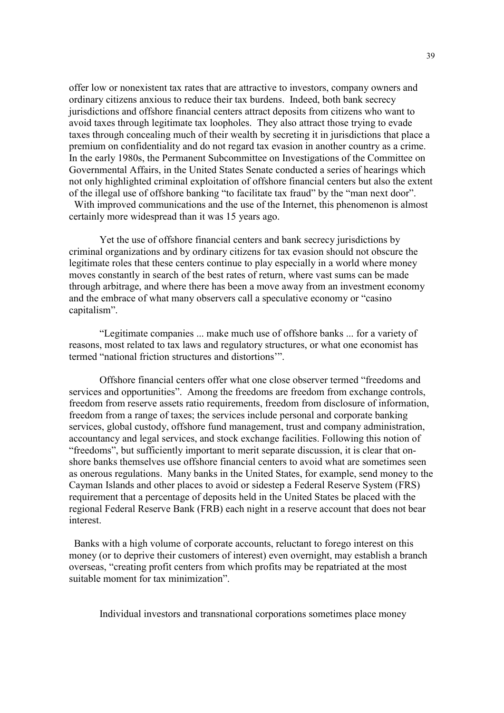offer low or nonexistent tax rates that are attractive to investors, company owners and ordinary citizens anxious to reduce their tax burdens. Indeed, both bank secrecy jurisdictions and offshore financial centers attract deposits from citizens who want to avoid taxes through legitimate tax loopholes. They also attract those trying to evade taxes through concealing much of their wealth by secreting it in jurisdictions that place a premium on confidentiality and do not regard tax evasion in another country as a crime. In the early 1980s, the Permanent Subcommittee on Investigations of the Committee on Governmental Affairs, in the United States Senate conducted a series of hearings which not only highlighted criminal exploitation of offshore financial centers but also the extent of the illegal use of offshore banking "to facilitate tax fraud" by the "man next door".

With improved communications and the use of the Internet, this phenomenon is almost certainly more widespread than it was 15 years ago.

Yet the use of offshore financial centers and bank secrecy jurisdictions by criminal organizations and by ordinary citizens for tax evasion should not obscure the legitimate roles that these centers continue to play especially in a world where money moves constantly in search of the best rates of return, where vast sums can be made through arbitrage, and where there has been a move away from an investment economy and the embrace of what many observers call a speculative economy or "casino capitalism".

 "Legitimate companies ... make much use of offshore banks ... for a variety of reasons, most related to tax laws and regulatory structures, or what one economist has termed "national friction structures and distortions'".

 Offshore financial centers offer what one close observer termed "freedoms and services and opportunities". Among the freedoms are freedom from exchange controls, freedom from reserve assets ratio requirements, freedom from disclosure of information, freedom from a range of taxes; the services include personal and corporate banking services, global custody, offshore fund management, trust and company administration, accountancy and legal services, and stock exchange facilities. Following this notion of "freedoms", but sufficiently important to merit separate discussion, it is clear that onshore banks themselves use offshore financial centers to avoid what are sometimes seen as onerous regulations. Many banks in the United States, for example, send money to the Cayman Islands and other places to avoid or sidestep a Federal Reserve System (FRS) requirement that a percentage of deposits held in the United States be placed with the regional Federal Reserve Bank (FRB) each night in a reserve account that does not bear interest.

 Banks with a high volume of corporate accounts, reluctant to forego interest on this money (or to deprive their customers of interest) even overnight, may establish a branch overseas, "creating profit centers from which profits may be repatriated at the most suitable moment for tax minimization".

Individual investors and transnational corporations sometimes place money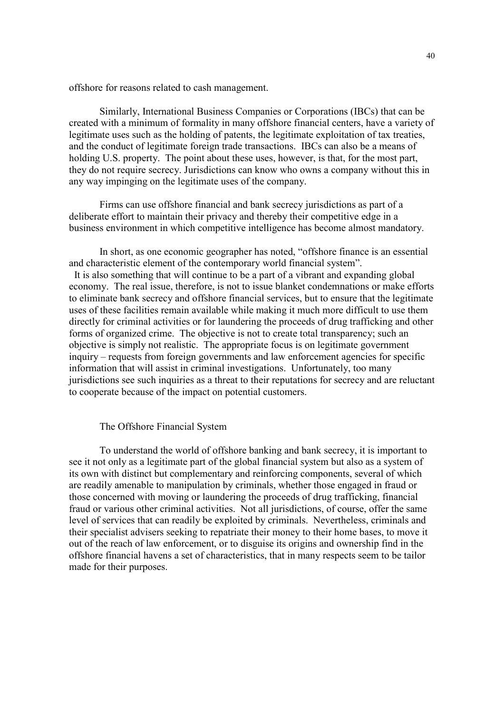offshore for reasons related to cash management.

 Similarly, International Business Companies or Corporations (IBCs) that can be created with a minimum of formality in many offshore financial centers, have a variety of legitimate uses such as the holding of patents, the legitimate exploitation of tax treaties, and the conduct of legitimate foreign trade transactions. IBCs can also be a means of holding U.S. property. The point about these uses, however, is that, for the most part, they do not require secrecy. Jurisdictions can know who owns a company without this in any way impinging on the legitimate uses of the company.

 Firms can use offshore financial and bank secrecy jurisdictions as part of a deliberate effort to maintain their privacy and thereby their competitive edge in a business environment in which competitive intelligence has become almost mandatory.

In short, as one economic geographer has noted, "offshore finance is an essential and characteristic element of the contemporary world financial system".

 It is also something that will continue to be a part of a vibrant and expanding global economy. The real issue, therefore, is not to issue blanket condemnations or make efforts to eliminate bank secrecy and offshore financial services, but to ensure that the legitimate uses of these facilities remain available while making it much more difficult to use them directly for criminal activities or for laundering the proceeds of drug trafficking and other forms of organized crime. The objective is not to create total transparency; such an objective is simply not realistic. The appropriate focus is on legitimate government inquiry – requests from foreign governments and law enforcement agencies for specific information that will assist in criminal investigations. Unfortunately, too many jurisdictions see such inquiries as a threat to their reputations for secrecy and are reluctant to cooperate because of the impact on potential customers.

## The Offshore Financial System

To understand the world of offshore banking and bank secrecy, it is important to see it not only as a legitimate part of the global financial system but also as a system of its own with distinct but complementary and reinforcing components, several of which are readily amenable to manipulation by criminals, whether those engaged in fraud or those concerned with moving or laundering the proceeds of drug trafficking, financial fraud or various other criminal activities. Not all jurisdictions, of course, offer the same level of services that can readily be exploited by criminals. Nevertheless, criminals and their specialist advisers seeking to repatriate their money to their home bases, to move it out of the reach of law enforcement, or to disguise its origins and ownership find in the offshore financial havens a set of characteristics, that in many respects seem to be tailor made for their purposes.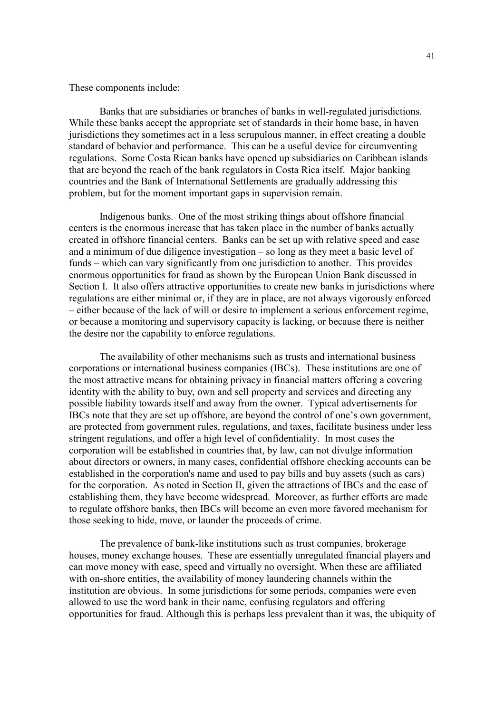These components include:

 Banks that are subsidiaries or branches of banks in well-regulated jurisdictions. While these banks accept the appropriate set of standards in their home base, in haven jurisdictions they sometimes act in a less scrupulous manner, in effect creating a double standard of behavior and performance. This can be a useful device for circumventing regulations. Some Costa Rican banks have opened up subsidiaries on Caribbean islands that are beyond the reach of the bank regulators in Costa Rica itself. Major banking countries and the Bank of International Settlements are gradually addressing this problem, but for the moment important gaps in supervision remain.

 Indigenous banks. One of the most striking things about offshore financial centers is the enormous increase that has taken place in the number of banks actually created in offshore financial centers. Banks can be set up with relative speed and ease and a minimum of due diligence investigation – so long as they meet a basic level of funds – which can vary significantly from one jurisdiction to another. This provides enormous opportunities for fraud as shown by the European Union Bank discussed in Section I. It also offers attractive opportunities to create new banks in jurisdictions where regulations are either minimal or, if they are in place, are not always vigorously enforced – either because of the lack of will or desire to implement a serious enforcement regime, or because a monitoring and supervisory capacity is lacking, or because there is neither the desire nor the capability to enforce regulations.

 The availability of other mechanisms such as trusts and international business corporations or international business companies (IBCs). These institutions are one of the most attractive means for obtaining privacy in financial matters offering a covering identity with the ability to buy, own and sell property and services and directing any possible liability towards itself and away from the owner. Typical advertisements for IBCs note that they are set up offshore, are beyond the control of one's own government, are protected from government rules, regulations, and taxes, facilitate business under less stringent regulations, and offer a high level of confidentiality. In most cases the corporation will be established in countries that, by law, can not divulge information about directors or owners, in many cases, confidential offshore checking accounts can be established in the corporation's name and used to pay bills and buy assets (such as cars) for the corporation. As noted in Section II, given the attractions of IBCs and the ease of establishing them, they have become widespread. Moreover, as further efforts are made to regulate offshore banks, then IBCs will become an even more favored mechanism for those seeking to hide, move, or launder the proceeds of crime.

 The prevalence of bank-like institutions such as trust companies, brokerage houses, money exchange houses. These are essentially unregulated financial players and can move money with ease, speed and virtually no oversight. When these are affiliated with on-shore entities, the availability of money laundering channels within the institution are obvious. In some jurisdictions for some periods, companies were even allowed to use the word bank in their name, confusing regulators and offering opportunities for fraud. Although this is perhaps less prevalent than it was, the ubiquity of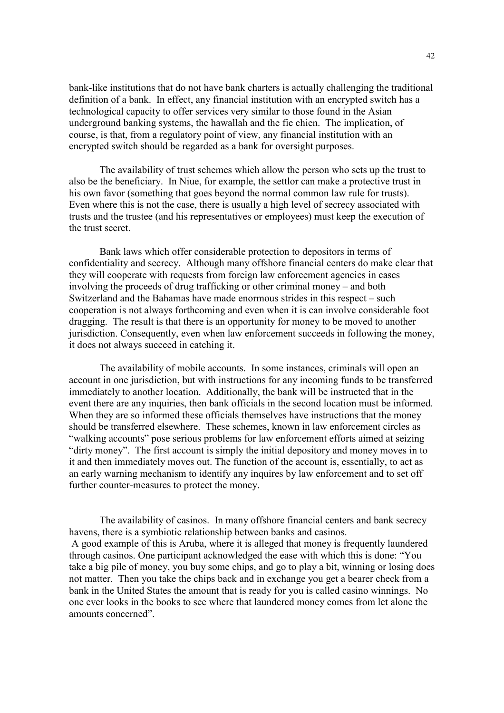bank-like institutions that do not have bank charters is actually challenging the traditional definition of a bank. In effect, any financial institution with an encrypted switch has a technological capacity to offer services very similar to those found in the Asian underground banking systems, the hawallah and the fie chien. The implication, of course, is that, from a regulatory point of view, any financial institution with an encrypted switch should be regarded as a bank for oversight purposes.

 The availability of trust schemes which allow the person who sets up the trust to also be the beneficiary. In Niue, for example, the settlor can make a protective trust in his own favor (something that goes beyond the normal common law rule for trusts). Even where this is not the case, there is usually a high level of secrecy associated with trusts and the trustee (and his representatives or employees) must keep the execution of the trust secret.

 Bank laws which offer considerable protection to depositors in terms of confidentiality and secrecy. Although many offshore financial centers do make clear that they will cooperate with requests from foreign law enforcement agencies in cases involving the proceeds of drug trafficking or other criminal money – and both Switzerland and the Bahamas have made enormous strides in this respect – such cooperation is not always forthcoming and even when it is can involve considerable foot dragging. The result is that there is an opportunity for money to be moved to another jurisdiction. Consequently, even when law enforcement succeeds in following the money, it does not always succeed in catching it.

 The availability of mobile accounts. In some instances, criminals will open an account in one jurisdiction, but with instructions for any incoming funds to be transferred immediately to another location. Additionally, the bank will be instructed that in the event there are any inquiries, then bank officials in the second location must be informed. When they are so informed these officials themselves have instructions that the money should be transferred elsewhere. These schemes, known in law enforcement circles as "walking accounts" pose serious problems for law enforcement efforts aimed at seizing "dirty money". The first account is simply the initial depository and money moves in to it and then immediately moves out. The function of the account is, essentially, to act as an early warning mechanism to identify any inquires by law enforcement and to set off further counter-measures to protect the money.

 The availability of casinos. In many offshore financial centers and bank secrecy havens, there is a symbiotic relationship between banks and casinos. A good example of this is Aruba, where it is alleged that money is frequently laundered through casinos. One participant acknowledged the ease with which this is done: "You take a big pile of money, you buy some chips, and go to play a bit, winning or losing does not matter. Then you take the chips back and in exchange you get a bearer check from a bank in the United States the amount that is ready for you is called casino winnings. No one ever looks in the books to see where that laundered money comes from let alone the amounts concerned".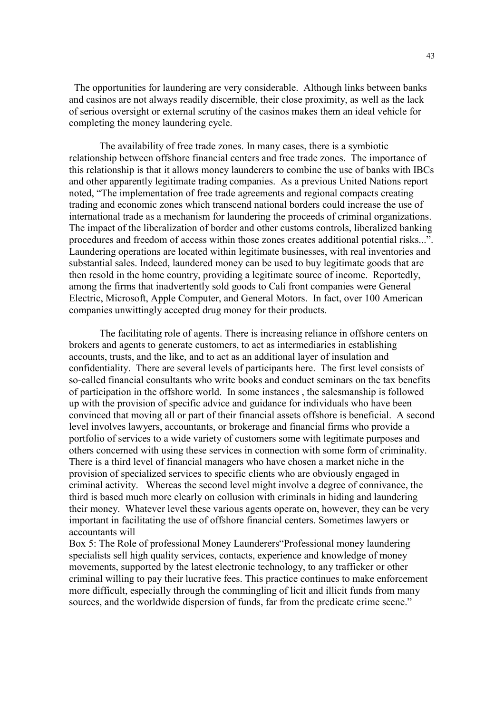The opportunities for laundering are very considerable. Although links between banks and casinos are not always readily discernible, their close proximity, as well as the lack of serious oversight or external scrutiny of the casinos makes them an ideal vehicle for completing the money laundering cycle.

 The availability of free trade zones. In many cases, there is a symbiotic relationship between offshore financial centers and free trade zones. The importance of this relationship is that it allows money launderers to combine the use of banks with IBCs and other apparently legitimate trading companies. As a previous United Nations report noted, "The implementation of free trade agreements and regional compacts creating trading and economic zones which transcend national borders could increase the use of international trade as a mechanism for laundering the proceeds of criminal organizations. The impact of the liberalization of border and other customs controls, liberalized banking procedures and freedom of access within those zones creates additional potential risks...". Laundering operations are located within legitimate businesses, with real inventories and substantial sales. Indeed, laundered money can be used to buy legitimate goods that are then resold in the home country, providing a legitimate source of income. Reportedly, among the firms that inadvertently sold goods to Cali front companies were General Electric, Microsoft, Apple Computer, and General Motors. In fact, over 100 American companies unwittingly accepted drug money for their products.

 The facilitating role of agents. There is increasing reliance in offshore centers on brokers and agents to generate customers, to act as intermediaries in establishing accounts, trusts, and the like, and to act as an additional layer of insulation and confidentiality. There are several levels of participants here. The first level consists of so-called financial consultants who write books and conduct seminars on the tax benefits of participation in the offshore world. In some instances , the salesmanship is followed up with the provision of specific advice and guidance for individuals who have been convinced that moving all or part of their financial assets offshore is beneficial. A second level involves lawyers, accountants, or brokerage and financial firms who provide a portfolio of services to a wide variety of customers some with legitimate purposes and others concerned with using these services in connection with some form of criminality. There is a third level of financial managers who have chosen a market niche in the provision of specialized services to specific clients who are obviously engaged in criminal activity. Whereas the second level might involve a degree of connivance, the third is based much more clearly on collusion with criminals in hiding and laundering their money. Whatever level these various agents operate on, however, they can be very important in facilitating the use of offshore financial centers. Sometimes lawyers or accountants will

Box 5: The Role of professional Money Launderers"Professional money laundering specialists sell high quality services, contacts, experience and knowledge of money movements, supported by the latest electronic technology, to any trafficker or other criminal willing to pay their lucrative fees. This practice continues to make enforcement more difficult, especially through the commingling of licit and illicit funds from many sources, and the worldwide dispersion of funds, far from the predicate crime scene."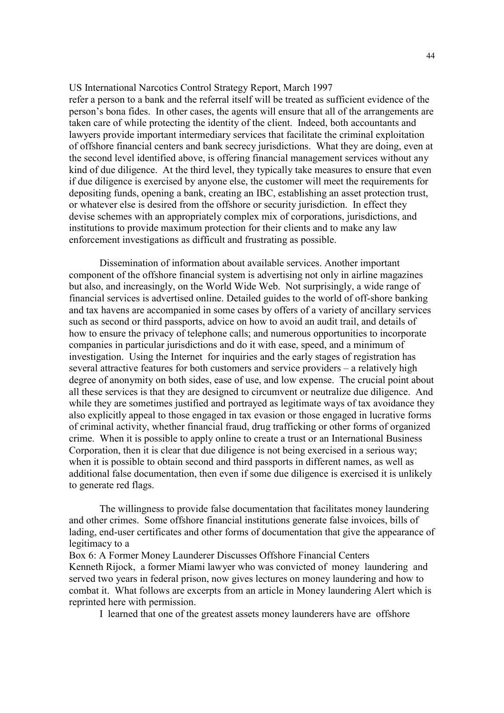#### US International Narcotics Control Strategy Report, March 1997

refer a person to a bank and the referral itself will be treated as sufficient evidence of the person's bona fides. In other cases, the agents will ensure that all of the arrangements are taken care of while protecting the identity of the client. Indeed, both accountants and lawyers provide important intermediary services that facilitate the criminal exploitation of offshore financial centers and bank secrecy jurisdictions. What they are doing, even at the second level identified above, is offering financial management services without any kind of due diligence. At the third level, they typically take measures to ensure that even if due diligence is exercised by anyone else, the customer will meet the requirements for depositing funds, opening a bank, creating an IBC, establishing an asset protection trust, or whatever else is desired from the offshore or security jurisdiction. In effect they devise schemes with an appropriately complex mix of corporations, jurisdictions, and institutions to provide maximum protection for their clients and to make any law enforcement investigations as difficult and frustrating as possible.

 Dissemination of information about available services. Another important component of the offshore financial system is advertising not only in airline magazines but also, and increasingly, on the World Wide Web. Not surprisingly, a wide range of financial services is advertised online. Detailed guides to the world of off-shore banking and tax havens are accompanied in some cases by offers of a variety of ancillary services such as second or third passports, advice on how to avoid an audit trail, and details of how to ensure the privacy of telephone calls; and numerous opportunities to incorporate companies in particular jurisdictions and do it with ease, speed, and a minimum of investigation. Using the Internet for inquiries and the early stages of registration has several attractive features for both customers and service providers – a relatively high degree of anonymity on both sides, ease of use, and low expense. The crucial point about all these services is that they are designed to circumvent or neutralize due diligence. And while they are sometimes justified and portrayed as legitimate ways of tax avoidance they also explicitly appeal to those engaged in tax evasion or those engaged in lucrative forms of criminal activity, whether financial fraud, drug trafficking or other forms of organized crime. When it is possible to apply online to create a trust or an International Business Corporation, then it is clear that due diligence is not being exercised in a serious way; when it is possible to obtain second and third passports in different names, as well as additional false documentation, then even if some due diligence is exercised it is unlikely to generate red flags.

 The willingness to provide false documentation that facilitates money laundering and other crimes. Some offshore financial institutions generate false invoices, bills of lading, end-user certificates and other forms of documentation that give the appearance of legitimacy to a

Box 6: A Former Money Launderer Discusses Offshore Financial Centers Kenneth Rijock, a former Miami lawyer who was convicted of money laundering and served two years in federal prison, now gives lectures on money laundering and how to combat it. What follows are excerpts from an article in Money laundering Alert which is reprinted here with permission.

I learned that one of the greatest assets money launderers have are offshore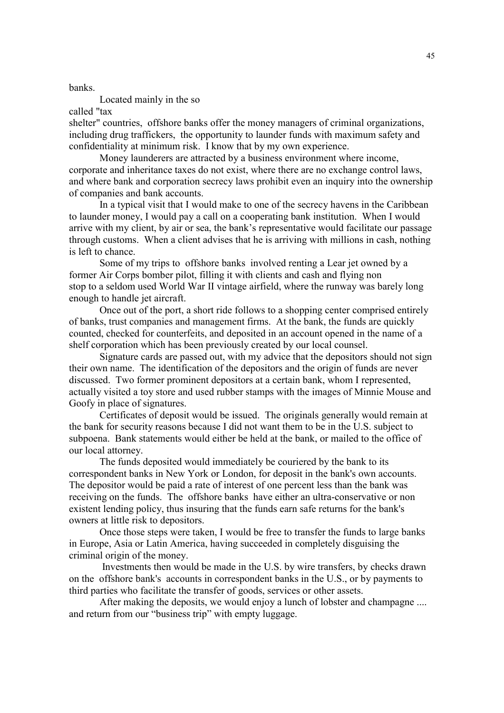banks.

Located mainly in the so

called "tax

shelter" countries, offshore banks offer the money managers of criminal organizations, including drug traffickers, the opportunity to launder funds with maximum safety and confidentiality at minimum risk. I know that by my own experience.

Money launderers are attracted by a business environment where income, corporate and inheritance taxes do not exist, where there are no exchange control laws, and where bank and corporation secrecy laws prohibit even an inquiry into the ownership of companies and bank accounts.

In a typical visit that I would make to one of the secrecy havens in the Caribbean to launder money, I would pay a call on a cooperating bank institution. When I would arrive with my client, by air or sea, the bank's representative would facilitate our passage through customs. When a client advises that he is arriving with millions in cash, nothing is left to chance.

Some of my trips to offshore banks involved renting a Lear jet owned by a former Air Corps bomber pilot, filling it with clients and cash and flying non stop to a seldom used World War II vintage airfield, where the runway was barely long enough to handle jet aircraft.

Once out of the port, a short ride follows to a shopping center comprised entirely of banks, trust companies and management firms. At the bank, the funds are quickly counted, checked for counterfeits, and deposited in an account opened in the name of a shelf corporation which has been previously created by our local counsel.

 Signature cards are passed out, with my advice that the depositors should not sign their own name. The identification of the depositors and the origin of funds are never discussed. Two former prominent depositors at a certain bank, whom I represented, actually visited a toy store and used rubber stamps with the images of Minnie Mouse and Goofy in place of signatures.

 Certificates of deposit would be issued. The originals generally would remain at the bank for security reasons because I did not want them to be in the U.S. subject to subpoena. Bank statements would either be held at the bank, or mailed to the office of our local attorney.

 The funds deposited would immediately be couriered by the bank to its correspondent banks in New York or London, for deposit in the bank's own accounts. The depositor would be paid a rate of interest of one percent less than the bank was receiving on the funds. The offshore banks have either an ultra-conservative or non existent lending policy, thus insuring that the funds earn safe returns for the bank's owners at little risk to depositors.

 Once those steps were taken, I would be free to transfer the funds to large banks in Europe, Asia or Latin America, having succeeded in completely disguising the criminal origin of the money.

 Investments then would be made in the U.S. by wire transfers, by checks drawn on the offshore bank's accounts in correspondent banks in the U.S., or by payments to third parties who facilitate the transfer of goods, services or other assets.

 After making the deposits, we would enjoy a lunch of lobster and champagne .... and return from our "business trip" with empty luggage.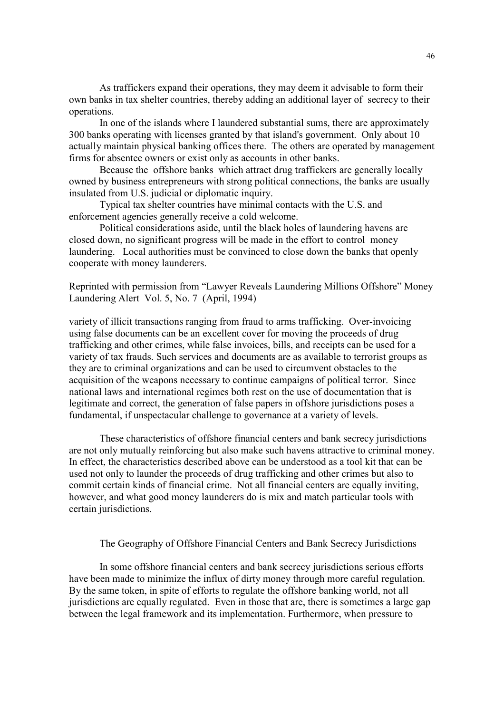As traffickers expand their operations, they may deem it advisable to form their own banks in tax shelter countries, thereby adding an additional layer of secrecy to their operations.

 In one of the islands where I laundered substantial sums, there are approximately 300 banks operating with licenses granted by that island's government. Only about 10 actually maintain physical banking offices there. The others are operated by management firms for absentee owners or exist only as accounts in other banks.

Because the offshore banks which attract drug traffickers are generally locally owned by business entrepreneurs with strong political connections, the banks are usually insulated from U.S. judicial or diplomatic inquiry.

Typical tax shelter countries have minimal contacts with the U.S. and enforcement agencies generally receive a cold welcome.

Political considerations aside, until the black holes of laundering havens are closed down, no significant progress will be made in the effort to control money laundering. Local authorities must be convinced to close down the banks that openly cooperate with money launderers.

Reprinted with permission from "Lawyer Reveals Laundering Millions Offshore" Money Laundering Alert Vol. 5, No. 7 (April, 1994)

variety of illicit transactions ranging from fraud to arms trafficking. Over-invoicing using false documents can be an excellent cover for moving the proceeds of drug trafficking and other crimes, while false invoices, bills, and receipts can be used for a variety of tax frauds. Such services and documents are as available to terrorist groups as they are to criminal organizations and can be used to circumvent obstacles to the acquisition of the weapons necessary to continue campaigns of political terror. Since national laws and international regimes both rest on the use of documentation that is legitimate and correct, the generation of false papers in offshore jurisdictions poses a fundamental, if unspectacular challenge to governance at a variety of levels.

These characteristics of offshore financial centers and bank secrecy jurisdictions are not only mutually reinforcing but also make such havens attractive to criminal money. In effect, the characteristics described above can be understood as a tool kit that can be used not only to launder the proceeds of drug trafficking and other crimes but also to commit certain kinds of financial crime. Not all financial centers are equally inviting, however, and what good money launderers do is mix and match particular tools with certain jurisdictions.

# The Geography of Offshore Financial Centers and Bank Secrecy Jurisdictions

In some offshore financial centers and bank secrecy jurisdictions serious efforts have been made to minimize the influx of dirty money through more careful regulation. By the same token, in spite of efforts to regulate the offshore banking world, not all jurisdictions are equally regulated. Even in those that are, there is sometimes a large gap between the legal framework and its implementation. Furthermore, when pressure to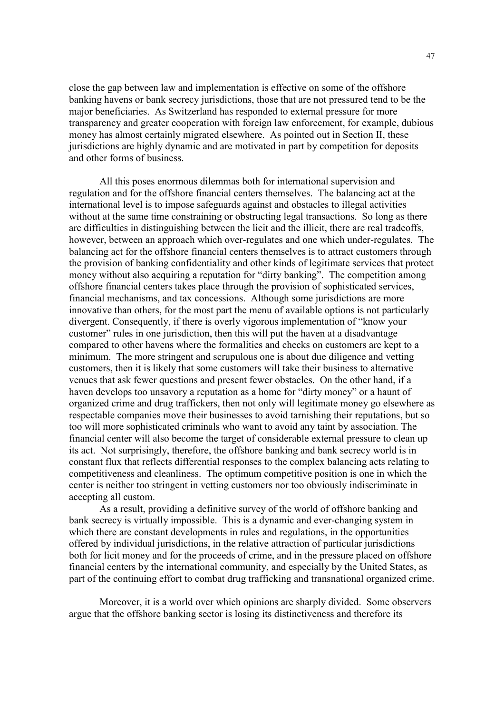close the gap between law and implementation is effective on some of the offshore banking havens or bank secrecy jurisdictions, those that are not pressured tend to be the major beneficiaries. As Switzerland has responded to external pressure for more transparency and greater cooperation with foreign law enforcement, for example, dubious money has almost certainly migrated elsewhere. As pointed out in Section II, these jurisdictions are highly dynamic and are motivated in part by competition for deposits and other forms of business.

All this poses enormous dilemmas both for international supervision and regulation and for the offshore financial centers themselves. The balancing act at the international level is to impose safeguards against and obstacles to illegal activities without at the same time constraining or obstructing legal transactions. So long as there are difficulties in distinguishing between the licit and the illicit, there are real tradeoffs, however, between an approach which over-regulates and one which under-regulates. The balancing act for the offshore financial centers themselves is to attract customers through the provision of banking confidentiality and other kinds of legitimate services that protect money without also acquiring a reputation for "dirty banking". The competition among offshore financial centers takes place through the provision of sophisticated services, financial mechanisms, and tax concessions. Although some jurisdictions are more innovative than others, for the most part the menu of available options is not particularly divergent. Consequently, if there is overly vigorous implementation of "know your customer" rules in one jurisdiction, then this will put the haven at a disadvantage compared to other havens where the formalities and checks on customers are kept to a minimum. The more stringent and scrupulous one is about due diligence and vetting customers, then it is likely that some customers will take their business to alternative venues that ask fewer questions and present fewer obstacles. On the other hand, if a haven develops too unsavory a reputation as a home for "dirty money" or a haunt of organized crime and drug traffickers, then not only will legitimate money go elsewhere as respectable companies move their businesses to avoid tarnishing their reputations, but so too will more sophisticated criminals who want to avoid any taint by association. The financial center will also become the target of considerable external pressure to clean up its act. Not surprisingly, therefore, the offshore banking and bank secrecy world is in constant flux that reflects differential responses to the complex balancing acts relating to competitiveness and cleanliness. The optimum competitive position is one in which the center is neither too stringent in vetting customers nor too obviously indiscriminate in accepting all custom.

As a result, providing a definitive survey of the world of offshore banking and bank secrecy is virtually impossible. This is a dynamic and ever-changing system in which there are constant developments in rules and regulations, in the opportunities offered by individual jurisdictions, in the relative attraction of particular jurisdictions both for licit money and for the proceeds of crime, and in the pressure placed on offshore financial centers by the international community, and especially by the United States, as part of the continuing effort to combat drug trafficking and transnational organized crime.

Moreover, it is a world over which opinions are sharply divided. Some observers argue that the offshore banking sector is losing its distinctiveness and therefore its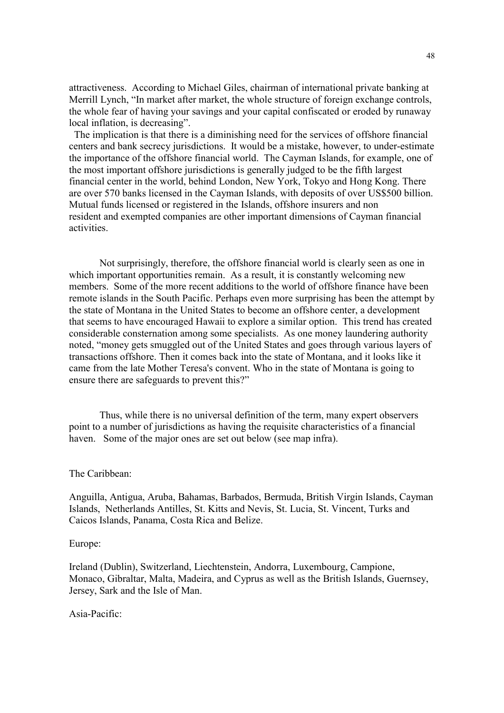attractiveness. According to Michael Giles, chairman of international private banking at Merrill Lynch, "In market after market, the whole structure of foreign exchange controls, the whole fear of having your savings and your capital confiscated or eroded by runaway local inflation, is decreasing".

 The implication is that there is a diminishing need for the services of offshore financial centers and bank secrecy jurisdictions. It would be a mistake, however, to under-estimate the importance of the offshore financial world. The Cayman Islands, for example, one of the most important offshore jurisdictions is generally judged to be the fifth largest financial center in the world, behind London, New York, Tokyo and Hong Kong. There are over 570 banks licensed in the Cayman Islands, with deposits of over US\$500 billion. Mutual funds licensed or registered in the Islands, offshore insurers and non resident and exempted companies are other important dimensions of Cayman financial activities.

Not surprisingly, therefore, the offshore financial world is clearly seen as one in which important opportunities remain. As a result, it is constantly welcoming new members. Some of the more recent additions to the world of offshore finance have been remote islands in the South Pacific. Perhaps even more surprising has been the attempt by the state of Montana in the United States to become an offshore center, a development that seems to have encouraged Hawaii to explore a similar option. This trend has created considerable consternation among some specialists. As one money laundering authority noted, "money gets smuggled out of the United States and goes through various layers of transactions offshore. Then it comes back into the state of Montana, and it looks like it came from the late Mother Teresa's convent. Who in the state of Montana is going to ensure there are safeguards to prevent this?"

Thus, while there is no universal definition of the term, many expert observers point to a number of jurisdictions as having the requisite characteristics of a financial haven. Some of the major ones are set out below (see map infra).

### The Caribbean:

Anguilla, Antigua, Aruba, Bahamas, Barbados, Bermuda, British Virgin Islands, Cayman Islands, Netherlands Antilles, St. Kitts and Nevis, St. Lucia, St. Vincent, Turks and Caicos Islands, Panama, Costa Rica and Belize.

## Europe:

Ireland (Dublin), Switzerland, Liechtenstein, Andorra, Luxembourg, Campione, Monaco, Gibraltar, Malta, Madeira, and Cyprus as well as the British Islands, Guernsey, Jersey, Sark and the Isle of Man.

Asia-Pacific: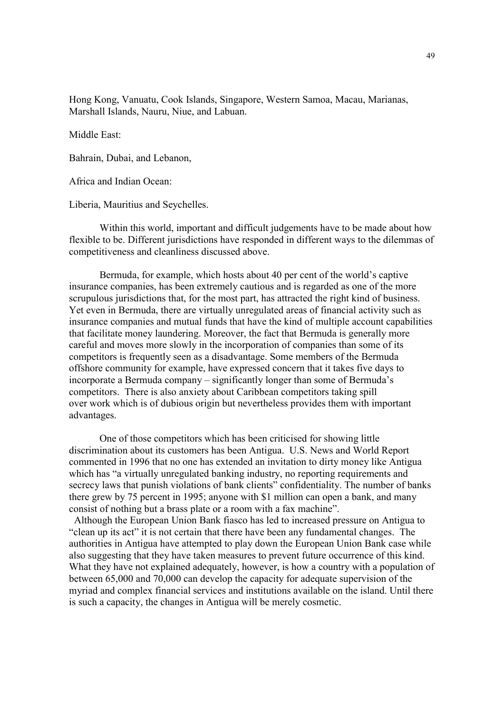Hong Kong, Vanuatu, Cook Islands, Singapore, Western Samoa, Macau, Marianas, Marshall Islands, Nauru, Niue, and Labuan.

Middle East:

Bahrain, Dubai, and Lebanon,

Africa and Indian Ocean:

Liberia, Mauritius and Seychelles.

Within this world, important and difficult judgements have to be made about how flexible to be. Different jurisdictions have responded in different ways to the dilemmas of competitiveness and cleanliness discussed above.

Bermuda, for example, which hosts about 40 per cent of the world's captive insurance companies, has been extremely cautious and is regarded as one of the more scrupulous jurisdictions that, for the most part, has attracted the right kind of business. Yet even in Bermuda, there are virtually unregulated areas of financial activity such as insurance companies and mutual funds that have the kind of multiple account capabilities that facilitate money laundering. Moreover, the fact that Bermuda is generally more careful and moves more slowly in the incorporation of companies than some of its competitors is frequently seen as a disadvantage. Some members of the Bermuda offshore community for example, have expressed concern that it takes five days to incorporate a Bermuda company – significantly longer than some of Bermuda's competitors. There is also anxiety about Caribbean competitors taking spill over work which is of dubious origin but nevertheless provides them with important advantages.

One of those competitors which has been criticised for showing little discrimination about its customers has been Antigua. U.S. News and World Report commented in 1996 that no one has extended an invitation to dirty money like Antigua which has "a virtually unregulated banking industry, no reporting requirements and secrecy laws that punish violations of bank clients" confidentiality. The number of banks there grew by 75 percent in 1995; anyone with \$1 million can open a bank, and many consist of nothing but a brass plate or a room with a fax machine".

 Although the European Union Bank fiasco has led to increased pressure on Antigua to "clean up its act" it is not certain that there have been any fundamental changes. The authorities in Antigua have attempted to play down the European Union Bank case while also suggesting that they have taken measures to prevent future occurrence of this kind. What they have not explained adequately, however, is how a country with a population of between 65,000 and 70,000 can develop the capacity for adequate supervision of the myriad and complex financial services and institutions available on the island. Until there is such a capacity, the changes in Antigua will be merely cosmetic.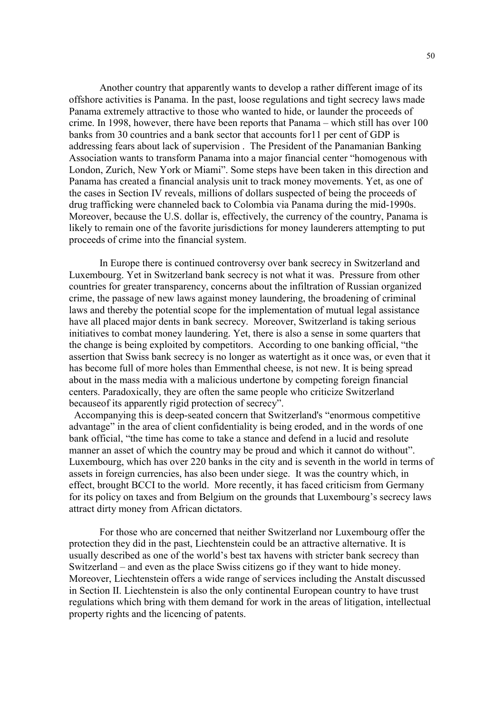Another country that apparently wants to develop a rather different image of its offshore activities is Panama. In the past, loose regulations and tight secrecy laws made Panama extremely attractive to those who wanted to hide, or launder the proceeds of crime. In 1998, however, there have been reports that Panama – which still has over 100 banks from 30 countries and a bank sector that accounts for11 per cent of GDP is addressing fears about lack of supervision . The President of the Panamanian Banking Association wants to transform Panama into a major financial center "homogenous with London, Zurich, New York or Miami". Some steps have been taken in this direction and Panama has created a financial analysis unit to track money movements. Yet, as one of the cases in Section IV reveals, millions of dollars suspected of being the proceeds of drug trafficking were channeled back to Colombia via Panama during the mid-1990s. Moreover, because the U.S. dollar is, effectively, the currency of the country, Panama is likely to remain one of the favorite jurisdictions for money launderers attempting to put proceeds of crime into the financial system.

In Europe there is continued controversy over bank secrecy in Switzerland and Luxembourg. Yet in Switzerland bank secrecy is not what it was. Pressure from other countries for greater transparency, concerns about the infiltration of Russian organized crime, the passage of new laws against money laundering, the broadening of criminal laws and thereby the potential scope for the implementation of mutual legal assistance have all placed major dents in bank secrecy. Moreover, Switzerland is taking serious initiatives to combat money laundering. Yet, there is also a sense in some quarters that the change is being exploited by competitors. According to one banking official, "the assertion that Swiss bank secrecy is no longer as watertight as it once was, or even that it has become full of more holes than Emmenthal cheese, is not new. It is being spread about in the mass media with a malicious undertone by competing foreign financial centers. Paradoxically, they are often the same people who criticize Switzerland becauseof its apparently rigid protection of secrecy".

 Accompanying this is deep-seated concern that Switzerland's "enormous competitive advantage" in the area of client confidentiality is being eroded, and in the words of one bank official, "the time has come to take a stance and defend in a lucid and resolute manner an asset of which the country may be proud and which it cannot do without". Luxembourg, which has over 220 banks in the city and is seventh in the world in terms of assets in foreign currencies, has also been under siege. It was the country which, in effect, brought BCCI to the world. More recently, it has faced criticism from Germany for its policy on taxes and from Belgium on the grounds that Luxembourg's secrecy laws attract dirty money from African dictators.

For those who are concerned that neither Switzerland nor Luxembourg offer the protection they did in the past, Liechtenstein could be an attractive alternative. It is usually described as one of the world's best tax havens with stricter bank secrecy than Switzerland – and even as the place Swiss citizens go if they want to hide money. Moreover, Liechtenstein offers a wide range of services including the Anstalt discussed in Section II. Liechtenstein is also the only continental European country to have trust regulations which bring with them demand for work in the areas of litigation, intellectual property rights and the licencing of patents.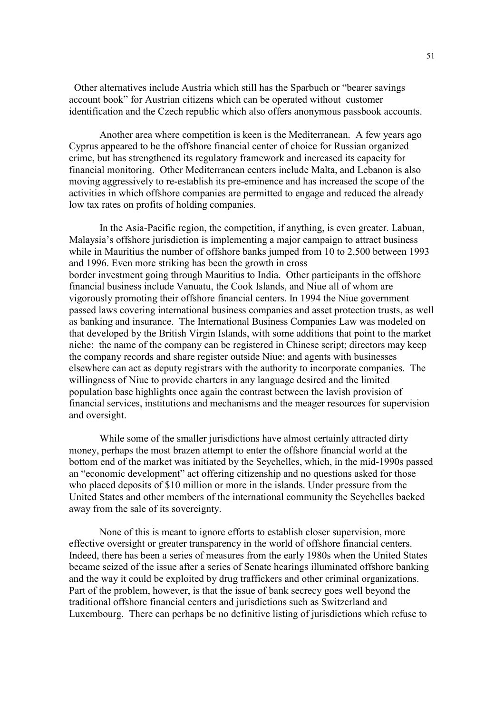Other alternatives include Austria which still has the Sparbuch or "bearer savings account book" for Austrian citizens which can be operated without customer identification and the Czech republic which also offers anonymous passbook accounts.

Another area where competition is keen is the Mediterranean. A few years ago Cyprus appeared to be the offshore financial center of choice for Russian organized crime, but has strengthened its regulatory framework and increased its capacity for financial monitoring. Other Mediterranean centers include Malta, and Lebanon is also moving aggressively to re-establish its pre-eminence and has increased the scope of the activities in which offshore companies are permitted to engage and reduced the already low tax rates on profits of holding companies.

In the Asia-Pacific region, the competition, if anything, is even greater. Labuan, Malaysia's offshore jurisdiction is implementing a major campaign to attract business while in Mauritius the number of offshore banks jumped from 10 to 2,500 between 1993 and 1996. Even more striking has been the growth in cross border investment going through Mauritius to India. Other participants in the offshore financial business include Vanuatu, the Cook Islands, and Niue all of whom are vigorously promoting their offshore financial centers. In 1994 the Niue government passed laws covering international business companies and asset protection trusts, as well as banking and insurance. The International Business Companies Law was modeled on that developed by the British Virgin Islands, with some additions that point to the market niche: the name of the company can be registered in Chinese script; directors may keep the company records and share register outside Niue; and agents with businesses elsewhere can act as deputy registrars with the authority to incorporate companies. The willingness of Niue to provide charters in any language desired and the limited population base highlights once again the contrast between the lavish provision of financial services, institutions and mechanisms and the meager resources for supervision and oversight.

While some of the smaller jurisdictions have almost certainly attracted dirty money, perhaps the most brazen attempt to enter the offshore financial world at the bottom end of the market was initiated by the Seychelles, which, in the mid-1990s passed an "economic development" act offering citizenship and no questions asked for those who placed deposits of \$10 million or more in the islands. Under pressure from the United States and other members of the international community the Seychelles backed away from the sale of its sovereignty.

None of this is meant to ignore efforts to establish closer supervision, more effective oversight or greater transparency in the world of offshore financial centers. Indeed, there has been a series of measures from the early 1980s when the United States became seized of the issue after a series of Senate hearings illuminated offshore banking and the way it could be exploited by drug traffickers and other criminal organizations. Part of the problem, however, is that the issue of bank secrecy goes well beyond the traditional offshore financial centers and jurisdictions such as Switzerland and Luxembourg. There can perhaps be no definitive listing of jurisdictions which refuse to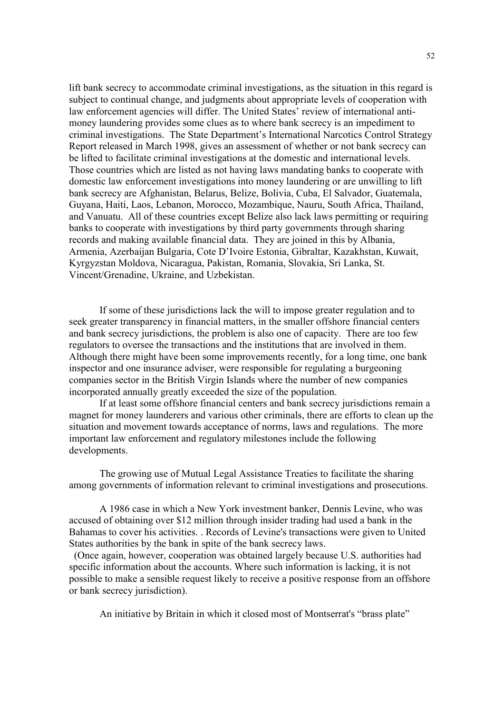lift bank secrecy to accommodate criminal investigations, as the situation in this regard is subject to continual change, and judgments about appropriate levels of cooperation with law enforcement agencies will differ. The United States' review of international antimoney laundering provides some clues as to where bank secrecy is an impediment to criminal investigations. The State Department's International Narcotics Control Strategy Report released in March 1998, gives an assessment of whether or not bank secrecy can be lifted to facilitate criminal investigations at the domestic and international levels. Those countries which are listed as not having laws mandating banks to cooperate with domestic law enforcement investigations into money laundering or are unwilling to lift bank secrecy are Afghanistan, Belarus, Belize, Bolivia, Cuba, El Salvador, Guatemala, Guyana, Haiti, Laos, Lebanon, Morocco, Mozambique, Nauru, South Africa, Thailand, and Vanuatu. All of these countries except Belize also lack laws permitting or requiring banks to cooperate with investigations by third party governments through sharing records and making available financial data. They are joined in this by Albania, Armenia, Azerbaijan Bulgaria, Cote D'Ivoire Estonia, Gibraltar, Kazakhstan, Kuwait, Kyrgyzstan Moldova, Nicaragua, Pakistan, Romania, Slovakia, Sri Lanka, St. Vincent/Grenadine, Ukraine, and Uzbekistan.

If some of these jurisdictions lack the will to impose greater regulation and to seek greater transparency in financial matters, in the smaller offshore financial centers and bank secrecy jurisdictions, the problem is also one of capacity. There are too few regulators to oversee the transactions and the institutions that are involved in them. Although there might have been some improvements recently, for a long time, one bank inspector and one insurance adviser, were responsible for regulating a burgeoning companies sector in the British Virgin Islands where the number of new companies incorporated annually greatly exceeded the size of the population.

If at least some offshore financial centers and bank secrecy jurisdictions remain a magnet for money launderers and various other criminals, there are efforts to clean up the situation and movement towards acceptance of norms, laws and regulations. The more important law enforcement and regulatory milestones include the following developments.

 The growing use of Mutual Legal Assistance Treaties to facilitate the sharing among governments of information relevant to criminal investigations and prosecutions.

 A 1986 case in which a New York investment banker, Dennis Levine, who was accused of obtaining over \$12 million through insider trading had used a bank in the Bahamas to cover his activities. . Records of Levine's transactions were given to United States authorities by the bank in spite of the bank secrecy laws.

 (Once again, however, cooperation was obtained largely because U.S. authorities had specific information about the accounts. Where such information is lacking, it is not possible to make a sensible request likely to receive a positive response from an offshore or bank secrecy jurisdiction).

An initiative by Britain in which it closed most of Montserrat's "brass plate"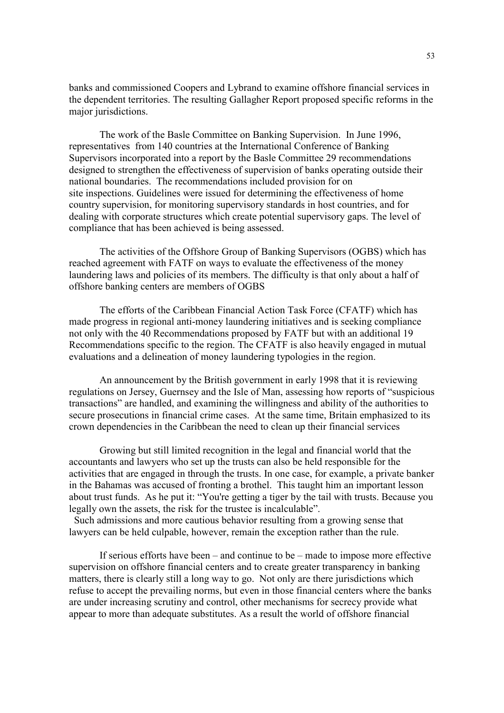banks and commissioned Coopers and Lybrand to examine offshore financial services in the dependent territories. The resulting Gallagher Report proposed specific reforms in the major jurisdictions.

 The work of the Basle Committee on Banking Supervision. In June 1996, representatives from 140 countries at the International Conference of Banking Supervisors incorporated into a report by the Basle Committee 29 recommendations designed to strengthen the effectiveness of supervision of banks operating outside their national boundaries. The recommendations included provision for on site inspections. Guidelines were issued for determining the effectiveness of home country supervision, for monitoring supervisory standards in host countries, and for dealing with corporate structures which create potential supervisory gaps. The level of compliance that has been achieved is being assessed.

 The activities of the Offshore Group of Banking Supervisors (OGBS) which has reached agreement with FATF on ways to evaluate the effectiveness of the money laundering laws and policies of its members. The difficulty is that only about a half of offshore banking centers are members of OGBS

 The efforts of the Caribbean Financial Action Task Force (CFATF) which has made progress in regional anti-money laundering initiatives and is seeking compliance not only with the 40 Recommendations proposed by FATF but with an additional 19 Recommendations specific to the region. The CFATF is also heavily engaged in mutual evaluations and a delineation of money laundering typologies in the region.

 An announcement by the British government in early 1998 that it is reviewing regulations on Jersey, Guernsey and the Isle of Man, assessing how reports of "suspicious transactions" are handled, and examining the willingness and ability of the authorities to secure prosecutions in financial crime cases. At the same time, Britain emphasized to its crown dependencies in the Caribbean the need to clean up their financial services

 Growing but still limited recognition in the legal and financial world that the accountants and lawyers who set up the trusts can also be held responsible for the activities that are engaged in through the trusts. In one case, for example, a private banker in the Bahamas was accused of fronting a brothel. This taught him an important lesson about trust funds. As he put it: "You're getting a tiger by the tail with trusts. Because you legally own the assets, the risk for the trustee is incalculable".

 Such admissions and more cautious behavior resulting from a growing sense that lawyers can be held culpable, however, remain the exception rather than the rule.

If serious efforts have been – and continue to be – made to impose more effective supervision on offshore financial centers and to create greater transparency in banking matters, there is clearly still a long way to go. Not only are there jurisdictions which refuse to accept the prevailing norms, but even in those financial centers where the banks are under increasing scrutiny and control, other mechanisms for secrecy provide what appear to more than adequate substitutes. As a result the world of offshore financial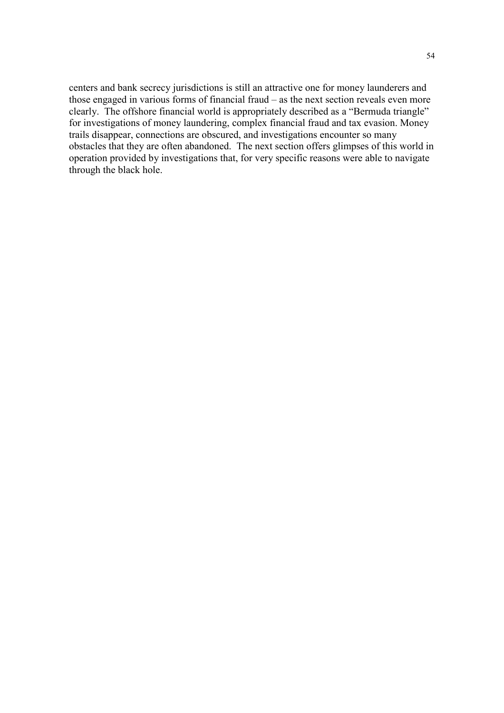centers and bank secrecy jurisdictions is still an attractive one for money launderers and those engaged in various forms of financial fraud – as the next section reveals even more clearly. The offshore financial world is appropriately described as a "Bermuda triangle" for investigations of money laundering, complex financial fraud and tax evasion. Money trails disappear, connections are obscured, and investigations encounter so many obstacles that they are often abandoned. The next section offers glimpses of this world in operation provided by investigations that, for very specific reasons were able to navigate through the black hole.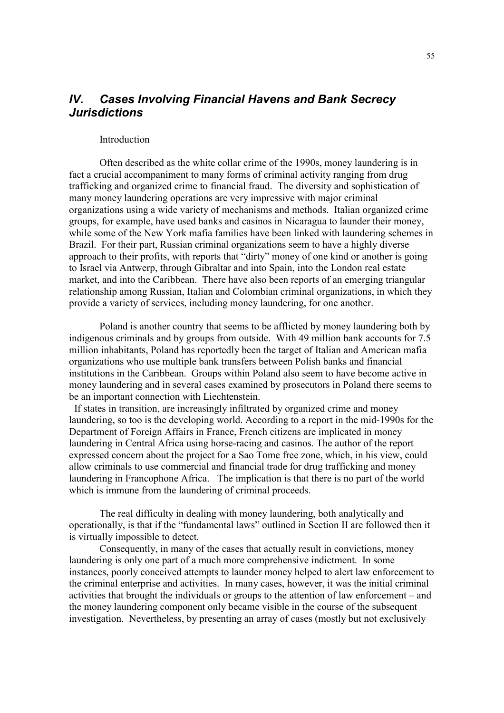# *IV. Cases Involving Financial Havens and Bank Secrecy Jurisdictions*

## Introduction

Often described as the white collar crime of the 1990s, money laundering is in fact a crucial accompaniment to many forms of criminal activity ranging from drug trafficking and organized crime to financial fraud. The diversity and sophistication of many money laundering operations are very impressive with major criminal organizations using a wide variety of mechanisms and methods. Italian organized crime groups, for example, have used banks and casinos in Nicaragua to launder their money, while some of the New York mafia families have been linked with laundering schemes in Brazil. For their part, Russian criminal organizations seem to have a highly diverse approach to their profits, with reports that "dirty" money of one kind or another is going to Israel via Antwerp, through Gibraltar and into Spain, into the London real estate market, and into the Caribbean. There have also been reports of an emerging triangular relationship among Russian, Italian and Colombian criminal organizations, in which they provide a variety of services, including money laundering, for one another.

Poland is another country that seems to be afflicted by money laundering both by indigenous criminals and by groups from outside. With 49 million bank accounts for 7.5 million inhabitants, Poland has reportedly been the target of Italian and American mafia organizations who use multiple bank transfers between Polish banks and financial institutions in the Caribbean. Groups within Poland also seem to have become active in money laundering and in several cases examined by prosecutors in Poland there seems to be an important connection with Liechtenstein.

 If states in transition, are increasingly infiltrated by organized crime and money laundering, so too is the developing world. According to a report in the mid-1990s for the Department of Foreign Affairs in France, French citizens are implicated in money laundering in Central Africa using horse-racing and casinos. The author of the report expressed concern about the project for a Sao Tome free zone, which, in his view, could allow criminals to use commercial and financial trade for drug trafficking and money laundering in Francophone Africa. The implication is that there is no part of the world which is immune from the laundering of criminal proceeds.

The real difficulty in dealing with money laundering, both analytically and operationally, is that if the "fundamental laws" outlined in Section II are followed then it is virtually impossible to detect.

Consequently, in many of the cases that actually result in convictions, money laundering is only one part of a much more comprehensive indictment. In some instances, poorly conceived attempts to launder money helped to alert law enforcement to the criminal enterprise and activities. In many cases, however, it was the initial criminal activities that brought the individuals or groups to the attention of law enforcement – and the money laundering component only became visible in the course of the subsequent investigation. Nevertheless, by presenting an array of cases (mostly but not exclusively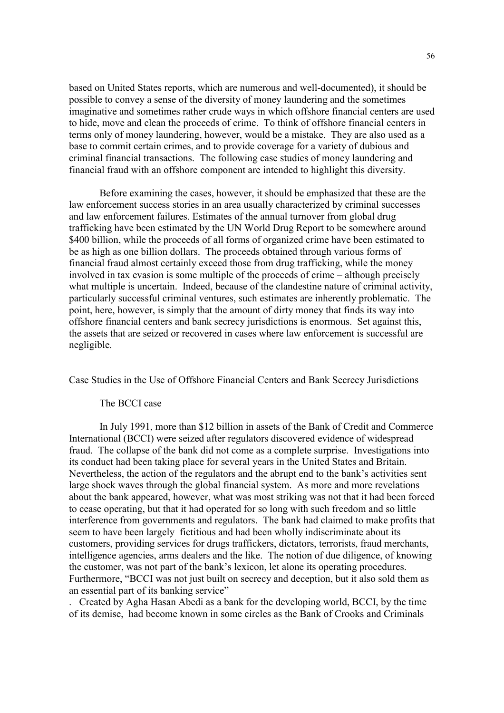based on United States reports, which are numerous and well-documented), it should be possible to convey a sense of the diversity of money laundering and the sometimes imaginative and sometimes rather crude ways in which offshore financial centers are used to hide, move and clean the proceeds of crime. To think of offshore financial centers in terms only of money laundering, however, would be a mistake. They are also used as a base to commit certain crimes, and to provide coverage for a variety of dubious and criminal financial transactions. The following case studies of money laundering and financial fraud with an offshore component are intended to highlight this diversity.

Before examining the cases, however, it should be emphasized that these are the law enforcement success stories in an area usually characterized by criminal successes and law enforcement failures. Estimates of the annual turnover from global drug trafficking have been estimated by the UN World Drug Report to be somewhere around \$400 billion, while the proceeds of all forms of organized crime have been estimated to be as high as one billion dollars. The proceeds obtained through various forms of financial fraud almost certainly exceed those from drug trafficking, while the money involved in tax evasion is some multiple of the proceeds of crime – although precisely what multiple is uncertain. Indeed, because of the clandestine nature of criminal activity, particularly successful criminal ventures, such estimates are inherently problematic. The point, here, however, is simply that the amount of dirty money that finds its way into offshore financial centers and bank secrecy jurisdictions is enormous. Set against this, the assets that are seized or recovered in cases where law enforcement is successful are negligible.

Case Studies in the Use of Offshore Financial Centers and Bank Secrecy Jurisdictions

#### The BCCI case

In July 1991, more than \$12 billion in assets of the Bank of Credit and Commerce International (BCCI) were seized after regulators discovered evidence of widespread fraud. The collapse of the bank did not come as a complete surprise. Investigations into its conduct had been taking place for several years in the United States and Britain. Nevertheless, the action of the regulators and the abrupt end to the bank's activities sent large shock waves through the global financial system. As more and more revelations about the bank appeared, however, what was most striking was not that it had been forced to cease operating, but that it had operated for so long with such freedom and so little interference from governments and regulators. The bank had claimed to make profits that seem to have been largely fictitious and had been wholly indiscriminate about its customers, providing services for drugs traffickers, dictators, terrorists, fraud merchants, intelligence agencies, arms dealers and the like. The notion of due diligence, of knowing the customer, was not part of the bank's lexicon, let alone its operating procedures. Furthermore, "BCCI was not just built on secrecy and deception, but it also sold them as an essential part of its banking service"

. Created by Agha Hasan Abedi as a bank for the developing world, BCCI, by the time of its demise, had become known in some circles as the Bank of Crooks and Criminals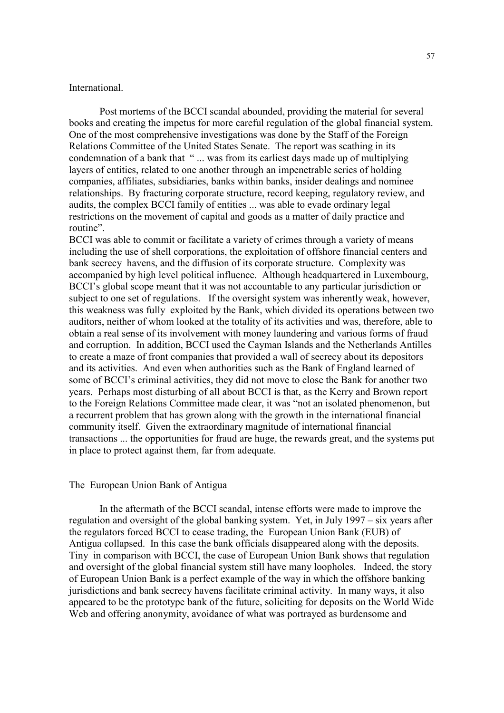International.

Post mortems of the BCCI scandal abounded, providing the material for several books and creating the impetus for more careful regulation of the global financial system. One of the most comprehensive investigations was done by the Staff of the Foreign Relations Committee of the United States Senate. The report was scathing in its condemnation of a bank that " ... was from its earliest days made up of multiplying layers of entities, related to one another through an impenetrable series of holding companies, affiliates, subsidiaries, banks within banks, insider dealings and nominee relationships. By fracturing corporate structure, record keeping, regulatory review, and audits, the complex BCCI family of entities ... was able to evade ordinary legal restrictions on the movement of capital and goods as a matter of daily practice and routine".

BCCI was able to commit or facilitate a variety of crimes through a variety of means including the use of shell corporations, the exploitation of offshore financial centers and bank secrecy havens, and the diffusion of its corporate structure. Complexity was accompanied by high level political influence. Although headquartered in Luxembourg, BCCI's global scope meant that it was not accountable to any particular jurisdiction or subject to one set of regulations. If the oversight system was inherently weak, however, this weakness was fully exploited by the Bank, which divided its operations between two auditors, neither of whom looked at the totality of its activities and was, therefore, able to obtain a real sense of its involvement with money laundering and various forms of fraud and corruption. In addition, BCCI used the Cayman Islands and the Netherlands Antilles to create a maze of front companies that provided a wall of secrecy about its depositors and its activities. And even when authorities such as the Bank of England learned of some of BCCI's criminal activities, they did not move to close the Bank for another two years. Perhaps most disturbing of all about BCCI is that, as the Kerry and Brown report to the Foreign Relations Committee made clear, it was "not an isolated phenomenon, but a recurrent problem that has grown along with the growth in the international financial community itself. Given the extraordinary magnitude of international financial transactions ... the opportunities for fraud are huge, the rewards great, and the systems put in place to protect against them, far from adequate.

## The European Union Bank of Antigua

In the aftermath of the BCCI scandal, intense efforts were made to improve the regulation and oversight of the global banking system. Yet, in July 1997 – six years after the regulators forced BCCI to cease trading, the European Union Bank (EUB) of Antigua collapsed. In this case the bank officials disappeared along with the deposits. Tiny in comparison with BCCI, the case of European Union Bank shows that regulation and oversight of the global financial system still have many loopholes. Indeed, the story of European Union Bank is a perfect example of the way in which the offshore banking jurisdictions and bank secrecy havens facilitate criminal activity. In many ways, it also appeared to be the prototype bank of the future, soliciting for deposits on the World Wide Web and offering anonymity, avoidance of what was portrayed as burdensome and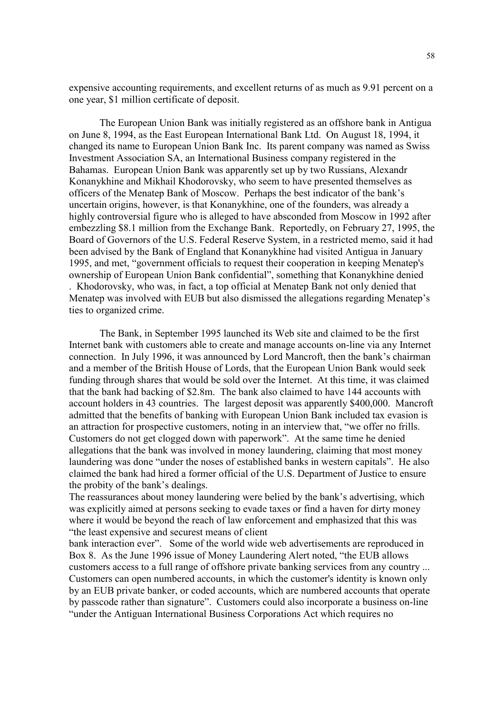expensive accounting requirements, and excellent returns of as much as 9.91 percent on a one year, \$1 million certificate of deposit.

The European Union Bank was initially registered as an offshore bank in Antigua on June 8, 1994, as the East European International Bank Ltd. On August 18, 1994, it changed its name to European Union Bank Inc. Its parent company was named as Swiss Investment Association SA, an International Business company registered in the Bahamas. European Union Bank was apparently set up by two Russians, Alexandr Konanykhine and Mikhail Khodorovsky, who seem to have presented themselves as officers of the Menatep Bank of Moscow. Perhaps the best indicator of the bank's uncertain origins, however, is that Konanykhine, one of the founders, was already a highly controversial figure who is alleged to have absconded from Moscow in 1992 after embezzling \$8.1 million from the Exchange Bank. Reportedly, on February 27, 1995, the Board of Governors of the U.S. Federal Reserve System, in a restricted memo, said it had been advised by the Bank of England that Konanykhine had visited Antigua in January 1995, and met, "government officials to request their cooperation in keeping Menatep's ownership of European Union Bank confidential", something that Konanykhine denied . Khodorovsky, who was, in fact, a top official at Menatep Bank not only denied that

Menatep was involved with EUB but also dismissed the allegations regarding Menatep's ties to organized crime.

The Bank, in September 1995 launched its Web site and claimed to be the first Internet bank with customers able to create and manage accounts on-line via any Internet connection. In July 1996, it was announced by Lord Mancroft, then the bank's chairman and a member of the British House of Lords, that the European Union Bank would seek funding through shares that would be sold over the Internet. At this time, it was claimed that the bank had backing of \$2.8m. The bank also claimed to have 144 accounts with account holders in 43 countries. The largest deposit was apparently \$400,000. Mancroft admitted that the benefits of banking with European Union Bank included tax evasion is an attraction for prospective customers, noting in an interview that, "we offer no frills. Customers do not get clogged down with paperwork". At the same time he denied allegations that the bank was involved in money laundering, claiming that most money laundering was done "under the noses of established banks in western capitals". He also claimed the bank had hired a former official of the U.S. Department of Justice to ensure the probity of the bank's dealings.

The reassurances about money laundering were belied by the bank's advertising, which was explicitly aimed at persons seeking to evade taxes or find a haven for dirty money where it would be beyond the reach of law enforcement and emphasized that this was "the least expensive and securest means of client

bank interaction ever". Some of the world wide web advertisements are reproduced in Box 8. As the June 1996 issue of Money Laundering Alert noted, "the EUB allows customers access to a full range of offshore private banking services from any country ... Customers can open numbered accounts, in which the customer's identity is known only by an EUB private banker, or coded accounts, which are numbered accounts that operate by passcode rather than signature". Customers could also incorporate a business on-line "under the Antiguan International Business Corporations Act which requires no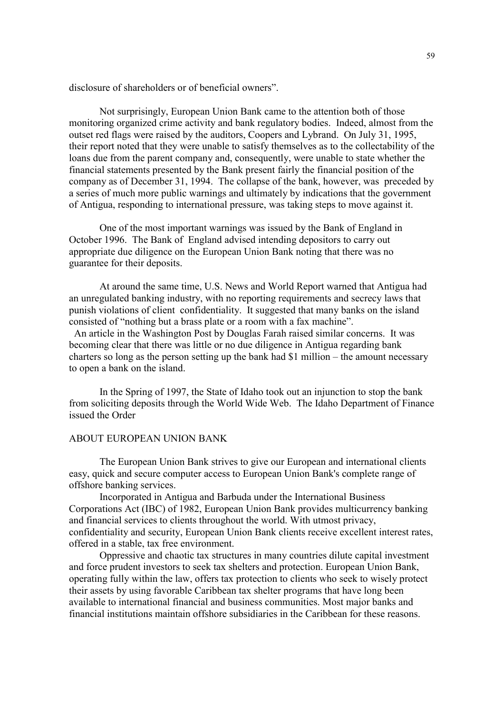disclosure of shareholders or of beneficial owners".

Not surprisingly, European Union Bank came to the attention both of those monitoring organized crime activity and bank regulatory bodies. Indeed, almost from the outset red flags were raised by the auditors, Coopers and Lybrand. On July 31, 1995, their report noted that they were unable to satisfy themselves as to the collectability of the loans due from the parent company and, consequently, were unable to state whether the financial statements presented by the Bank present fairly the financial position of the company as of December 31, 1994. The collapse of the bank, however, was preceded by a series of much more public warnings and ultimately by indications that the government of Antigua, responding to international pressure, was taking steps to move against it.

One of the most important warnings was issued by the Bank of England in October 1996. The Bank of England advised intending depositors to carry out appropriate due diligence on the European Union Bank noting that there was no guarantee for their deposits.

At around the same time, U.S. News and World Report warned that Antigua had an unregulated banking industry, with no reporting requirements and secrecy laws that punish violations of client confidentiality. It suggested that many banks on the island consisted of "nothing but a brass plate or a room with a fax machine".

 An article in the Washington Post by Douglas Farah raised similar concerns. It was becoming clear that there was little or no due diligence in Antigua regarding bank charters so long as the person setting up the bank had \$1 million – the amount necessary to open a bank on the island.

In the Spring of 1997, the State of Idaho took out an injunction to stop the bank from soliciting deposits through the World Wide Web. The Idaho Department of Finance issued the Order

#### ABOUT EUROPEAN UNION BANK

The European Union Bank strives to give our European and international clients easy, quick and secure computer access to European Union Bank's complete range of offshore banking services.

Incorporated in Antigua and Barbuda under the International Business Corporations Act (IBC) of 1982, European Union Bank provides multicurrency banking and financial services to clients throughout the world. With utmost privacy, confidentiality and security, European Union Bank clients receive excellent interest rates, offered in a stable, tax free environment.

Oppressive and chaotic tax structures in many countries dilute capital investment and force prudent investors to seek tax shelters and protection. European Union Bank, operating fully within the law, offers tax protection to clients who seek to wisely protect their assets by using favorable Caribbean tax shelter programs that have long been available to international financial and business communities. Most major banks and financial institutions maintain offshore subsidiaries in the Caribbean for these reasons.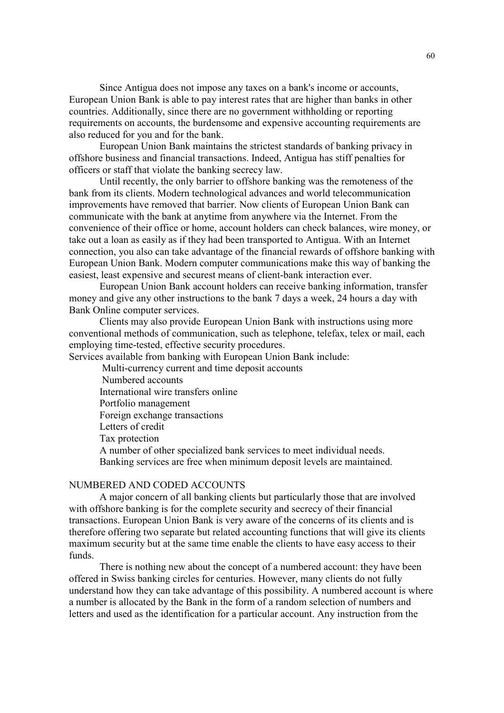Since Antigua does not impose any taxes on a bank's income or accounts, European Union Bank is able to pay interest rates that are higher than banks in other countries. Additionally, since there are no government withholding or reporting requirements on accounts, the burdensome and expensive accounting requirements are also reduced for you and for the bank.

European Union Bank maintains the strictest standards of banking privacy in offshore business and financial transactions. Indeed, Antigua has stiff penalties for officers or staff that violate the banking secrecy law.

Until recently, the only barrier to offshore banking was the remoteness of the bank from its clients. Modern technological advances and world telecommunication improvements have removed that barrier. Now clients of European Union Bank can communicate with the bank at anytime from anywhere via the Internet. From the convenience of their office or home, account holders can check balances, wire money, or take out a loan as easily as if they had been transported to Antigua. With an Internet connection, you also can take advantage of the financial rewards of offshore banking with European Union Bank. Modern computer communications make this way of banking the easiest, least expensive and securest means of client-bank interaction ever.

European Union Bank account holders can receive banking information, transfer money and give any other instructions to the bank 7 days a week, 24 hours a day with Bank Online computer services.

Clients may also provide European Union Bank with instructions using more conventional methods of communication, such as telephone, telefax, telex or mail, each employing time-tested, effective security procedures.

Services available from banking with European Union Bank include:

Multi-currency current and time deposit accounts

 Numbered accounts International wire transfers online Portfolio management Foreign exchange transactions Letters of credit Tax protection A number of other specialized bank services to meet individual needs. Banking services are free when minimum deposit levels are maintained.

## NUMBERED AND CODED ACCOUNTS

A major concern of all banking clients but particularly those that are involved with offshore banking is for the complete security and secrecy of their financial transactions. European Union Bank is very aware of the concerns of its clients and is therefore offering two separate but related accounting functions that will give its clients maximum security but at the same time enable the clients to have easy access to their funds.

There is nothing new about the concept of a numbered account: they have been offered in Swiss banking circles for centuries. However, many clients do not fully understand how they can take advantage of this possibility. A numbered account is where a number is allocated by the Bank in the form of a random selection of numbers and letters and used as the identification for a particular account. Any instruction from the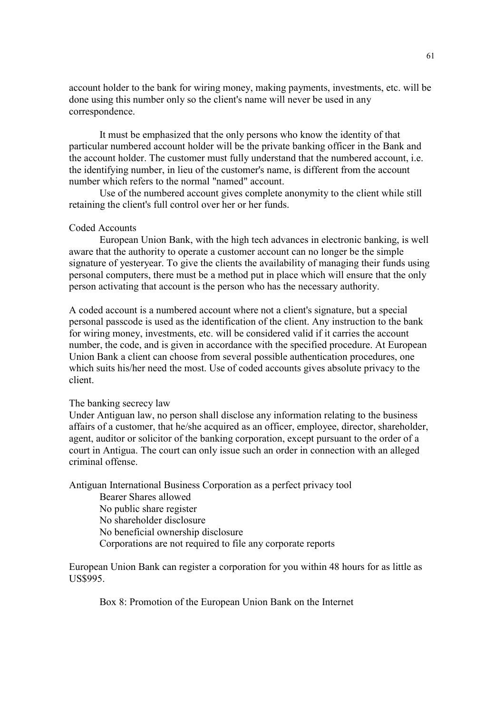account holder to the bank for wiring money, making payments, investments, etc. will be done using this number only so the client's name will never be used in any correspondence.

It must be emphasized that the only persons who know the identity of that particular numbered account holder will be the private banking officer in the Bank and the account holder. The customer must fully understand that the numbered account, i.e. the identifying number, in lieu of the customer's name, is different from the account number which refers to the normal "named" account.

Use of the numbered account gives complete anonymity to the client while still retaining the client's full control over her or her funds.

#### Coded Accounts

European Union Bank, with the high tech advances in electronic banking, is well aware that the authority to operate a customer account can no longer be the simple signature of yesteryear. To give the clients the availability of managing their funds using personal computers, there must be a method put in place which will ensure that the only person activating that account is the person who has the necessary authority.

A coded account is a numbered account where not a client's signature, but a special personal passcode is used as the identification of the client. Any instruction to the bank for wiring money, investments, etc. will be considered valid if it carries the account number, the code, and is given in accordance with the specified procedure. At European Union Bank a client can choose from several possible authentication procedures, one which suits his/her need the most. Use of coded accounts gives absolute privacy to the client.

## The banking secrecy law

Under Antiguan law, no person shall disclose any information relating to the business affairs of a customer, that he/she acquired as an officer, employee, director, shareholder, agent, auditor or solicitor of the banking corporation, except pursuant to the order of a court in Antigua. The court can only issue such an order in connection with an alleged criminal offense.

Antiguan International Business Corporation as a perfect privacy tool

 Bearer Shares allowed No public share register No shareholder disclosure No beneficial ownership disclosure Corporations are not required to file any corporate reports

European Union Bank can register a corporation for you within 48 hours for as little as US\$995.

Box 8: Promotion of the European Union Bank on the Internet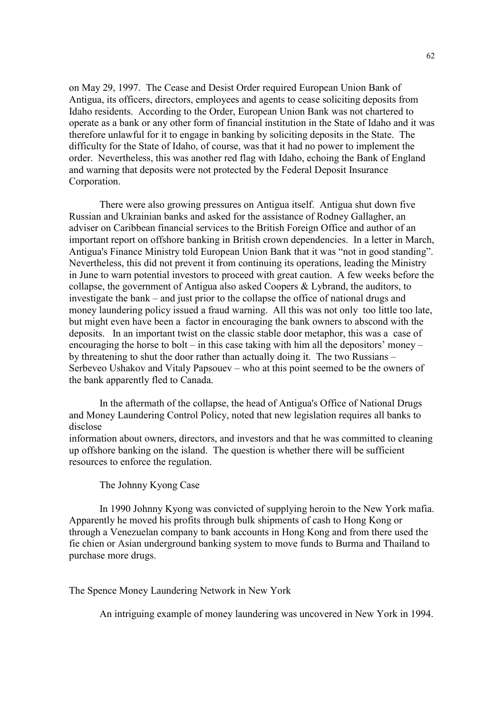on May 29, 1997. The Cease and Desist Order required European Union Bank of Antigua, its officers, directors, employees and agents to cease soliciting deposits from Idaho residents. According to the Order, European Union Bank was not chartered to operate as a bank or any other form of financial institution in the State of Idaho and it was therefore unlawful for it to engage in banking by soliciting deposits in the State. The difficulty for the State of Idaho, of course, was that it had no power to implement the order. Nevertheless, this was another red flag with Idaho, echoing the Bank of England and warning that deposits were not protected by the Federal Deposit Insurance Corporation.

There were also growing pressures on Antigua itself. Antigua shut down five Russian and Ukrainian banks and asked for the assistance of Rodney Gallagher, an adviser on Caribbean financial services to the British Foreign Office and author of an important report on offshore banking in British crown dependencies. In a letter in March, Antigua's Finance Ministry told European Union Bank that it was "not in good standing". Nevertheless, this did not prevent it from continuing its operations, leading the Ministry in June to warn potential investors to proceed with great caution. A few weeks before the collapse, the government of Antigua also asked Coopers & Lybrand, the auditors, to investigate the bank – and just prior to the collapse the office of national drugs and money laundering policy issued a fraud warning. All this was not only too little too late, but might even have been a factor in encouraging the bank owners to abscond with the deposits. In an important twist on the classic stable door metaphor, this was a case of encouraging the horse to bolt – in this case taking with him all the depositors' money – by threatening to shut the door rather than actually doing it. The two Russians – Serbeveo Ushakov and Vitaly Papsouev – who at this point seemed to be the owners of the bank apparently fled to Canada.

In the aftermath of the collapse, the head of Antigua's Office of National Drugs and Money Laundering Control Policy, noted that new legislation requires all banks to disclose

information about owners, directors, and investors and that he was committed to cleaning up offshore banking on the island. The question is whether there will be sufficient resources to enforce the regulation.

## The Johnny Kyong Case

In 1990 Johnny Kyong was convicted of supplying heroin to the New York mafia. Apparently he moved his profits through bulk shipments of cash to Hong Kong or through a Venezuelan company to bank accounts in Hong Kong and from there used the fie chien or Asian underground banking system to move funds to Burma and Thailand to purchase more drugs.

The Spence Money Laundering Network in New York

An intriguing example of money laundering was uncovered in New York in 1994.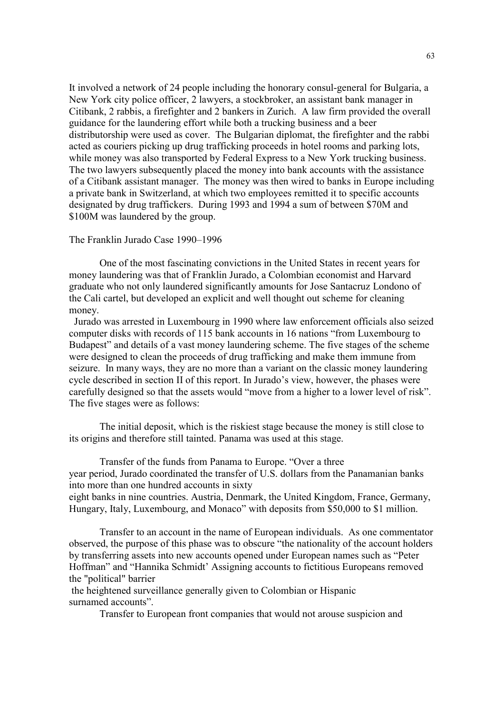It involved a network of 24 people including the honorary consul-general for Bulgaria, a New York city police officer, 2 lawyers, a stockbroker, an assistant bank manager in Citibank, 2 rabbis, a firefighter and 2 bankers in Zurich. A law firm provided the overall guidance for the laundering effort while both a trucking business and a beer distributorship were used as cover. The Bulgarian diplomat, the firefighter and the rabbi acted as couriers picking up drug trafficking proceeds in hotel rooms and parking lots, while money was also transported by Federal Express to a New York trucking business. The two lawyers subsequently placed the money into bank accounts with the assistance of a Citibank assistant manager. The money was then wired to banks in Europe including a private bank in Switzerland, at which two employees remitted it to specific accounts designated by drug traffickers. During 1993 and 1994 a sum of between \$70M and \$100M was laundered by the group.

# The Franklin Jurado Case 1990–1996

One of the most fascinating convictions in the United States in recent years for money laundering was that of Franklin Jurado, a Colombian economist and Harvard graduate who not only laundered significantly amounts for Jose Santacruz Londono of the Cali cartel, but developed an explicit and well thought out scheme for cleaning money.

 Jurado was arrested in Luxembourg in 1990 where law enforcement officials also seized computer disks with records of 115 bank accounts in 16 nations "from Luxembourg to Budapest" and details of a vast money laundering scheme. The five stages of the scheme were designed to clean the proceeds of drug trafficking and make them immune from seizure. In many ways, they are no more than a variant on the classic money laundering cycle described in section II of this report. In Jurado's view, however, the phases were carefully designed so that the assets would "move from a higher to a lower level of risk". The five stages were as follows:

 The initial deposit, which is the riskiest stage because the money is still close to its origins and therefore still tainted. Panama was used at this stage.

 Transfer of the funds from Panama to Europe. "Over a three year period, Jurado coordinated the transfer of U.S. dollars from the Panamanian banks into more than one hundred accounts in sixty eight banks in nine countries. Austria, Denmark, the United Kingdom, France, Germany,

Hungary, Italy, Luxembourg, and Monaco" with deposits from \$50,000 to \$1 million.

 Transfer to an account in the name of European individuals. As one commentator observed, the purpose of this phase was to obscure "the nationality of the account holders by transferring assets into new accounts opened under European names such as "Peter Hoffman" and "Hannika Schmidt' Assigning accounts to fictitious Europeans removed the "political" barrier

 the heightened surveillance generally given to Colombian or Hispanic surnamed accounts".

Transfer to European front companies that would not arouse suspicion and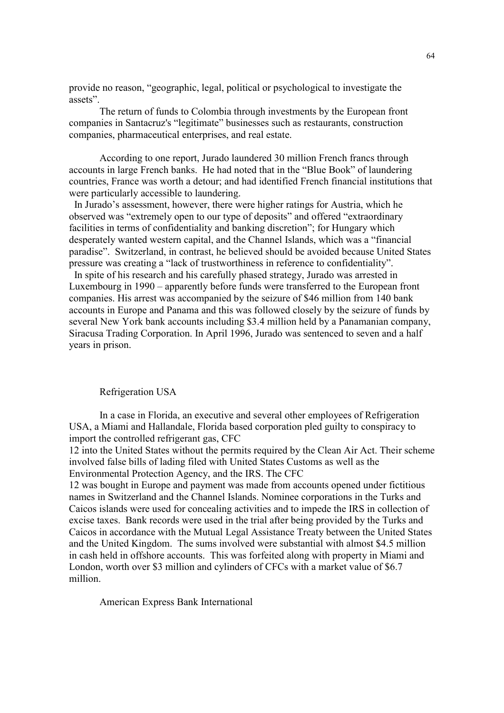provide no reason, "geographic, legal, political or psychological to investigate the assets".

 The return of funds to Colombia through investments by the European front companies in Santacruz's "legitimate" businesses such as restaurants, construction companies, pharmaceutical enterprises, and real estate.

According to one report, Jurado laundered 30 million French francs through accounts in large French banks. He had noted that in the "Blue Book" of laundering countries, France was worth a detour; and had identified French financial institutions that were particularly accessible to laundering.

 In Jurado's assessment, however, there were higher ratings for Austria, which he observed was "extremely open to our type of deposits" and offered "extraordinary facilities in terms of confidentiality and banking discretion"; for Hungary which desperately wanted western capital, and the Channel Islands, which was a "financial paradise". Switzerland, in contrast, he believed should be avoided because United States pressure was creating a "lack of trustworthiness in reference to confidentiality".

 In spite of his research and his carefully phased strategy, Jurado was arrested in Luxembourg in 1990 – apparently before funds were transferred to the European front companies. His arrest was accompanied by the seizure of \$46 million from 140 bank accounts in Europe and Panama and this was followed closely by the seizure of funds by several New York bank accounts including \$3.4 million held by a Panamanian company, Siracusa Trading Corporation. In April 1996, Jurado was sentenced to seven and a half years in prison.

## Refrigeration USA

In a case in Florida, an executive and several other employees of Refrigeration USA, a Miami and Hallandale, Florida based corporation pled guilty to conspiracy to import the controlled refrigerant gas, CFC

12 into the United States without the permits required by the Clean Air Act. Their scheme involved false bills of lading filed with United States Customs as well as the Environmental Protection Agency, and the IRS. The CFC

12 was bought in Europe and payment was made from accounts opened under fictitious names in Switzerland and the Channel Islands. Nominee corporations in the Turks and Caicos islands were used for concealing activities and to impede the IRS in collection of excise taxes. Bank records were used in the trial after being provided by the Turks and Caicos in accordance with the Mutual Legal Assistance Treaty between the United States and the United Kingdom. The sums involved were substantial with almost \$4.5 million in cash held in offshore accounts. This was forfeited along with property in Miami and London, worth over \$3 million and cylinders of CFCs with a market value of \$6.7 million.

American Express Bank International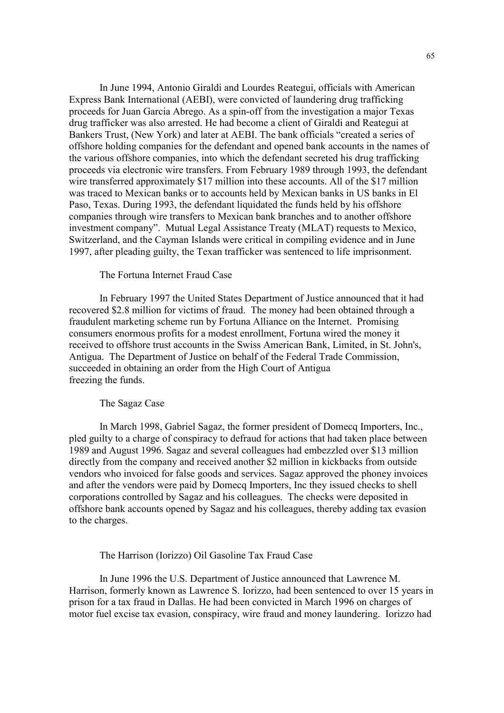In June 1994, Antonio Giraldi and Lourdes Reategui, officials with American Express Bank International (AEBI), were convicted of laundering drug trafficking proceeds for Juan Garcia Abrego. As a spin-off from the investigation a major Texas drug trafficker was also arrested. He had become a client of Giraldi and Reategui at Bankers Trust, (New York) and later at AEBI. The bank officials "created a series of offshore holding companies for the defendant and opened bank accounts in the names of the various offshore companies, into which the defendant secreted his drug trafficking proceeds via electronic wire transfers. From February 1989 through 1993, the defendant wire transferred approximately \$17 million into these accounts. All of the \$17 million was traced to Mexican banks or to accounts held by Mexican banks in US banks in El Paso, Texas. During 1993, the defendant liquidated the funds held by his offshore companies through wire transfers to Mexican bank branches and to another offshore investment company". Mutual Legal Assistance Treaty (MLAT) requests to Mexico, Switzerland, and the Cayman Islands were critical in compiling evidence and in June 1997, after pleading guilty, the Texan trafficker was sentenced to life imprisonment.

The Fortuna Internet Fraud Case

In February 1997 the United States Department of Justice announced that it had recovered \$2.8 million for victims of fraud. The money had been obtained through a fraudulent marketing scheme run by Fortuna Alliance on the Internet. Promising consumers enormous profits for a modest enrollment, Fortuna wired the money it received to offshore trust accounts in the Swiss American Bank, Limited, in St. John's, Antigua. The Department of Justice on behalf of the Federal Trade Commission, succeeded in obtaining an order from the High Court of Antigua freezing the funds.

## The Sagaz Case

In March 1998, Gabriel Sagaz, the former president of Domecq Importers, Inc., pled guilty to a charge of conspiracy to defraud for actions that had taken place between 1989 and August 1996. Sagaz and several colleagues had embezzled over \$13 million directly from the company and received another \$2 million in kickbacks from outside vendors who invoiced for false goods and services. Sagaz approved the phoney invoices and after the vendors were paid by Domecq Importers, Inc they issued checks to shell corporations controlled by Sagaz and his colleagues. The checks were deposited in offshore bank accounts opened by Sagaz and his colleagues, thereby adding tax evasion to the charges.

# The Harrison (Iorizzo) Oil Gasoline Tax Fraud Case

In June 1996 the U.S. Department of Justice announced that Lawrence M. Harrison, formerly known as Lawrence S. Iorizzo, had been sentenced to over 15 years in prison for a tax fraud in Dallas. He had been convicted in March 1996 on charges of motor fuel excise tax evasion, conspiracy, wire fraud and money laundering. Iorizzo had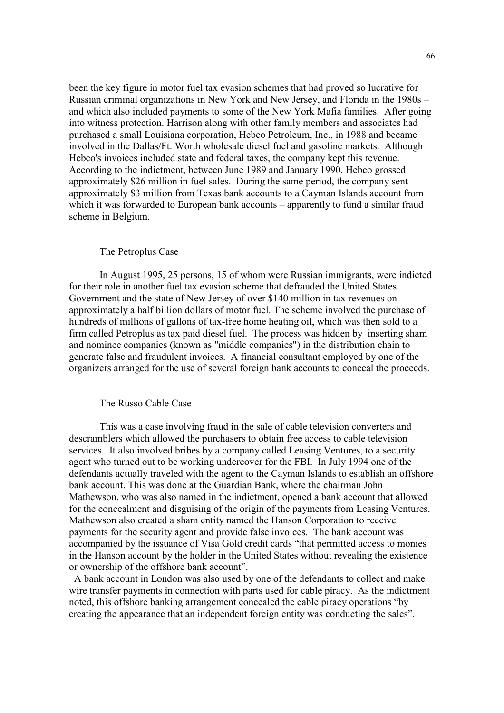been the key figure in motor fuel tax evasion schemes that had proved so lucrative for Russian criminal organizations in New York and New Jersey, and Florida in the 1980s – and which also included payments to some of the New York Mafia families. After going into witness protection. Harrison along with other family members and associates had purchased a small Louisiana corporation, Hebco Petroleum, Inc., in 1988 and became involved in the Dallas/Ft. Worth wholesale diesel fuel and gasoline markets. Although Hebco's invoices included state and federal taxes, the company kept this revenue. According to the indictment, between June 1989 and January 1990, Hebco grossed approximately \$26 million in fuel sales. During the same period, the company sent approximately \$3 million from Texas bank accounts to a Cayman Islands account from which it was forwarded to European bank accounts – apparently to fund a similar fraud scheme in Belgium.

## The Petroplus Case

In August 1995, 25 persons, 15 of whom were Russian immigrants, were indicted for their role in another fuel tax evasion scheme that defrauded the United States Government and the state of New Jersey of over \$140 million in tax revenues on approximately a half billion dollars of motor fuel. The scheme involved the purchase of hundreds of millions of gallons of tax-free home heating oil, which was then sold to a firm called Petroplus as tax paid diesel fuel. The process was hidden by inserting sham and nominee companies (known as "middle companies") in the distribution chain to generate false and fraudulent invoices. A financial consultant employed by one of the organizers arranged for the use of several foreign bank accounts to conceal the proceeds.

# The Russo Cable Case

This was a case involving fraud in the sale of cable television converters and descramblers which allowed the purchasers to obtain free access to cable television services. It also involved bribes by a company called Leasing Ventures, to a security agent who turned out to be working undercover for the FBI. In July 1994 one of the defendants actually traveled with the agent to the Cayman Islands to establish an offshore bank account. This was done at the Guardian Bank, where the chairman John Mathewson, who was also named in the indictment, opened a bank account that allowed for the concealment and disguising of the origin of the payments from Leasing Ventures. Mathewson also created a sham entity named the Hanson Corporation to receive payments for the security agent and provide false invoices. The bank account was accompanied by the issuance of Visa Gold credit cards "that permitted access to monies in the Hanson account by the holder in the United States without revealing the existence or ownership of the offshore bank account".

 A bank account in London was also used by one of the defendants to collect and make wire transfer payments in connection with parts used for cable piracy. As the indictment noted, this offshore banking arrangement concealed the cable piracy operations "by creating the appearance that an independent foreign entity was conducting the sales".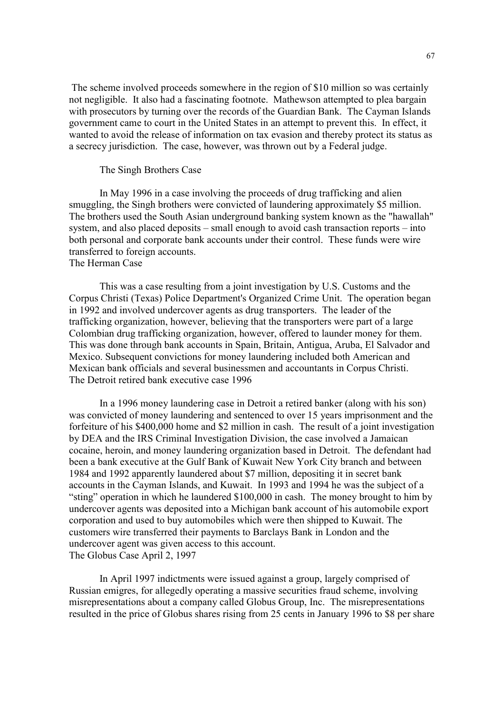The scheme involved proceeds somewhere in the region of \$10 million so was certainly not negligible. It also had a fascinating footnote. Mathewson attempted to plea bargain with prosecutors by turning over the records of the Guardian Bank. The Cayman Islands government came to court in the United States in an attempt to prevent this. In effect, it wanted to avoid the release of information on tax evasion and thereby protect its status as a secrecy jurisdiction. The case, however, was thrown out by a Federal judge.

## The Singh Brothers Case

In May 1996 in a case involving the proceeds of drug trafficking and alien smuggling, the Singh brothers were convicted of laundering approximately \$5 million. The brothers used the South Asian underground banking system known as the "hawallah" system, and also placed deposits – small enough to avoid cash transaction reports – into both personal and corporate bank accounts under their control. These funds were wire transferred to foreign accounts. The Herman Case

This was a case resulting from a joint investigation by U.S. Customs and the Corpus Christi (Texas) Police Department's Organized Crime Unit. The operation began in 1992 and involved undercover agents as drug transporters. The leader of the trafficking organization, however, believing that the transporters were part of a large Colombian drug trafficking organization, however, offered to launder money for them. This was done through bank accounts in Spain, Britain, Antigua, Aruba, El Salvador and Mexico. Subsequent convictions for money laundering included both American and Mexican bank officials and several businessmen and accountants in Corpus Christi. The Detroit retired bank executive case 1996

In a 1996 money laundering case in Detroit a retired banker (along with his son) was convicted of money laundering and sentenced to over 15 years imprisonment and the forfeiture of his \$400,000 home and \$2 million in cash. The result of a joint investigation by DEA and the IRS Criminal Investigation Division, the case involved a Jamaican cocaine, heroin, and money laundering organization based in Detroit. The defendant had been a bank executive at the Gulf Bank of Kuwait New York City branch and between 1984 and 1992 apparently laundered about \$7 million, depositing it in secret bank accounts in the Cayman Islands, and Kuwait. In 1993 and 1994 he was the subject of a "sting" operation in which he laundered \$100,000 in cash. The money brought to him by undercover agents was deposited into a Michigan bank account of his automobile export corporation and used to buy automobiles which were then shipped to Kuwait. The customers wire transferred their payments to Barclays Bank in London and the undercover agent was given access to this account. The Globus Case April 2, 1997

In April 1997 indictments were issued against a group, largely comprised of Russian emigres, for allegedly operating a massive securities fraud scheme, involving misrepresentations about a company called Globus Group, Inc. The misrepresentations resulted in the price of Globus shares rising from 25 cents in January 1996 to \$8 per share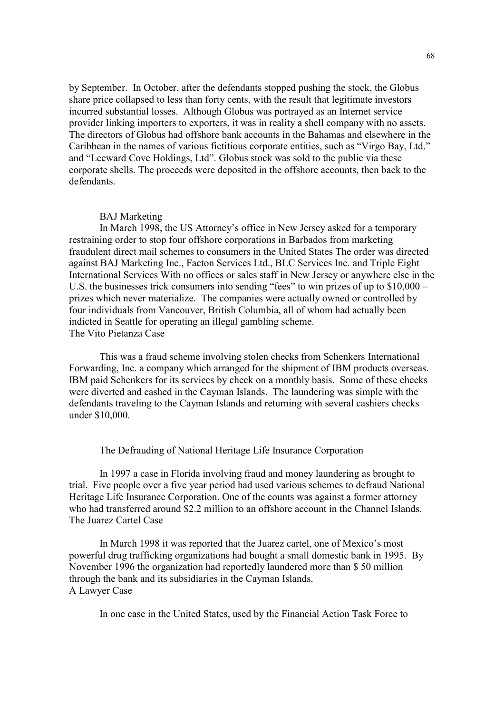by September. In October, after the defendants stopped pushing the stock, the Globus share price collapsed to less than forty cents, with the result that legitimate investors incurred substantial losses. Although Globus was portrayed as an Internet service provider linking importers to exporters, it was in reality a shell company with no assets. The directors of Globus had offshore bank accounts in the Bahamas and elsewhere in the Caribbean in the names of various fictitious corporate entities, such as "Virgo Bay, Ltd." and "Leeward Cove Holdings, Ltd". Globus stock was sold to the public via these corporate shells. The proceeds were deposited in the offshore accounts, then back to the defendants.

#### BAJ Marketing

In March 1998, the US Attorney's office in New Jersey asked for a temporary restraining order to stop four offshore corporations in Barbados from marketing fraudulent direct mail schemes to consumers in the United States The order was directed against BAJ Marketing Inc., Facton Services Ltd., BLC Services Inc. and Triple Eight International Services With no offices or sales staff in New Jersey or anywhere else in the U.S. the businesses trick consumers into sending "fees" to win prizes of up to \$10,000 – prizes which never materialize. The companies were actually owned or controlled by four individuals from Vancouver, British Columbia, all of whom had actually been indicted in Seattle for operating an illegal gambling scheme. The Vito Pietanza Case

This was a fraud scheme involving stolen checks from Schenkers International Forwarding, Inc. a company which arranged for the shipment of IBM products overseas. IBM paid Schenkers for its services by check on a monthly basis. Some of these checks were diverted and cashed in the Cayman Islands. The laundering was simple with the defendants traveling to the Cayman Islands and returning with several cashiers checks under \$10,000.

The Defrauding of National Heritage Life Insurance Corporation

In 1997 a case in Florida involving fraud and money laundering as brought to trial. Five people over a five year period had used various schemes to defraud National Heritage Life Insurance Corporation. One of the counts was against a former attorney who had transferred around \$2.2 million to an offshore account in the Channel Islands. The Juarez Cartel Case

In March 1998 it was reported that the Juarez cartel, one of Mexico's most powerful drug trafficking organizations had bought a small domestic bank in 1995. By November 1996 the organization had reportedly laundered more than \$ 50 million through the bank and its subsidiaries in the Cayman Islands. A Lawyer Case

In one case in the United States, used by the Financial Action Task Force to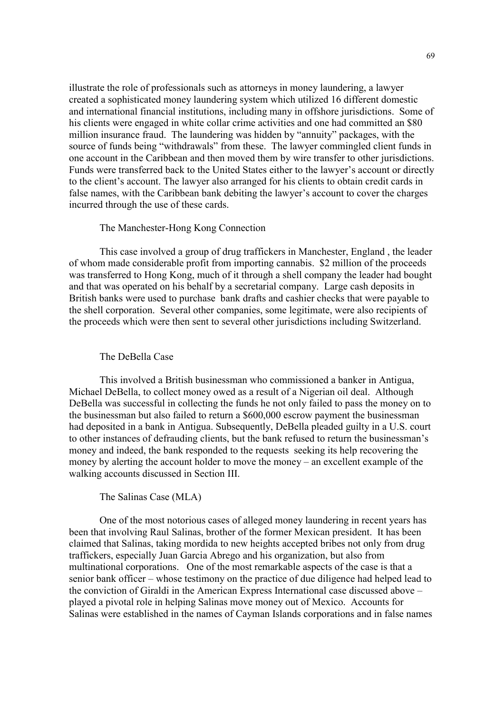illustrate the role of professionals such as attorneys in money laundering, a lawyer created a sophisticated money laundering system which utilized 16 different domestic and international financial institutions, including many in offshore jurisdictions. Some of his clients were engaged in white collar crime activities and one had committed an \$80 million insurance fraud. The laundering was hidden by "annuity" packages, with the source of funds being "withdrawals" from these. The lawyer commingled client funds in one account in the Caribbean and then moved them by wire transfer to other jurisdictions. Funds were transferred back to the United States either to the lawyer's account or directly to the client's account. The lawyer also arranged for his clients to obtain credit cards in false names, with the Caribbean bank debiting the lawyer's account to cover the charges incurred through the use of these cards.

# The Manchester-Hong Kong Connection

This case involved a group of drug traffickers in Manchester, England , the leader of whom made considerable profit from importing cannabis. \$2 million of the proceeds was transferred to Hong Kong, much of it through a shell company the leader had bought and that was operated on his behalf by a secretarial company. Large cash deposits in British banks were used to purchase bank drafts and cashier checks that were payable to the shell corporation. Several other companies, some legitimate, were also recipients of the proceeds which were then sent to several other jurisdictions including Switzerland.

# The DeBella Case

This involved a British businessman who commissioned a banker in Antigua, Michael DeBella, to collect money owed as a result of a Nigerian oil deal. Although DeBella was successful in collecting the funds he not only failed to pass the money on to the businessman but also failed to return a \$600,000 escrow payment the businessman had deposited in a bank in Antigua. Subsequently, DeBella pleaded guilty in a U.S. court to other instances of defrauding clients, but the bank refused to return the businessman's money and indeed, the bank responded to the requests seeking its help recovering the money by alerting the account holder to move the money – an excellent example of the walking accounts discussed in Section III.

#### The Salinas Case (MLA)

One of the most notorious cases of alleged money laundering in recent years has been that involving Raul Salinas, brother of the former Mexican president. It has been claimed that Salinas, taking mordida to new heights accepted bribes not only from drug traffickers, especially Juan Garcia Abrego and his organization, but also from multinational corporations. One of the most remarkable aspects of the case is that a senior bank officer – whose testimony on the practice of due diligence had helped lead to the conviction of Giraldi in the American Express International case discussed above – played a pivotal role in helping Salinas move money out of Mexico. Accounts for Salinas were established in the names of Cayman Islands corporations and in false names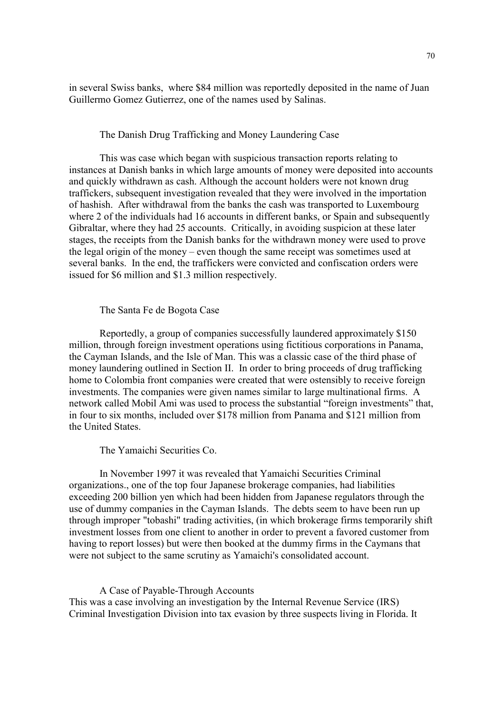in several Swiss banks, where \$84 million was reportedly deposited in the name of Juan Guillermo Gomez Gutierrez, one of the names used by Salinas.

# The Danish Drug Trafficking and Money Laundering Case

This was case which began with suspicious transaction reports relating to instances at Danish banks in which large amounts of money were deposited into accounts and quickly withdrawn as cash. Although the account holders were not known drug traffickers, subsequent investigation revealed that they were involved in the importation of hashish. After withdrawal from the banks the cash was transported to Luxembourg where 2 of the individuals had 16 accounts in different banks, or Spain and subsequently Gibraltar, where they had 25 accounts. Critically, in avoiding suspicion at these later stages, the receipts from the Danish banks for the withdrawn money were used to prove the legal origin of the money – even though the same receipt was sometimes used at several banks. In the end, the traffickers were convicted and confiscation orders were issued for \$6 million and \$1.3 million respectively.

## The Santa Fe de Bogota Case

Reportedly, a group of companies successfully laundered approximately \$150 million, through foreign investment operations using fictitious corporations in Panama, the Cayman Islands, and the Isle of Man. This was a classic case of the third phase of money laundering outlined in Section II. In order to bring proceeds of drug trafficking home to Colombia front companies were created that were ostensibly to receive foreign investments. The companies were given names similar to large multinational firms. A network called Mobil Ami was used to process the substantial "foreign investments" that, in four to six months, included over \$178 million from Panama and \$121 million from the United States.

The Yamaichi Securities Co.

In November 1997 it was revealed that Yamaichi Securities Criminal organizations., one of the top four Japanese brokerage companies, had liabilities exceeding 200 billion yen which had been hidden from Japanese regulators through the use of dummy companies in the Cayman Islands. The debts seem to have been run up through improper "tobashi" trading activities, (in which brokerage firms temporarily shift investment losses from one client to another in order to prevent a favored customer from having to report losses) but were then booked at the dummy firms in the Caymans that were not subject to the same scrutiny as Yamaichi's consolidated account.

#### A Case of Payable-Through Accounts

This was a case involving an investigation by the Internal Revenue Service (IRS) Criminal Investigation Division into tax evasion by three suspects living in Florida. It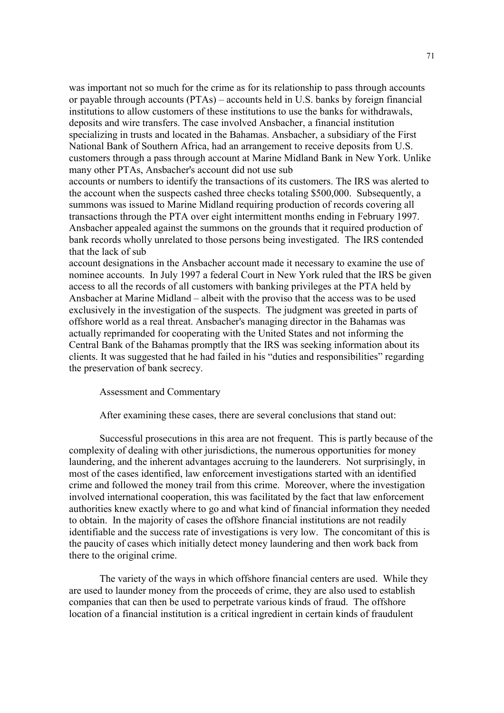was important not so much for the crime as for its relationship to pass through accounts or payable through accounts (PTAs) – accounts held in U.S. banks by foreign financial institutions to allow customers of these institutions to use the banks for withdrawals, deposits and wire transfers. The case involved Ansbacher, a financial institution specializing in trusts and located in the Bahamas. Ansbacher, a subsidiary of the First National Bank of Southern Africa, had an arrangement to receive deposits from U.S. customers through a pass through account at Marine Midland Bank in New York. Unlike many other PTAs, Ansbacher's account did not use sub

accounts or numbers to identify the transactions of its customers. The IRS was alerted to the account when the suspects cashed three checks totaling \$500,000. Subsequently, a summons was issued to Marine Midland requiring production of records covering all transactions through the PTA over eight intermittent months ending in February 1997. Ansbacher appealed against the summons on the grounds that it required production of bank records wholly unrelated to those persons being investigated. The IRS contended that the lack of sub

account designations in the Ansbacher account made it necessary to examine the use of nominee accounts. In July 1997 a federal Court in New York ruled that the IRS be given access to all the records of all customers with banking privileges at the PTA held by Ansbacher at Marine Midland – albeit with the proviso that the access was to be used exclusively in the investigation of the suspects. The judgment was greeted in parts of offshore world as a real threat. Ansbacher's managing director in the Bahamas was actually reprimanded for cooperating with the United States and not informing the Central Bank of the Bahamas promptly that the IRS was seeking information about its clients. It was suggested that he had failed in his "duties and responsibilities" regarding the preservation of bank secrecy.

Assessment and Commentary

After examining these cases, there are several conclusions that stand out:

 Successful prosecutions in this area are not frequent. This is partly because of the complexity of dealing with other jurisdictions, the numerous opportunities for money laundering, and the inherent advantages accruing to the launderers. Not surprisingly, in most of the cases identified, law enforcement investigations started with an identified crime and followed the money trail from this crime. Moreover, where the investigation involved international cooperation, this was facilitated by the fact that law enforcement authorities knew exactly where to go and what kind of financial information they needed to obtain. In the majority of cases the offshore financial institutions are not readily identifiable and the success rate of investigations is very low. The concomitant of this is the paucity of cases which initially detect money laundering and then work back from there to the original crime.

 The variety of the ways in which offshore financial centers are used. While they are used to launder money from the proceeds of crime, they are also used to establish companies that can then be used to perpetrate various kinds of fraud. The offshore location of a financial institution is a critical ingredient in certain kinds of fraudulent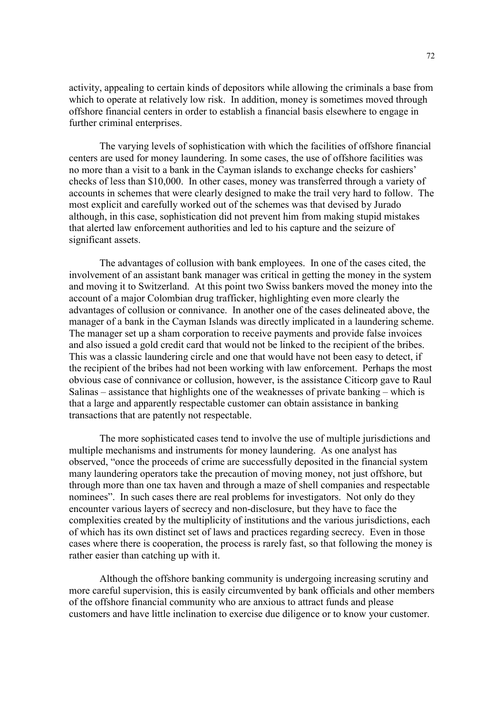activity, appealing to certain kinds of depositors while allowing the criminals a base from which to operate at relatively low risk. In addition, money is sometimes moved through offshore financial centers in order to establish a financial basis elsewhere to engage in further criminal enterprises.

 The varying levels of sophistication with which the facilities of offshore financial centers are used for money laundering. In some cases, the use of offshore facilities was no more than a visit to a bank in the Cayman islands to exchange checks for cashiers' checks of less than \$10,000. In other cases, money was transferred through a variety of accounts in schemes that were clearly designed to make the trail very hard to follow. The most explicit and carefully worked out of the schemes was that devised by Jurado although, in this case, sophistication did not prevent him from making stupid mistakes that alerted law enforcement authorities and led to his capture and the seizure of significant assets.

 The advantages of collusion with bank employees. In one of the cases cited, the involvement of an assistant bank manager was critical in getting the money in the system and moving it to Switzerland. At this point two Swiss bankers moved the money into the account of a major Colombian drug trafficker, highlighting even more clearly the advantages of collusion or connivance. In another one of the cases delineated above, the manager of a bank in the Cayman Islands was directly implicated in a laundering scheme. The manager set up a sham corporation to receive payments and provide false invoices and also issued a gold credit card that would not be linked to the recipient of the bribes. This was a classic laundering circle and one that would have not been easy to detect, if the recipient of the bribes had not been working with law enforcement. Perhaps the most obvious case of connivance or collusion, however, is the assistance Citicorp gave to Raul Salinas – assistance that highlights one of the weaknesses of private banking – which is that a large and apparently respectable customer can obtain assistance in banking transactions that are patently not respectable.

 The more sophisticated cases tend to involve the use of multiple jurisdictions and multiple mechanisms and instruments for money laundering. As one analyst has observed, "once the proceeds of crime are successfully deposited in the financial system many laundering operators take the precaution of moving money, not just offshore, but through more than one tax haven and through a maze of shell companies and respectable nominees". In such cases there are real problems for investigators. Not only do they encounter various layers of secrecy and non-disclosure, but they have to face the complexities created by the multiplicity of institutions and the various jurisdictions, each of which has its own distinct set of laws and practices regarding secrecy. Even in those cases where there is cooperation, the process is rarely fast, so that following the money is rather easier than catching up with it.

 Although the offshore banking community is undergoing increasing scrutiny and more careful supervision, this is easily circumvented by bank officials and other members of the offshore financial community who are anxious to attract funds and please customers and have little inclination to exercise due diligence or to know your customer.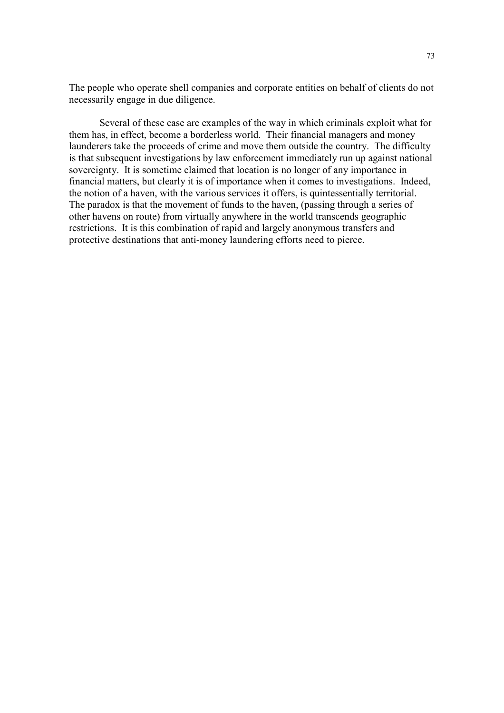The people who operate shell companies and corporate entities on behalf of clients do not necessarily engage in due diligence.

 Several of these case are examples of the way in which criminals exploit what for them has, in effect, become a borderless world. Their financial managers and money launderers take the proceeds of crime and move them outside the country. The difficulty is that subsequent investigations by law enforcement immediately run up against national sovereignty. It is sometime claimed that location is no longer of any importance in financial matters, but clearly it is of importance when it comes to investigations. Indeed, the notion of a haven, with the various services it offers, is quintessentially territorial. The paradox is that the movement of funds to the haven, (passing through a series of other havens on route) from virtually anywhere in the world transcends geographic restrictions. It is this combination of rapid and largely anonymous transfers and protective destinations that anti-money laundering efforts need to pierce.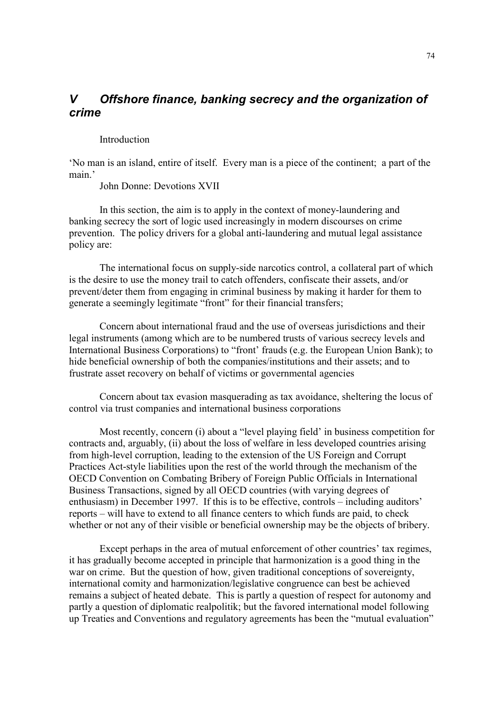# *V Offshore finance, banking secrecy and the organization of crime*

## Introduction

'No man is an island, entire of itself. Every man is a piece of the continent; a part of the main.'

John Donne: Devotions XVII

In this section, the aim is to apply in the context of money-laundering and banking secrecy the sort of logic used increasingly in modern discourses on crime prevention. The policy drivers for a global anti-laundering and mutual legal assistance policy are:

 The international focus on supply-side narcotics control, a collateral part of which is the desire to use the money trail to catch offenders, confiscate their assets, and/or prevent/deter them from engaging in criminal business by making it harder for them to generate a seemingly legitimate "front" for their financial transfers;

 Concern about international fraud and the use of overseas jurisdictions and their legal instruments (among which are to be numbered trusts of various secrecy levels and International Business Corporations) to "front' frauds (e.g. the European Union Bank); to hide beneficial ownership of both the companies/institutions and their assets; and to frustrate asset recovery on behalf of victims or governmental agencies

 Concern about tax evasion masquerading as tax avoidance, sheltering the locus of control via trust companies and international business corporations

 Most recently, concern (i) about a "level playing field' in business competition for contracts and, arguably, (ii) about the loss of welfare in less developed countries arising from high-level corruption, leading to the extension of the US Foreign and Corrupt Practices Act-style liabilities upon the rest of the world through the mechanism of the OECD Convention on Combating Bribery of Foreign Public Officials in International Business Transactions, signed by all OECD countries (with varying degrees of enthusiasm) in December 1997. If this is to be effective, controls – including auditors' reports – will have to extend to all finance centers to which funds are paid, to check whether or not any of their visible or beneficial ownership may be the objects of bribery.

Except perhaps in the area of mutual enforcement of other countries' tax regimes, it has gradually become accepted in principle that harmonization is a good thing in the war on crime. But the question of how, given traditional conceptions of sovereignty, international comity and harmonization/legislative congruence can best be achieved remains a subject of heated debate. This is partly a question of respect for autonomy and partly a question of diplomatic realpolitik; but the favored international model following up Treaties and Conventions and regulatory agreements has been the "mutual evaluation"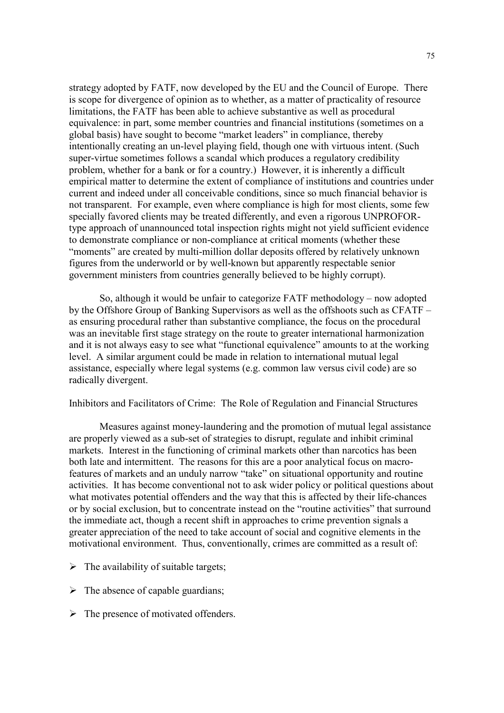strategy adopted by FATF, now developed by the EU and the Council of Europe. There is scope for divergence of opinion as to whether, as a matter of practicality of resource limitations, the FATF has been able to achieve substantive as well as procedural equivalence: in part, some member countries and financial institutions (sometimes on a global basis) have sought to become "market leaders" in compliance, thereby intentionally creating an un-level playing field, though one with virtuous intent. (Such super-virtue sometimes follows a scandal which produces a regulatory credibility problem, whether for a bank or for a country.) However, it is inherently a difficult empirical matter to determine the extent of compliance of institutions and countries under current and indeed under all conceivable conditions, since so much financial behavior is not transparent. For example, even where compliance is high for most clients, some few specially favored clients may be treated differently, and even a rigorous UNPROFORtype approach of unannounced total inspection rights might not yield sufficient evidence to demonstrate compliance or non-compliance at critical moments (whether these "moments" are created by multi-million dollar deposits offered by relatively unknown figures from the underworld or by well-known but apparently respectable senior government ministers from countries generally believed to be highly corrupt).

So, although it would be unfair to categorize FATF methodology – now adopted by the Offshore Group of Banking Supervisors as well as the offshoots such as CFATF – as ensuring procedural rather than substantive compliance, the focus on the procedural was an inevitable first stage strategy on the route to greater international harmonization and it is not always easy to see what "functional equivalence" amounts to at the working level. A similar argument could be made in relation to international mutual legal assistance, especially where legal systems (e.g. common law versus civil code) are so radically divergent.

Inhibitors and Facilitators of Crime: The Role of Regulation and Financial Structures

Measures against money-laundering and the promotion of mutual legal assistance are properly viewed as a sub-set of strategies to disrupt, regulate and inhibit criminal markets. Interest in the functioning of criminal markets other than narcotics has been both late and intermittent. The reasons for this are a poor analytical focus on macrofeatures of markets and an unduly narrow "take" on situational opportunity and routine activities. It has become conventional not to ask wider policy or political questions about what motivates potential offenders and the way that this is affected by their life-chances or by social exclusion, but to concentrate instead on the "routine activities" that surround the immediate act, though a recent shift in approaches to crime prevention signals a greater appreciation of the need to take account of social and cognitive elements in the motivational environment. Thus, conventionally, crimes are committed as a result of:

- $\triangleright$  The availability of suitable targets;
- $\triangleright$  The absence of capable guardians;
- $\triangleright$  The presence of motivated offenders.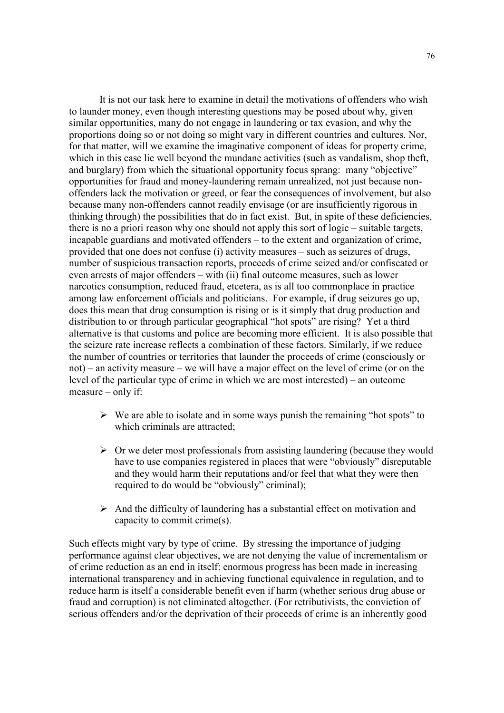It is not our task here to examine in detail the motivations of offenders who wish to launder money, even though interesting questions may be posed about why, given similar opportunities, many do not engage in laundering or tax evasion, and why the proportions doing so or not doing so might vary in different countries and cultures. Nor, for that matter, will we examine the imaginative component of ideas for property crime, which in this case lie well beyond the mundane activities (such as vandalism, shop theft, and burglary) from which the situational opportunity focus sprang: many "objective" opportunities for fraud and money-laundering remain unrealized, not just because nonoffenders lack the motivation or greed, or fear the consequences of involvement, but also because many non-offenders cannot readily envisage (or are insufficiently rigorous in thinking through) the possibilities that do in fact exist. But, in spite of these deficiencies, there is no a priori reason why one should not apply this sort of logic – suitable targets, incapable guardians and motivated offenders – to the extent and organization of crime, provided that one does not confuse (i) activity measures – such as seizures of drugs, number of suspicious transaction reports, proceeds of crime seized and/or confiscated or even arrests of major offenders – with (ii) final outcome measures, such as lower narcotics consumption, reduced fraud, etcetera, as is all too commonplace in practice among law enforcement officials and politicians. For example, if drug seizures go up, does this mean that drug consumption is rising or is it simply that drug production and distribution to or through particular geographical "hot spots" are rising? Yet a third alternative is that customs and police are becoming more efficient. It is also possible that the seizure rate increase reflects a combination of these factors. Similarly, if we reduce the number of countries or territories that launder the proceeds of crime (consciously or not) – an activity measure – we will have a major effect on the level of crime (or on the level of the particular type of crime in which we are most interested) – an outcome measure – only if:

- $\triangleright$  We are able to isolate and in some ways punish the remaining "hot spots" to which criminals are attracted;
- $\triangleright$  Or we deter most professionals from assisting laundering (because they would have to use companies registered in places that were "obviously" disreputable and they would harm their reputations and/or feel that what they were then required to do would be "obviously" criminal);
- $\triangleright$  And the difficulty of laundering has a substantial effect on motivation and capacity to commit crime(s).

Such effects might vary by type of crime. By stressing the importance of judging performance against clear objectives, we are not denying the value of incrementalism or of crime reduction as an end in itself: enormous progress has been made in increasing international transparency and in achieving functional equivalence in regulation, and to reduce harm is itself a considerable benefit even if harm (whether serious drug abuse or fraud and corruption) is not eliminated altogether. (For retributivists, the conviction of serious offenders and/or the deprivation of their proceeds of crime is an inherently good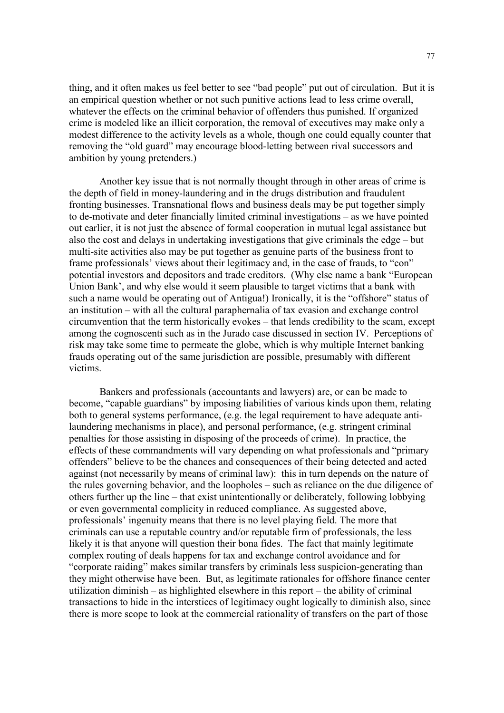thing, and it often makes us feel better to see "bad people" put out of circulation. But it is an empirical question whether or not such punitive actions lead to less crime overall, whatever the effects on the criminal behavior of offenders thus punished. If organized crime is modeled like an illicit corporation, the removal of executives may make only a modest difference to the activity levels as a whole, though one could equally counter that removing the "old guard" may encourage blood-letting between rival successors and ambition by young pretenders.)

Another key issue that is not normally thought through in other areas of crime is the depth of field in money-laundering and in the drugs distribution and fraudulent fronting businesses. Transnational flows and business deals may be put together simply to de-motivate and deter financially limited criminal investigations – as we have pointed out earlier, it is not just the absence of formal cooperation in mutual legal assistance but also the cost and delays in undertaking investigations that give criminals the edge – but multi-site activities also may be put together as genuine parts of the business front to frame professionals' views about their legitimacy and, in the case of frauds, to "con" potential investors and depositors and trade creditors. (Why else name a bank "European Union Bank', and why else would it seem plausible to target victims that a bank with such a name would be operating out of Antigua!) Ironically, it is the "offshore" status of an institution – with all the cultural paraphernalia of tax evasion and exchange control circumvention that the term historically evokes – that lends credibility to the scam, except among the cognoscenti such as in the Jurado case discussed in section IV. Perceptions of risk may take some time to permeate the globe, which is why multiple Internet banking frauds operating out of the same jurisdiction are possible, presumably with different victims.

Bankers and professionals (accountants and lawyers) are, or can be made to become, "capable guardians" by imposing liabilities of various kinds upon them, relating both to general systems performance, (e.g. the legal requirement to have adequate antilaundering mechanisms in place), and personal performance, (e.g. stringent criminal penalties for those assisting in disposing of the proceeds of crime). In practice, the effects of these commandments will vary depending on what professionals and "primary offenders" believe to be the chances and consequences of their being detected and acted against (not necessarily by means of criminal law): this in turn depends on the nature of the rules governing behavior, and the loopholes – such as reliance on the due diligence of others further up the line – that exist unintentionally or deliberately, following lobbying or even governmental complicity in reduced compliance. As suggested above, professionals' ingenuity means that there is no level playing field. The more that criminals can use a reputable country and/or reputable firm of professionals, the less likely it is that anyone will question their bona fides. The fact that mainly legitimate complex routing of deals happens for tax and exchange control avoidance and for "corporate raiding" makes similar transfers by criminals less suspicion-generating than they might otherwise have been. But, as legitimate rationales for offshore finance center utilization diminish – as highlighted elsewhere in this report – the ability of criminal transactions to hide in the interstices of legitimacy ought logically to diminish also, since there is more scope to look at the commercial rationality of transfers on the part of those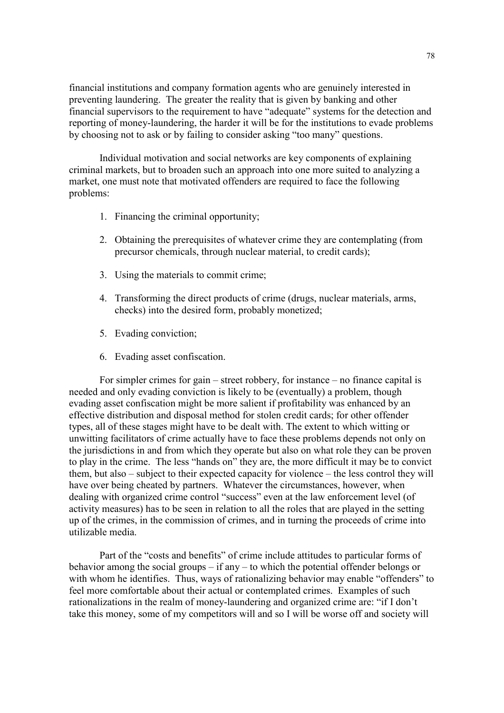financial institutions and company formation agents who are genuinely interested in preventing laundering. The greater the reality that is given by banking and other financial supervisors to the requirement to have "adequate" systems for the detection and reporting of money-laundering, the harder it will be for the institutions to evade problems by choosing not to ask or by failing to consider asking "too many" questions.

Individual motivation and social networks are key components of explaining criminal markets, but to broaden such an approach into one more suited to analyzing a market, one must note that motivated offenders are required to face the following problems:

- 1. Financing the criminal opportunity;
- 2. Obtaining the prerequisites of whatever crime they are contemplating (from precursor chemicals, through nuclear material, to credit cards);
- 3. Using the materials to commit crime;
- 4. Transforming the direct products of crime (drugs, nuclear materials, arms, checks) into the desired form, probably monetized;
- 5. Evading conviction;
- 6. Evading asset confiscation.

For simpler crimes for gain – street robbery, for instance – no finance capital is needed and only evading conviction is likely to be (eventually) a problem, though evading asset confiscation might be more salient if profitability was enhanced by an effective distribution and disposal method for stolen credit cards; for other offender types, all of these stages might have to be dealt with. The extent to which witting or unwitting facilitators of crime actually have to face these problems depends not only on the jurisdictions in and from which they operate but also on what role they can be proven to play in the crime. The less "hands on" they are, the more difficult it may be to convict them, but also – subject to their expected capacity for violence – the less control they will have over being cheated by partners. Whatever the circumstances, however, when dealing with organized crime control "success" even at the law enforcement level (of activity measures) has to be seen in relation to all the roles that are played in the setting up of the crimes, in the commission of crimes, and in turning the proceeds of crime into utilizable media.

Part of the "costs and benefits" of crime include attitudes to particular forms of behavior among the social groups – if any – to which the potential offender belongs or with whom he identifies. Thus, ways of rationalizing behavior may enable "offenders" to feel more comfortable about their actual or contemplated crimes. Examples of such rationalizations in the realm of money-laundering and organized crime are: "if I don't take this money, some of my competitors will and so I will be worse off and society will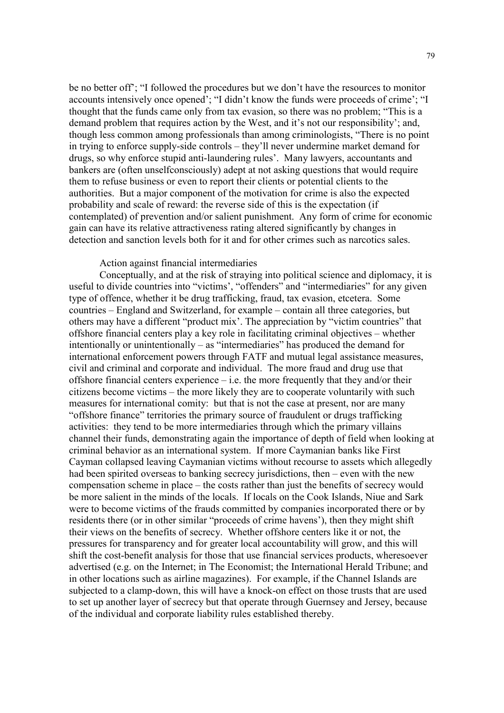be no better off'; "I followed the procedures but we don't have the resources to monitor accounts intensively once opened'; "I didn't know the funds were proceeds of crime'; "I thought that the funds came only from tax evasion, so there was no problem; "This is a demand problem that requires action by the West, and it's not our responsibility'; and, though less common among professionals than among criminologists, "There is no point in trying to enforce supply-side controls – they'll never undermine market demand for drugs, so why enforce stupid anti-laundering rules'. Many lawyers, accountants and bankers are (often unselfconsciously) adept at not asking questions that would require them to refuse business or even to report their clients or potential clients to the authorities. But a major component of the motivation for crime is also the expected probability and scale of reward: the reverse side of this is the expectation (if contemplated) of prevention and/or salient punishment. Any form of crime for economic gain can have its relative attractiveness rating altered significantly by changes in detection and sanction levels both for it and for other crimes such as narcotics sales.

### Action against financial intermediaries

Conceptually, and at the risk of straying into political science and diplomacy, it is useful to divide countries into "victims', "offenders" and "intermediaries" for any given type of offence, whether it be drug trafficking, fraud, tax evasion, etcetera. Some countries – England and Switzerland, for example – contain all three categories, but others may have a different "product mix'. The appreciation by "victim countries" that offshore financial centers play a key role in facilitating criminal objectives – whether intentionally or unintentionally – as "intermediaries" has produced the demand for international enforcement powers through FATF and mutual legal assistance measures, civil and criminal and corporate and individual. The more fraud and drug use that offshore financial centers experience  $-$  i.e. the more frequently that they and/or their citizens become victims – the more likely they are to cooperate voluntarily with such measures for international comity: but that is not the case at present, nor are many "offshore finance" territories the primary source of fraudulent or drugs trafficking activities: they tend to be more intermediaries through which the primary villains channel their funds, demonstrating again the importance of depth of field when looking at criminal behavior as an international system. If more Caymanian banks like First Cayman collapsed leaving Caymanian victims without recourse to assets which allegedly had been spirited overseas to banking secrecy jurisdictions, then – even with the new compensation scheme in place – the costs rather than just the benefits of secrecy would be more salient in the minds of the locals. If locals on the Cook Islands, Niue and Sark were to become victims of the frauds committed by companies incorporated there or by residents there (or in other similar "proceeds of crime havens'), then they might shift their views on the benefits of secrecy. Whether offshore centers like it or not, the pressures for transparency and for greater local accountability will grow, and this will shift the cost-benefit analysis for those that use financial services products, wheresoever advertised (e.g. on the Internet; in The Economist; the International Herald Tribune; and in other locations such as airline magazines). For example, if the Channel Islands are subjected to a clamp-down, this will have a knock-on effect on those trusts that are used to set up another layer of secrecy but that operate through Guernsey and Jersey, because of the individual and corporate liability rules established thereby.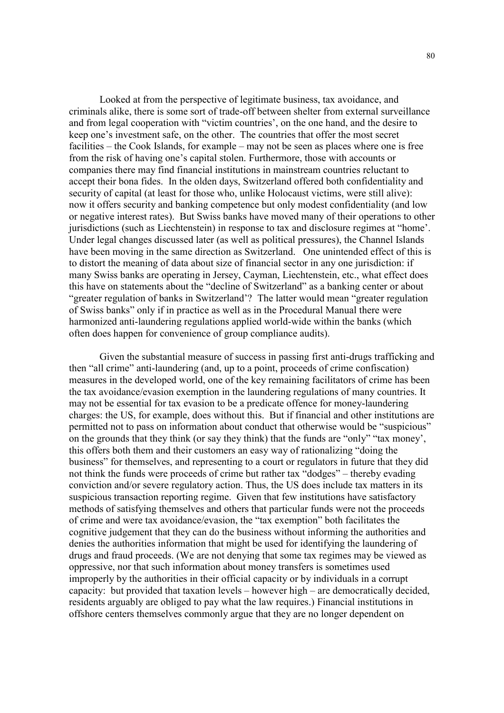Looked at from the perspective of legitimate business, tax avoidance, and criminals alike, there is some sort of trade-off between shelter from external surveillance and from legal cooperation with "victim countries', on the one hand, and the desire to keep one's investment safe, on the other. The countries that offer the most secret facilities – the Cook Islands, for example – may not be seen as places where one is free from the risk of having one's capital stolen. Furthermore, those with accounts or companies there may find financial institutions in mainstream countries reluctant to accept their bona fides. In the olden days, Switzerland offered both confidentiality and security of capital (at least for those who, unlike Holocaust victims, were still alive): now it offers security and banking competence but only modest confidentiality (and low or negative interest rates). But Swiss banks have moved many of their operations to other jurisdictions (such as Liechtenstein) in response to tax and disclosure regimes at "home'. Under legal changes discussed later (as well as political pressures), the Channel Islands have been moving in the same direction as Switzerland. One unintended effect of this is to distort the meaning of data about size of financial sector in any one jurisdiction: if many Swiss banks are operating in Jersey, Cayman, Liechtenstein, etc., what effect does this have on statements about the "decline of Switzerland" as a banking center or about "greater regulation of banks in Switzerland'? The latter would mean "greater regulation of Swiss banks" only if in practice as well as in the Procedural Manual there were harmonized anti-laundering regulations applied world-wide within the banks (which often does happen for convenience of group compliance audits).

Given the substantial measure of success in passing first anti-drugs trafficking and then "all crime" anti-laundering (and, up to a point, proceeds of crime confiscation) measures in the developed world, one of the key remaining facilitators of crime has been the tax avoidance/evasion exemption in the laundering regulations of many countries. It may not be essential for tax evasion to be a predicate offence for money-laundering charges: the US, for example, does without this. But if financial and other institutions are permitted not to pass on information about conduct that otherwise would be "suspicious" on the grounds that they think (or say they think) that the funds are "only" "tax money', this offers both them and their customers an easy way of rationalizing "doing the business" for themselves, and representing to a court or regulators in future that they did not think the funds were proceeds of crime but rather tax "dodges" – thereby evading conviction and/or severe regulatory action. Thus, the US does include tax matters in its suspicious transaction reporting regime. Given that few institutions have satisfactory methods of satisfying themselves and others that particular funds were not the proceeds of crime and were tax avoidance/evasion, the "tax exemption" both facilitates the cognitive judgement that they can do the business without informing the authorities and denies the authorities information that might be used for identifying the laundering of drugs and fraud proceeds. (We are not denying that some tax regimes may be viewed as oppressive, nor that such information about money transfers is sometimes used improperly by the authorities in their official capacity or by individuals in a corrupt capacity: but provided that taxation levels – however high – are democratically decided, residents arguably are obliged to pay what the law requires.) Financial institutions in offshore centers themselves commonly argue that they are no longer dependent on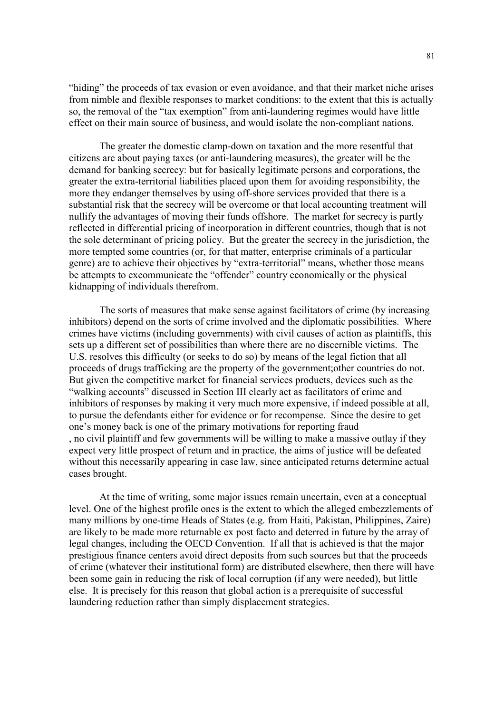"hiding" the proceeds of tax evasion or even avoidance, and that their market niche arises from nimble and flexible responses to market conditions: to the extent that this is actually so, the removal of the "tax exemption" from anti-laundering regimes would have little effect on their main source of business, and would isolate the non-compliant nations.

The greater the domestic clamp-down on taxation and the more resentful that citizens are about paying taxes (or anti-laundering measures), the greater will be the demand for banking secrecy: but for basically legitimate persons and corporations, the greater the extra-territorial liabilities placed upon them for avoiding responsibility, the more they endanger themselves by using off-shore services provided that there is a substantial risk that the secrecy will be overcome or that local accounting treatment will nullify the advantages of moving their funds offshore. The market for secrecy is partly reflected in differential pricing of incorporation in different countries, though that is not the sole determinant of pricing policy. But the greater the secrecy in the jurisdiction, the more tempted some countries (or, for that matter, enterprise criminals of a particular genre) are to achieve their objectives by "extra-territorial" means, whether those means be attempts to excommunicate the "offender" country economically or the physical kidnapping of individuals therefrom.

The sorts of measures that make sense against facilitators of crime (by increasing inhibitors) depend on the sorts of crime involved and the diplomatic possibilities. Where crimes have victims (including governments) with civil causes of action as plaintiffs, this sets up a different set of possibilities than where there are no discernible victims. The U.S. resolves this difficulty (or seeks to do so) by means of the legal fiction that all proceeds of drugs trafficking are the property of the government;other countries do not. But given the competitive market for financial services products, devices such as the "walking accounts" discussed in Section III clearly act as facilitators of crime and inhibitors of responses by making it very much more expensive, if indeed possible at all, to pursue the defendants either for evidence or for recompense. Since the desire to get one's money back is one of the primary motivations for reporting fraud , no civil plaintiff and few governments will be willing to make a massive outlay if they expect very little prospect of return and in practice, the aims of justice will be defeated without this necessarily appearing in case law, since anticipated returns determine actual cases brought.

At the time of writing, some major issues remain uncertain, even at a conceptual level. One of the highest profile ones is the extent to which the alleged embezzlements of many millions by one-time Heads of States (e.g. from Haiti, Pakistan, Philippines, Zaire) are likely to be made more returnable ex post facto and deterred in future by the array of legal changes, including the OECD Convention. If all that is achieved is that the major prestigious finance centers avoid direct deposits from such sources but that the proceeds of crime (whatever their institutional form) are distributed elsewhere, then there will have been some gain in reducing the risk of local corruption (if any were needed), but little else. It is precisely for this reason that global action is a prerequisite of successful laundering reduction rather than simply displacement strategies.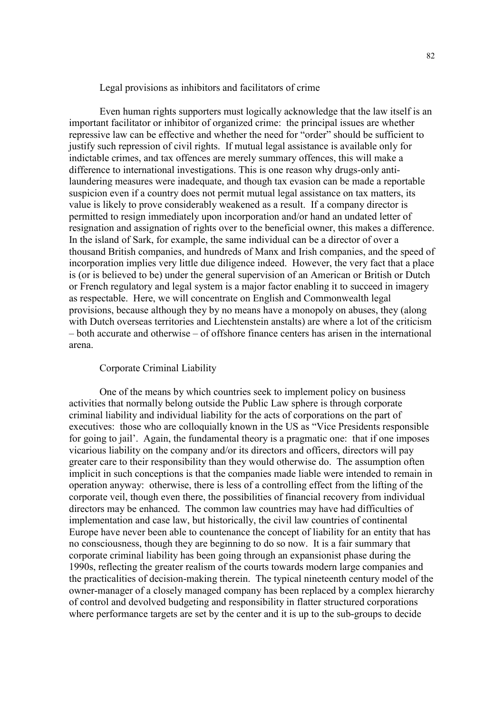## Legal provisions as inhibitors and facilitators of crime

Even human rights supporters must logically acknowledge that the law itself is an important facilitator or inhibitor of organized crime: the principal issues are whether repressive law can be effective and whether the need for "order" should be sufficient to justify such repression of civil rights. If mutual legal assistance is available only for indictable crimes, and tax offences are merely summary offences, this will make a difference to international investigations. This is one reason why drugs-only antilaundering measures were inadequate, and though tax evasion can be made a reportable suspicion even if a country does not permit mutual legal assistance on tax matters, its value is likely to prove considerably weakened as a result. If a company director is permitted to resign immediately upon incorporation and/or hand an undated letter of resignation and assignation of rights over to the beneficial owner, this makes a difference. In the island of Sark, for example, the same individual can be a director of over a thousand British companies, and hundreds of Manx and Irish companies, and the speed of incorporation implies very little due diligence indeed. However, the very fact that a place is (or is believed to be) under the general supervision of an American or British or Dutch or French regulatory and legal system is a major factor enabling it to succeed in imagery as respectable. Here, we will concentrate on English and Commonwealth legal provisions, because although they by no means have a monopoly on abuses, they (along with Dutch overseas territories and Liechtenstein anstalts) are where a lot of the criticism – both accurate and otherwise – of offshore finance centers has arisen in the international arena.

## Corporate Criminal Liability

One of the means by which countries seek to implement policy on business activities that normally belong outside the Public Law sphere is through corporate criminal liability and individual liability for the acts of corporations on the part of executives: those who are colloquially known in the US as "Vice Presidents responsible for going to jail'. Again, the fundamental theory is a pragmatic one: that if one imposes vicarious liability on the company and/or its directors and officers, directors will pay greater care to their responsibility than they would otherwise do. The assumption often implicit in such conceptions is that the companies made liable were intended to remain in operation anyway: otherwise, there is less of a controlling effect from the lifting of the corporate veil, though even there, the possibilities of financial recovery from individual directors may be enhanced. The common law countries may have had difficulties of implementation and case law, but historically, the civil law countries of continental Europe have never been able to countenance the concept of liability for an entity that has no consciousness, though they are beginning to do so now. It is a fair summary that corporate criminal liability has been going through an expansionist phase during the 1990s, reflecting the greater realism of the courts towards modern large companies and the practicalities of decision-making therein. The typical nineteenth century model of the owner-manager of a closely managed company has been replaced by a complex hierarchy of control and devolved budgeting and responsibility in flatter structured corporations where performance targets are set by the center and it is up to the sub-groups to decide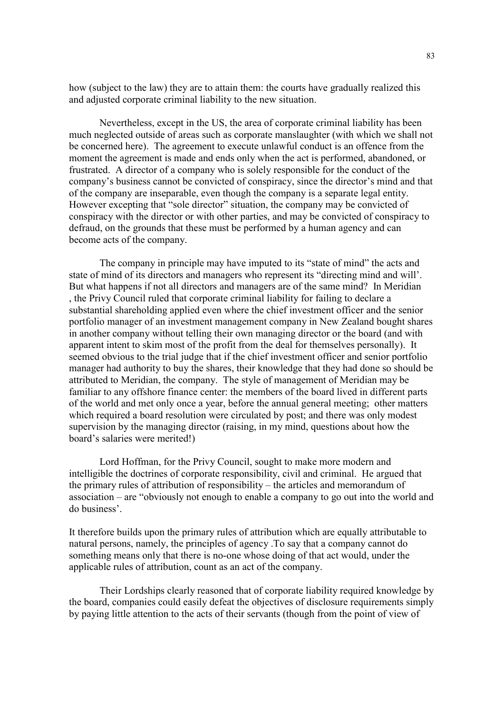how (subject to the law) they are to attain them: the courts have gradually realized this and adjusted corporate criminal liability to the new situation.

Nevertheless, except in the US, the area of corporate criminal liability has been much neglected outside of areas such as corporate manslaughter (with which we shall not be concerned here). The agreement to execute unlawful conduct is an offence from the moment the agreement is made and ends only when the act is performed, abandoned, or frustrated. A director of a company who is solely responsible for the conduct of the company's business cannot be convicted of conspiracy, since the director's mind and that of the company are inseparable, even though the company is a separate legal entity. However excepting that "sole director" situation, the company may be convicted of conspiracy with the director or with other parties, and may be convicted of conspiracy to defraud, on the grounds that these must be performed by a human agency and can become acts of the company.

The company in principle may have imputed to its "state of mind" the acts and state of mind of its directors and managers who represent its "directing mind and will'. But what happens if not all directors and managers are of the same mind? In Meridian , the Privy Council ruled that corporate criminal liability for failing to declare a substantial shareholding applied even where the chief investment officer and the senior portfolio manager of an investment management company in New Zealand bought shares in another company without telling their own managing director or the board (and with apparent intent to skim most of the profit from the deal for themselves personally). It seemed obvious to the trial judge that if the chief investment officer and senior portfolio manager had authority to buy the shares, their knowledge that they had done so should be attributed to Meridian, the company. The style of management of Meridian may be familiar to any offshore finance center: the members of the board lived in different parts of the world and met only once a year, before the annual general meeting; other matters which required a board resolution were circulated by post; and there was only modest supervision by the managing director (raising, in my mind, questions about how the board's salaries were merited!)

Lord Hoffman, for the Privy Council, sought to make more modern and intelligible the doctrines of corporate responsibility, civil and criminal. He argued that the primary rules of attribution of responsibility – the articles and memorandum of association – are "obviously not enough to enable a company to go out into the world and do business'.

It therefore builds upon the primary rules of attribution which are equally attributable to natural persons, namely, the principles of agency .To say that a company cannot do something means only that there is no-one whose doing of that act would, under the applicable rules of attribution, count as an act of the company.

Their Lordships clearly reasoned that of corporate liability required knowledge by the board, companies could easily defeat the objectives of disclosure requirements simply by paying little attention to the acts of their servants (though from the point of view of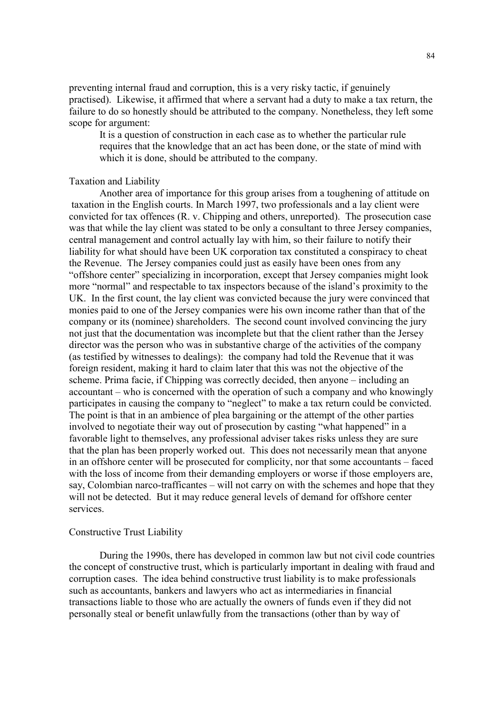preventing internal fraud and corruption, this is a very risky tactic, if genuinely practised). Likewise, it affirmed that where a servant had a duty to make a tax return, the failure to do so honestly should be attributed to the company. Nonetheless, they left some scope for argument:

It is a question of construction in each case as to whether the particular rule requires that the knowledge that an act has been done, or the state of mind with which it is done, should be attributed to the company.

## Taxation and Liability

Another area of importance for this group arises from a toughening of attitude on taxation in the English courts. In March 1997, two professionals and a lay client were convicted for tax offences (R. v. Chipping and others, unreported). The prosecution case was that while the lay client was stated to be only a consultant to three Jersey companies, central management and control actually lay with him, so their failure to notify their liability for what should have been UK corporation tax constituted a conspiracy to cheat the Revenue. The Jersey companies could just as easily have been ones from any "offshore center" specializing in incorporation, except that Jersey companies might look more "normal" and respectable to tax inspectors because of the island's proximity to the UK. In the first count, the lay client was convicted because the jury were convinced that monies paid to one of the Jersey companies were his own income rather than that of the company or its (nominee) shareholders. The second count involved convincing the jury not just that the documentation was incomplete but that the client rather than the Jersey director was the person who was in substantive charge of the activities of the company (as testified by witnesses to dealings): the company had told the Revenue that it was foreign resident, making it hard to claim later that this was not the objective of the scheme. Prima facie, if Chipping was correctly decided, then anyone – including an accountant – who is concerned with the operation of such a company and who knowingly participates in causing the company to "neglect" to make a tax return could be convicted. The point is that in an ambience of plea bargaining or the attempt of the other parties involved to negotiate their way out of prosecution by casting "what happened" in a favorable light to themselves, any professional adviser takes risks unless they are sure that the plan has been properly worked out. This does not necessarily mean that anyone in an offshore center will be prosecuted for complicity, nor that some accountants – faced with the loss of income from their demanding employers or worse if those employers are, say, Colombian narco-trafficantes – will not carry on with the schemes and hope that they will not be detected. But it may reduce general levels of demand for offshore center services.

### Constructive Trust Liability

During the 1990s, there has developed in common law but not civil code countries the concept of constructive trust, which is particularly important in dealing with fraud and corruption cases. The idea behind constructive trust liability is to make professionals such as accountants, bankers and lawyers who act as intermediaries in financial transactions liable to those who are actually the owners of funds even if they did not personally steal or benefit unlawfully from the transactions (other than by way of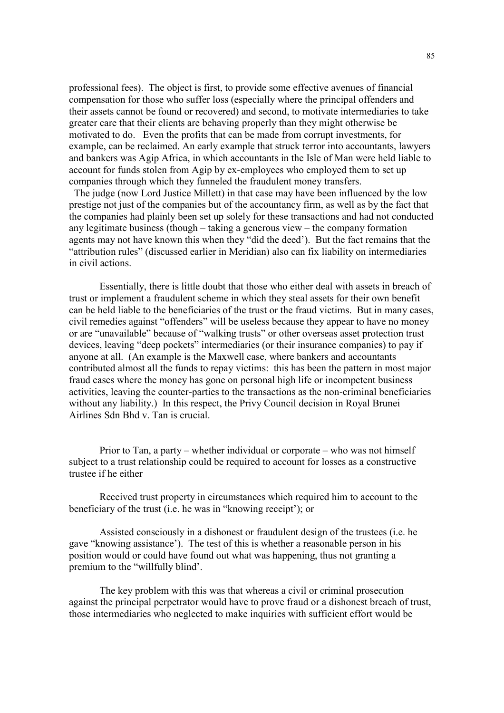professional fees). The object is first, to provide some effective avenues of financial compensation for those who suffer loss (especially where the principal offenders and their assets cannot be found or recovered) and second, to motivate intermediaries to take greater care that their clients are behaving properly than they might otherwise be motivated to do. Even the profits that can be made from corrupt investments, for example, can be reclaimed. An early example that struck terror into accountants, lawyers and bankers was Agip Africa, in which accountants in the Isle of Man were held liable to account for funds stolen from Agip by ex-employees who employed them to set up companies through which they funneled the fraudulent money transfers.

 The judge (now Lord Justice Millett) in that case may have been influenced by the low prestige not just of the companies but of the accountancy firm, as well as by the fact that the companies had plainly been set up solely for these transactions and had not conducted any legitimate business (though – taking a generous view – the company formation agents may not have known this when they "did the deed'). But the fact remains that the "attribution rules" (discussed earlier in Meridian) also can fix liability on intermediaries in civil actions.

Essentially, there is little doubt that those who either deal with assets in breach of trust or implement a fraudulent scheme in which they steal assets for their own benefit can be held liable to the beneficiaries of the trust or the fraud victims. But in many cases, civil remedies against "offenders" will be useless because they appear to have no money or are "unavailable" because of "walking trusts" or other overseas asset protection trust devices, leaving "deep pockets" intermediaries (or their insurance companies) to pay if anyone at all. (An example is the Maxwell case, where bankers and accountants contributed almost all the funds to repay victims: this has been the pattern in most major fraud cases where the money has gone on personal high life or incompetent business activities, leaving the counter-parties to the transactions as the non-criminal beneficiaries without any liability.) In this respect, the Privy Council decision in Royal Brunei Airlines Sdn Bhd v. Tan is crucial.

Prior to Tan, a party – whether individual or corporate – who was not himself subject to a trust relationship could be required to account for losses as a constructive trustee if he either

 Received trust property in circumstances which required him to account to the beneficiary of the trust (i.e. he was in "knowing receipt'); or

 Assisted consciously in a dishonest or fraudulent design of the trustees (i.e. he gave "knowing assistance'). The test of this is whether a reasonable person in his position would or could have found out what was happening, thus not granting a premium to the "willfully blind'.

The key problem with this was that whereas a civil or criminal prosecution against the principal perpetrator would have to prove fraud or a dishonest breach of trust, those intermediaries who neglected to make inquiries with sufficient effort would be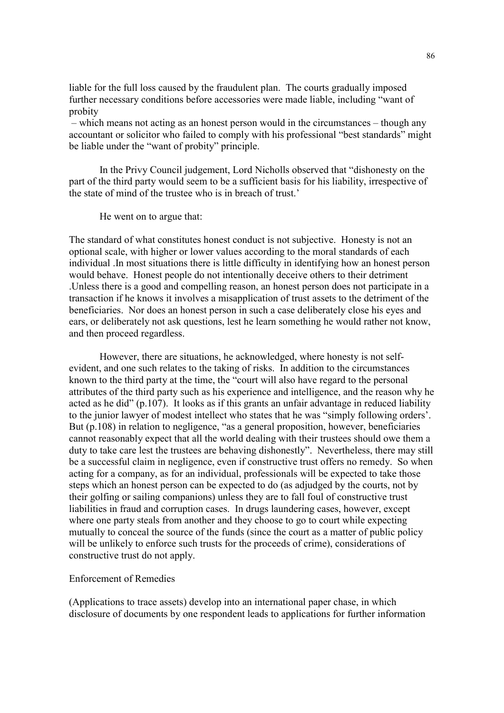liable for the full loss caused by the fraudulent plan. The courts gradually imposed further necessary conditions before accessories were made liable, including "want of probity

 – which means not acting as an honest person would in the circumstances – though any accountant or solicitor who failed to comply with his professional "best standards" might be liable under the "want of probity" principle.

In the Privy Council judgement, Lord Nicholls observed that "dishonesty on the part of the third party would seem to be a sufficient basis for his liability, irrespective of the state of mind of the trustee who is in breach of trust.'

He went on to argue that:

The standard of what constitutes honest conduct is not subjective. Honesty is not an optional scale, with higher or lower values according to the moral standards of each individual .In most situations there is little difficulty in identifying how an honest person would behave. Honest people do not intentionally deceive others to their detriment .Unless there is a good and compelling reason, an honest person does not participate in a transaction if he knows it involves a misapplication of trust assets to the detriment of the beneficiaries. Nor does an honest person in such a case deliberately close his eyes and ears, or deliberately not ask questions, lest he learn something he would rather not know, and then proceed regardless.

However, there are situations, he acknowledged, where honesty is not selfevident, and one such relates to the taking of risks. In addition to the circumstances known to the third party at the time, the "court will also have regard to the personal attributes of the third party such as his experience and intelligence, and the reason why he acted as he did" (p.107). It looks as if this grants an unfair advantage in reduced liability to the junior lawyer of modest intellect who states that he was "simply following orders'. But (p.108) in relation to negligence, "as a general proposition, however, beneficiaries cannot reasonably expect that all the world dealing with their trustees should owe them a duty to take care lest the trustees are behaving dishonestly". Nevertheless, there may still be a successful claim in negligence, even if constructive trust offers no remedy. So when acting for a company, as for an individual, professionals will be expected to take those steps which an honest person can be expected to do (as adjudged by the courts, not by their golfing or sailing companions) unless they are to fall foul of constructive trust liabilities in fraud and corruption cases. In drugs laundering cases, however, except where one party steals from another and they choose to go to court while expecting mutually to conceal the source of the funds (since the court as a matter of public policy will be unlikely to enforce such trusts for the proceeds of crime), considerations of constructive trust do not apply.

## Enforcement of Remedies

(Applications to trace assets) develop into an international paper chase, in which disclosure of documents by one respondent leads to applications for further information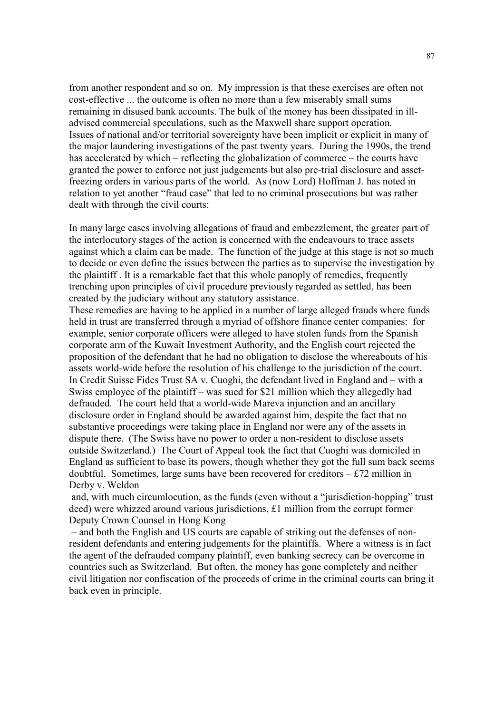from another respondent and so on. My impression is that these exercises are often not cost-effective ... the outcome is often no more than a few miserably small sums remaining in disused bank accounts. The bulk of the money has been dissipated in illadvised commercial speculations, such as the Maxwell share support operation. Issues of national and/or territorial sovereignty have been implicit or explicit in many of the major laundering investigations of the past twenty years. During the 1990s, the trend has accelerated by which – reflecting the globalization of commerce – the courts have granted the power to enforce not just judgements but also pre-trial disclosure and assetfreezing orders in various parts of the world. As (now Lord) Hoffman J. has noted in relation to yet another "fraud case" that led to no criminal prosecutions but was rather dealt with through the civil courts:

In many large cases involving allegations of fraud and embezzlement, the greater part of the interlocutory stages of the action is concerned with the endeavours to trace assets against which a claim can be made. The function of the judge at this stage is not so much to decide or even define the issues between the parties as to supervise the investigation by the plaintiff . It is a remarkable fact that this whole panoply of remedies, frequently trenching upon principles of civil procedure previously regarded as settled, has been created by the judiciary without any statutory assistance.

These remedies are having to be applied in a number of large alleged frauds where funds held in trust are transferred through a myriad of offshore finance center companies: for example, senior corporate officers were alleged to have stolen funds from the Spanish corporate arm of the Kuwait Investment Authority, and the English court rejected the proposition of the defendant that he had no obligation to disclose the whereabouts of his assets world-wide before the resolution of his challenge to the jurisdiction of the court. In Credit Suisse Fides Trust SA v. Cuoghi, the defendant lived in England and – with a Swiss employee of the plaintiff – was sued for \$21 million which they allegedly had defrauded. The court held that a world-wide Mareva injunction and an ancillary disclosure order in England should be awarded against him, despite the fact that no substantive proceedings were taking place in England nor were any of the assets in dispute there. (The Swiss have no power to order a non-resident to disclose assets outside Switzerland.) The Court of Appeal took the fact that Cuoghi was domiciled in England as sufficient to base its powers, though whether they got the full sum back seems doubtful. Sometimes, large sums have been recovered for creditors  $-£72$  million in Derby v. Weldon

 and, with much circumlocution, as the funds (even without a "jurisdiction-hopping" trust deed) were whizzed around various jurisdictions, £1 million from the corrupt former Deputy Crown Counsel in Hong Kong

 – and both the English and US courts are capable of striking out the defenses of nonresident defendants and entering judgements for the plaintiffs. Where a witness is in fact the agent of the defrauded company plaintiff, even banking secrecy can be overcome in countries such as Switzerland. But often, the money has gone completely and neither civil litigation nor confiscation of the proceeds of crime in the criminal courts can bring it back even in principle.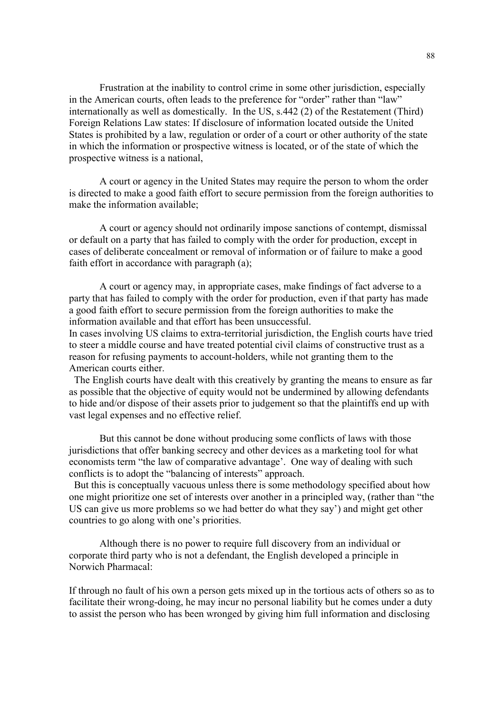Frustration at the inability to control crime in some other jurisdiction, especially in the American courts, often leads to the preference for "order" rather than "law" internationally as well as domestically. In the US, s.442 (2) of the Restatement (Third) Foreign Relations Law states: If disclosure of information located outside the United States is prohibited by a law, regulation or order of a court or other authority of the state in which the information or prospective witness is located, or of the state of which the prospective witness is a national,

 A court or agency in the United States may require the person to whom the order is directed to make a good faith effort to secure permission from the foreign authorities to make the information available;

 A court or agency should not ordinarily impose sanctions of contempt, dismissal or default on a party that has failed to comply with the order for production, except in cases of deliberate concealment or removal of information or of failure to make a good faith effort in accordance with paragraph (a);

 A court or agency may, in appropriate cases, make findings of fact adverse to a party that has failed to comply with the order for production, even if that party has made a good faith effort to secure permission from the foreign authorities to make the information available and that effort has been unsuccessful.

In cases involving US claims to extra-territorial jurisdiction, the English courts have tried to steer a middle course and have treated potential civil claims of constructive trust as a reason for refusing payments to account-holders, while not granting them to the American courts either.

 The English courts have dealt with this creatively by granting the means to ensure as far as possible that the objective of equity would not be undermined by allowing defendants to hide and/or dispose of their assets prior to judgement so that the plaintiffs end up with vast legal expenses and no effective relief.

But this cannot be done without producing some conflicts of laws with those jurisdictions that offer banking secrecy and other devices as a marketing tool for what economists term "the law of comparative advantage'. One way of dealing with such conflicts is to adopt the "balancing of interests" approach.

 But this is conceptually vacuous unless there is some methodology specified about how one might prioritize one set of interests over another in a principled way, (rather than "the US can give us more problems so we had better do what they say') and might get other countries to go along with one's priorities.

Although there is no power to require full discovery from an individual or corporate third party who is not a defendant, the English developed a principle in Norwich Pharmacal:

If through no fault of his own a person gets mixed up in the tortious acts of others so as to facilitate their wrong-doing, he may incur no personal liability but he comes under a duty to assist the person who has been wronged by giving him full information and disclosing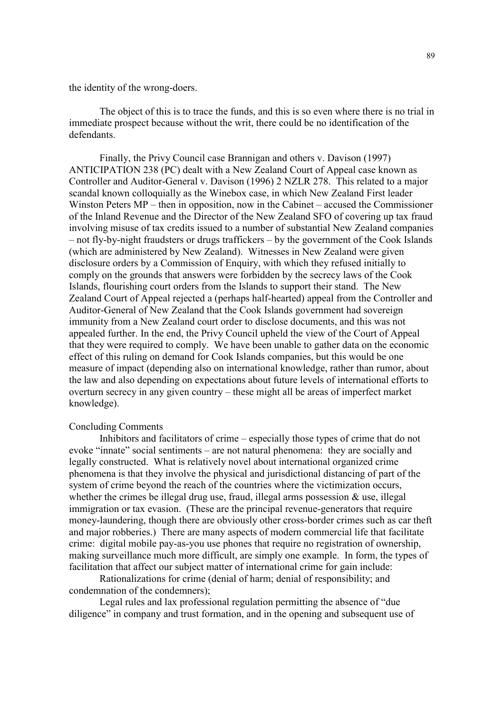the identity of the wrong-doers.

The object of this is to trace the funds, and this is so even where there is no trial in immediate prospect because without the writ, there could be no identification of the defendants.

Finally, the Privy Council case Brannigan and others v. Davison (1997) ANTICIPATION 238 (PC) dealt with a New Zealand Court of Appeal case known as Controller and Auditor-General v. Davison (1996) 2 NZLR 278. This related to a major scandal known colloquially as the Winebox case, in which New Zealand First leader Winston Peters MP – then in opposition, now in the Cabinet – accused the Commissioner of the Inland Revenue and the Director of the New Zealand SFO of covering up tax fraud involving misuse of tax credits issued to a number of substantial New Zealand companies – not fly-by-night fraudsters or drugs traffickers – by the government of the Cook Islands (which are administered by New Zealand). Witnesses in New Zealand were given disclosure orders by a Commission of Enquiry, with which they refused initially to comply on the grounds that answers were forbidden by the secrecy laws of the Cook Islands, flourishing court orders from the Islands to support their stand. The New Zealand Court of Appeal rejected a (perhaps half-hearted) appeal from the Controller and Auditor-General of New Zealand that the Cook Islands government had sovereign immunity from a New Zealand court order to disclose documents, and this was not appealed further. In the end, the Privy Council upheld the view of the Court of Appeal that they were required to comply. We have been unable to gather data on the economic effect of this ruling on demand for Cook Islands companies, but this would be one measure of impact (depending also on international knowledge, rather than rumor, about the law and also depending on expectations about future levels of international efforts to overturn secrecy in any given country – these might all be areas of imperfect market knowledge).

### Concluding Comments

Inhibitors and facilitators of crime – especially those types of crime that do not evoke "innate" social sentiments – are not natural phenomena: they are socially and legally constructed. What is relatively novel about international organized crime phenomena is that they involve the physical and jurisdictional distancing of part of the system of crime beyond the reach of the countries where the victimization occurs, whether the crimes be illegal drug use, fraud, illegal arms possession  $\&$  use, illegal immigration or tax evasion. (These are the principal revenue-generators that require money-laundering, though there are obviously other cross-border crimes such as car theft and major robberies.) There are many aspects of modern commercial life that facilitate crime: digital mobile pay-as-you use phones that require no registration of ownership, making surveillance much more difficult, are simply one example. In form, the types of facilitation that affect our subject matter of international crime for gain include:

 Rationalizations for crime (denial of harm; denial of responsibility; and condemnation of the condemners);

 Legal rules and lax professional regulation permitting the absence of "due diligence" in company and trust formation, and in the opening and subsequent use of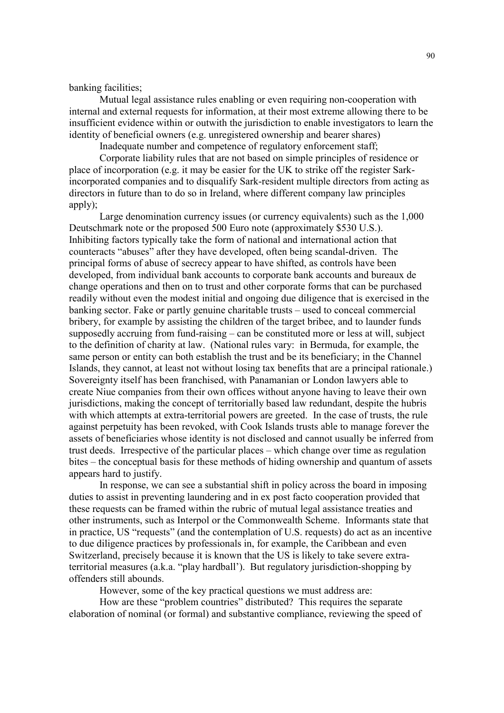banking facilities;

 Mutual legal assistance rules enabling or even requiring non-cooperation with internal and external requests for information, at their most extreme allowing there to be insufficient evidence within or outwith the jurisdiction to enable investigators to learn the identity of beneficial owners (e.g. unregistered ownership and bearer shares)

Inadequate number and competence of regulatory enforcement staff;

 Corporate liability rules that are not based on simple principles of residence or place of incorporation (e.g. it may be easier for the UK to strike off the register Sarkincorporated companies and to disqualify Sark-resident multiple directors from acting as directors in future than to do so in Ireland, where different company law principles apply);

 Large denomination currency issues (or currency equivalents) such as the 1,000 Deutschmark note or the proposed 500 Euro note (approximately \$530 U.S.). Inhibiting factors typically take the form of national and international action that counteracts "abuses" after they have developed, often being scandal-driven. The principal forms of abuse of secrecy appear to have shifted, as controls have been developed, from individual bank accounts to corporate bank accounts and bureaux de change operations and then on to trust and other corporate forms that can be purchased readily without even the modest initial and ongoing due diligence that is exercised in the banking sector. Fake or partly genuine charitable trusts – used to conceal commercial bribery, for example by assisting the children of the target bribee, and to launder funds supposedly accruing from fund-raising – can be constituted more or less at will, subject to the definition of charity at law. (National rules vary: in Bermuda, for example, the same person or entity can both establish the trust and be its beneficiary; in the Channel Islands, they cannot, at least not without losing tax benefits that are a principal rationale.) Sovereignty itself has been franchised, with Panamanian or London lawyers able to create Niue companies from their own offices without anyone having to leave their own jurisdictions, making the concept of territorially based law redundant, despite the hubris with which attempts at extra-territorial powers are greeted. In the case of trusts, the rule against perpetuity has been revoked, with Cook Islands trusts able to manage forever the assets of beneficiaries whose identity is not disclosed and cannot usually be inferred from trust deeds. Irrespective of the particular places – which change over time as regulation bites – the conceptual basis for these methods of hiding ownership and quantum of assets appears hard to justify.

In response, we can see a substantial shift in policy across the board in imposing duties to assist in preventing laundering and in ex post facto cooperation provided that these requests can be framed within the rubric of mutual legal assistance treaties and other instruments, such as Interpol or the Commonwealth Scheme. Informants state that in practice, US "requests" (and the contemplation of U.S. requests) do act as an incentive to due diligence practices by professionals in, for example, the Caribbean and even Switzerland, precisely because it is known that the US is likely to take severe extraterritorial measures (a.k.a. "play hardball'). But regulatory jurisdiction-shopping by offenders still abounds.

However, some of the key practical questions we must address are:

 How are these "problem countries" distributed? This requires the separate elaboration of nominal (or formal) and substantive compliance, reviewing the speed of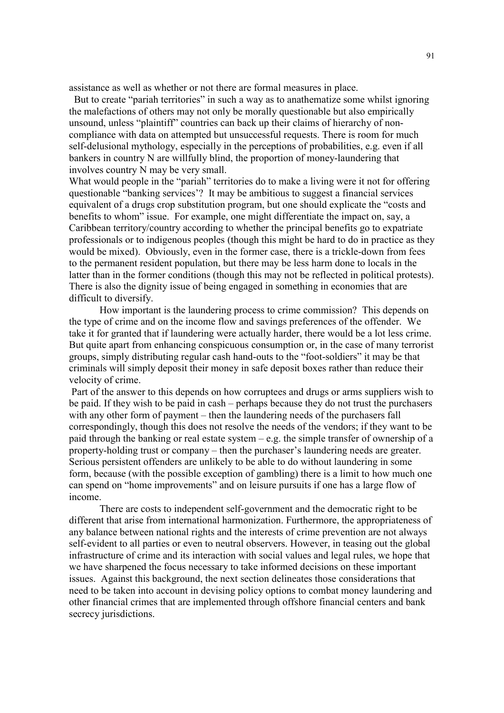assistance as well as whether or not there are formal measures in place.

But to create "pariah territories" in such a way as to anathematize some whilst ignoring the malefactions of others may not only be morally questionable but also empirically unsound, unless "plaintiff" countries can back up their claims of hierarchy of noncompliance with data on attempted but unsuccessful requests. There is room for much self-delusional mythology, especially in the perceptions of probabilities, e.g. even if all bankers in country N are willfully blind, the proportion of money-laundering that involves country N may be very small.

What would people in the "pariah" territories do to make a living were it not for offering questionable "banking services'? It may be ambitious to suggest a financial services equivalent of a drugs crop substitution program, but one should explicate the "costs and benefits to whom" issue. For example, one might differentiate the impact on, say, a Caribbean territory/country according to whether the principal benefits go to expatriate professionals or to indigenous peoples (though this might be hard to do in practice as they would be mixed). Obviously, even in the former case, there is a trickle-down from fees to the permanent resident population, but there may be less harm done to locals in the latter than in the former conditions (though this may not be reflected in political protests). There is also the dignity issue of being engaged in something in economies that are difficult to diversify.

How important is the laundering process to crime commission? This depends on the type of crime and on the income flow and savings preferences of the offender. We take it for granted that if laundering were actually harder, there would be a lot less crime. But quite apart from enhancing conspicuous consumption or, in the case of many terrorist groups, simply distributing regular cash hand-outs to the "foot-soldiers" it may be that criminals will simply deposit their money in safe deposit boxes rather than reduce their velocity of crime.

 Part of the answer to this depends on how corruptees and drugs or arms suppliers wish to be paid. If they wish to be paid in cash – perhaps because they do not trust the purchasers with any other form of payment – then the laundering needs of the purchasers fall correspondingly, though this does not resolve the needs of the vendors; if they want to be paid through the banking or real estate system – e.g. the simple transfer of ownership of a property-holding trust or company – then the purchaser's laundering needs are greater. Serious persistent offenders are unlikely to be able to do without laundering in some form, because (with the possible exception of gambling) there is a limit to how much one can spend on "home improvements" and on leisure pursuits if one has a large flow of income.

There are costs to independent self-government and the democratic right to be different that arise from international harmonization. Furthermore, the appropriateness of any balance between national rights and the interests of crime prevention are not always self-evident to all parties or even to neutral observers. However, in teasing out the global infrastructure of crime and its interaction with social values and legal rules, we hope that we have sharpened the focus necessary to take informed decisions on these important issues. Against this background, the next section delineates those considerations that need to be taken into account in devising policy options to combat money laundering and other financial crimes that are implemented through offshore financial centers and bank secrecy jurisdictions.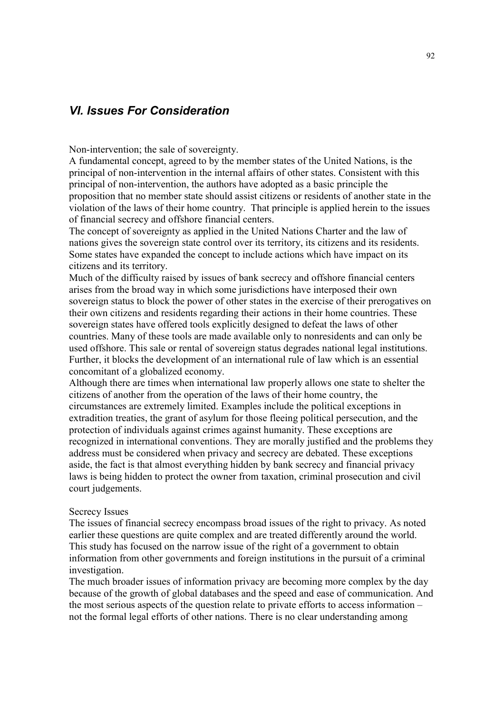## *VI. Issues For Consideration*

Non-intervention; the sale of sovereignty.

A fundamental concept, agreed to by the member states of the United Nations, is the principal of non-intervention in the internal affairs of other states. Consistent with this principal of non-intervention, the authors have adopted as a basic principle the proposition that no member state should assist citizens or residents of another state in the violation of the laws of their home country. That principle is applied herein to the issues of financial secrecy and offshore financial centers.

The concept of sovereignty as applied in the United Nations Charter and the law of nations gives the sovereign state control over its territory, its citizens and its residents. Some states have expanded the concept to include actions which have impact on its citizens and its territory.

Much of the difficulty raised by issues of bank secrecy and offshore financial centers arises from the broad way in which some jurisdictions have interposed their own sovereign status to block the power of other states in the exercise of their prerogatives on their own citizens and residents regarding their actions in their home countries. These sovereign states have offered tools explicitly designed to defeat the laws of other countries. Many of these tools are made available only to nonresidents and can only be used offshore. This sale or rental of sovereign status degrades national legal institutions. Further, it blocks the development of an international rule of law which is an essential concomitant of a globalized economy.

Although there are times when international law properly allows one state to shelter the citizens of another from the operation of the laws of their home country, the circumstances are extremely limited. Examples include the political exceptions in extradition treaties, the grant of asylum for those fleeing political persecution, and the protection of individuals against crimes against humanity. These exceptions are recognized in international conventions. They are morally justified and the problems they address must be considered when privacy and secrecy are debated. These exceptions aside, the fact is that almost everything hidden by bank secrecy and financial privacy laws is being hidden to protect the owner from taxation, criminal prosecution and civil court judgements.

#### Secrecy Issues

The issues of financial secrecy encompass broad issues of the right to privacy. As noted earlier these questions are quite complex and are treated differently around the world. This study has focused on the narrow issue of the right of a government to obtain information from other governments and foreign institutions in the pursuit of a criminal investigation.

The much broader issues of information privacy are becoming more complex by the day because of the growth of global databases and the speed and ease of communication. And the most serious aspects of the question relate to private efforts to access information – not the formal legal efforts of other nations. There is no clear understanding among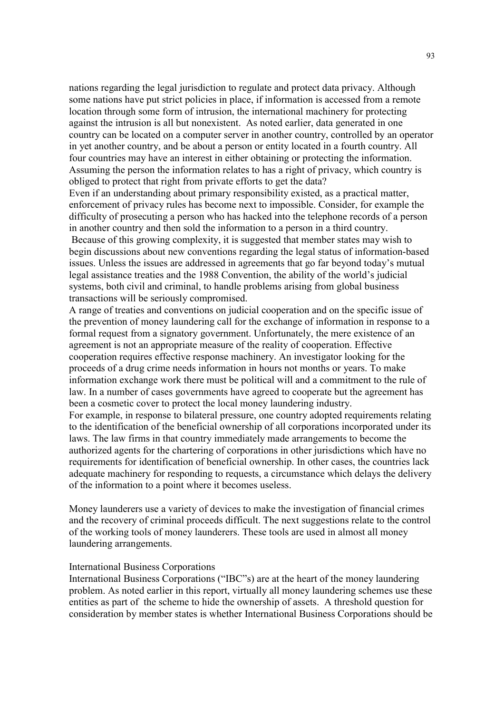nations regarding the legal jurisdiction to regulate and protect data privacy. Although some nations have put strict policies in place, if information is accessed from a remote location through some form of intrusion, the international machinery for protecting against the intrusion is all but nonexistent. As noted earlier, data generated in one country can be located on a computer server in another country, controlled by an operator in yet another country, and be about a person or entity located in a fourth country. All four countries may have an interest in either obtaining or protecting the information. Assuming the person the information relates to has a right of privacy, which country is obliged to protect that right from private efforts to get the data?

Even if an understanding about primary responsibility existed, as a practical matter, enforcement of privacy rules has become next to impossible. Consider, for example the difficulty of prosecuting a person who has hacked into the telephone records of a person in another country and then sold the information to a person in a third country.

 Because of this growing complexity, it is suggested that member states may wish to begin discussions about new conventions regarding the legal status of information-based issues. Unless the issues are addressed in agreements that go far beyond today's mutual legal assistance treaties and the 1988 Convention, the ability of the world's judicial systems, both civil and criminal, to handle problems arising from global business transactions will be seriously compromised.

A range of treaties and conventions on judicial cooperation and on the specific issue of the prevention of money laundering call for the exchange of information in response to a formal request from a signatory government. Unfortunately, the mere existence of an agreement is not an appropriate measure of the reality of cooperation. Effective cooperation requires effective response machinery. An investigator looking for the proceeds of a drug crime needs information in hours not months or years. To make information exchange work there must be political will and a commitment to the rule of law. In a number of cases governments have agreed to cooperate but the agreement has been a cosmetic cover to protect the local money laundering industry.

For example, in response to bilateral pressure, one country adopted requirements relating to the identification of the beneficial ownership of all corporations incorporated under its laws. The law firms in that country immediately made arrangements to become the authorized agents for the chartering of corporations in other jurisdictions which have no requirements for identification of beneficial ownership. In other cases, the countries lack adequate machinery for responding to requests, a circumstance which delays the delivery of the information to a point where it becomes useless.

Money launderers use a variety of devices to make the investigation of financial crimes and the recovery of criminal proceeds difficult. The next suggestions relate to the control of the working tools of money launderers. These tools are used in almost all money laundering arrangements.

## International Business Corporations

International Business Corporations ("IBC"s) are at the heart of the money laundering problem. As noted earlier in this report, virtually all money laundering schemes use these entities as part of the scheme to hide the ownership of assets. A threshold question for consideration by member states is whether International Business Corporations should be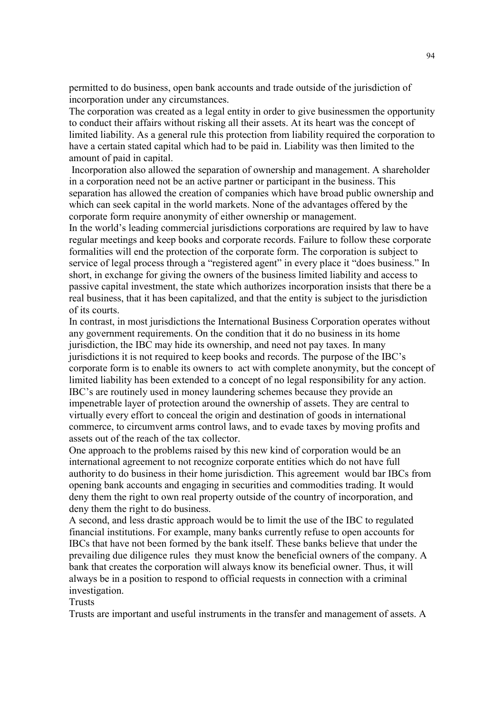permitted to do business, open bank accounts and trade outside of the jurisdiction of incorporation under any circumstances.

The corporation was created as a legal entity in order to give businessmen the opportunity to conduct their affairs without risking all their assets. At its heart was the concept of limited liability. As a general rule this protection from liability required the corporation to have a certain stated capital which had to be paid in. Liability was then limited to the amount of paid in capital.

 Incorporation also allowed the separation of ownership and management. A shareholder in a corporation need not be an active partner or participant in the business. This separation has allowed the creation of companies which have broad public ownership and which can seek capital in the world markets. None of the advantages offered by the corporate form require anonymity of either ownership or management.

In the world's leading commercial jurisdictions corporations are required by law to have regular meetings and keep books and corporate records. Failure to follow these corporate formalities will end the protection of the corporate form. The corporation is subject to service of legal process through a "registered agent" in every place it "does business." In short, in exchange for giving the owners of the business limited liability and access to passive capital investment, the state which authorizes incorporation insists that there be a real business, that it has been capitalized, and that the entity is subject to the jurisdiction of its courts.

In contrast, in most jurisdictions the International Business Corporation operates without any government requirements. On the condition that it do no business in its home jurisdiction, the IBC may hide its ownership, and need not pay taxes. In many jurisdictions it is not required to keep books and records. The purpose of the IBC's corporate form is to enable its owners to act with complete anonymity, but the concept of limited liability has been extended to a concept of no legal responsibility for any action. IBC's are routinely used in money laundering schemes because they provide an impenetrable layer of protection around the ownership of assets. They are central to virtually every effort to conceal the origin and destination of goods in international commerce, to circumvent arms control laws, and to evade taxes by moving profits and assets out of the reach of the tax collector.

One approach to the problems raised by this new kind of corporation would be an international agreement to not recognize corporate entities which do not have full authority to do business in their home jurisdiction. This agreement would bar IBCs from opening bank accounts and engaging in securities and commodities trading. It would deny them the right to own real property outside of the country of incorporation, and deny them the right to do business.

A second, and less drastic approach would be to limit the use of the IBC to regulated financial institutions. For example, many banks currently refuse to open accounts for IBCs that have not been formed by the bank itself. These banks believe that under the prevailing due diligence rules they must know the beneficial owners of the company. A bank that creates the corporation will always know its beneficial owner. Thus, it will always be in a position to respond to official requests in connection with a criminal investigation.

## **Trusts**

Trusts are important and useful instruments in the transfer and management of assets. A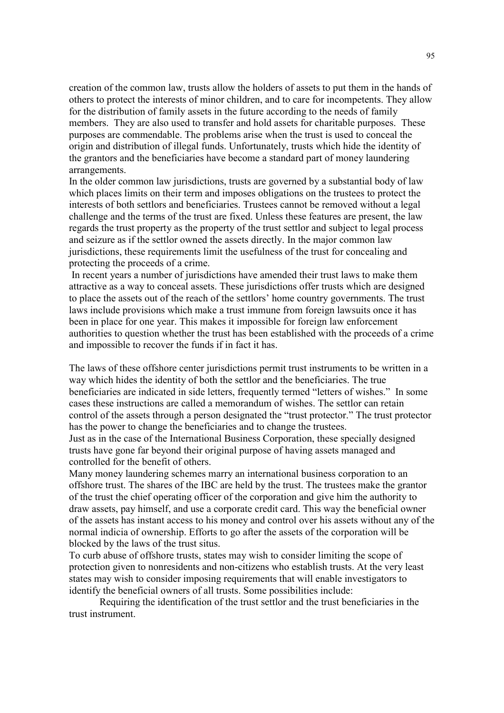creation of the common law, trusts allow the holders of assets to put them in the hands of others to protect the interests of minor children, and to care for incompetents. They allow for the distribution of family assets in the future according to the needs of family members. They are also used to transfer and hold assets for charitable purposes. These purposes are commendable. The problems arise when the trust is used to conceal the origin and distribution of illegal funds. Unfortunately, trusts which hide the identity of the grantors and the beneficiaries have become a standard part of money laundering arrangements.

In the older common law jurisdictions, trusts are governed by a substantial body of law which places limits on their term and imposes obligations on the trustees to protect the interests of both settlors and beneficiaries. Trustees cannot be removed without a legal challenge and the terms of the trust are fixed. Unless these features are present, the law regards the trust property as the property of the trust settlor and subject to legal process and seizure as if the settlor owned the assets directly. In the major common law jurisdictions, these requirements limit the usefulness of the trust for concealing and protecting the proceeds of a crime.

 In recent years a number of jurisdictions have amended their trust laws to make them attractive as a way to conceal assets. These jurisdictions offer trusts which are designed to place the assets out of the reach of the settlors' home country governments. The trust laws include provisions which make a trust immune from foreign lawsuits once it has been in place for one year. This makes it impossible for foreign law enforcement authorities to question whether the trust has been established with the proceeds of a crime and impossible to recover the funds if in fact it has.

The laws of these offshore center jurisdictions permit trust instruments to be written in a way which hides the identity of both the settlor and the beneficiaries. The true beneficiaries are indicated in side letters, frequently termed "letters of wishes." In some cases these instructions are called a memorandum of wishes. The settlor can retain control of the assets through a person designated the "trust protector." The trust protector has the power to change the beneficiaries and to change the trustees.

Just as in the case of the International Business Corporation, these specially designed trusts have gone far beyond their original purpose of having assets managed and controlled for the benefit of others.

Many money laundering schemes marry an international business corporation to an offshore trust. The shares of the IBC are held by the trust. The trustees make the grantor of the trust the chief operating officer of the corporation and give him the authority to draw assets, pay himself, and use a corporate credit card. This way the beneficial owner of the assets has instant access to his money and control over his assets without any of the normal indicia of ownership. Efforts to go after the assets of the corporation will be blocked by the laws of the trust situs.

To curb abuse of offshore trusts, states may wish to consider limiting the scope of protection given to nonresidents and non-citizens who establish trusts. At the very least states may wish to consider imposing requirements that will enable investigators to identify the beneficial owners of all trusts. Some possibilities include:

 Requiring the identification of the trust settlor and the trust beneficiaries in the trust instrument.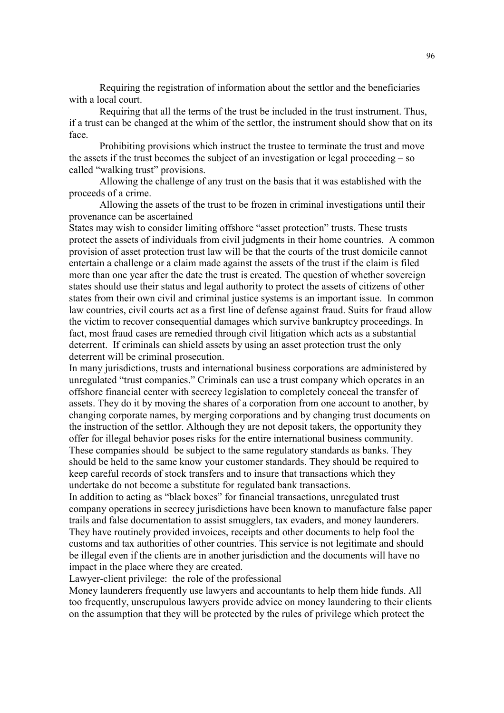Requiring the registration of information about the settlor and the beneficiaries with a local court.

 Requiring that all the terms of the trust be included in the trust instrument. Thus, if a trust can be changed at the whim of the settlor, the instrument should show that on its face.

 Prohibiting provisions which instruct the trustee to terminate the trust and move the assets if the trust becomes the subject of an investigation or legal proceeding – so called "walking trust" provisions.

 Allowing the challenge of any trust on the basis that it was established with the proceeds of a crime.

 Allowing the assets of the trust to be frozen in criminal investigations until their provenance can be ascertained

States may wish to consider limiting offshore "asset protection" trusts. These trusts protect the assets of individuals from civil judgments in their home countries. A common provision of asset protection trust law will be that the courts of the trust domicile cannot entertain a challenge or a claim made against the assets of the trust if the claim is filed more than one year after the date the trust is created. The question of whether sovereign states should use their status and legal authority to protect the assets of citizens of other states from their own civil and criminal justice systems is an important issue. In common law countries, civil courts act as a first line of defense against fraud. Suits for fraud allow the victim to recover consequential damages which survive bankruptcy proceedings. In fact, most fraud cases are remedied through civil litigation which acts as a substantial deterrent. If criminals can shield assets by using an asset protection trust the only deterrent will be criminal prosecution.

In many jurisdictions, trusts and international business corporations are administered by unregulated "trust companies." Criminals can use a trust company which operates in an offshore financial center with secrecy legislation to completely conceal the transfer of assets. They do it by moving the shares of a corporation from one account to another, by changing corporate names, by merging corporations and by changing trust documents on the instruction of the settlor. Although they are not deposit takers, the opportunity they offer for illegal behavior poses risks for the entire international business community. These companies should be subject to the same regulatory standards as banks. They should be held to the same know your customer standards. They should be required to keep careful records of stock transfers and to insure that transactions which they undertake do not become a substitute for regulated bank transactions.

In addition to acting as "black boxes" for financial transactions, unregulated trust company operations in secrecy jurisdictions have been known to manufacture false paper trails and false documentation to assist smugglers, tax evaders, and money launderers. They have routinely provided invoices, receipts and other documents to help fool the customs and tax authorities of other countries. This service is not legitimate and should be illegal even if the clients are in another jurisdiction and the documents will have no impact in the place where they are created.

Lawyer-client privilege: the role of the professional

Money launderers frequently use lawyers and accountants to help them hide funds. All too frequently, unscrupulous lawyers provide advice on money laundering to their clients on the assumption that they will be protected by the rules of privilege which protect the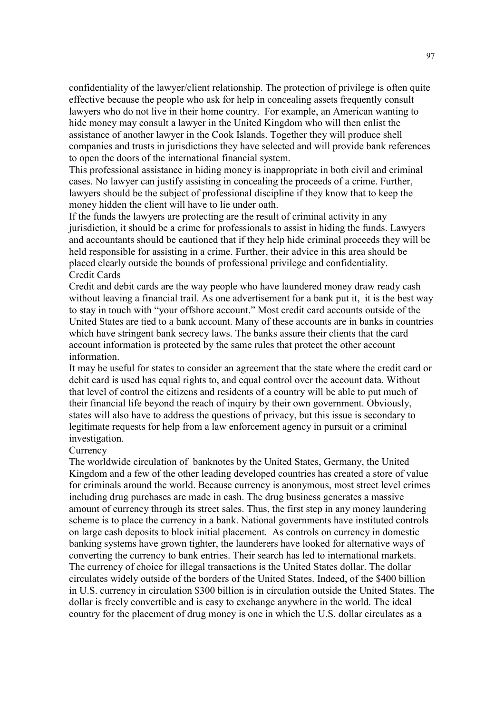confidentiality of the lawyer/client relationship. The protection of privilege is often quite effective because the people who ask for help in concealing assets frequently consult lawyers who do not live in their home country. For example, an American wanting to hide money may consult a lawyer in the United Kingdom who will then enlist the assistance of another lawyer in the Cook Islands. Together they will produce shell companies and trusts in jurisdictions they have selected and will provide bank references to open the doors of the international financial system.

This professional assistance in hiding money is inappropriate in both civil and criminal cases. No lawyer can justify assisting in concealing the proceeds of a crime. Further, lawyers should be the subject of professional discipline if they know that to keep the money hidden the client will have to lie under oath.

If the funds the lawyers are protecting are the result of criminal activity in any jurisdiction, it should be a crime for professionals to assist in hiding the funds. Lawyers and accountants should be cautioned that if they help hide criminal proceeds they will be held responsible for assisting in a crime. Further, their advice in this area should be placed clearly outside the bounds of professional privilege and confidentiality. Credit Cards

Credit and debit cards are the way people who have laundered money draw ready cash without leaving a financial trail. As one advertisement for a bank put it, it is the best way to stay in touch with "your offshore account." Most credit card accounts outside of the United States are tied to a bank account. Many of these accounts are in banks in countries which have stringent bank secrecy laws. The banks assure their clients that the card account information is protected by the same rules that protect the other account information.

It may be useful for states to consider an agreement that the state where the credit card or debit card is used has equal rights to, and equal control over the account data. Without that level of control the citizens and residents of a country will be able to put much of their financial life beyond the reach of inquiry by their own government. Obviously, states will also have to address the questions of privacy, but this issue is secondary to legitimate requests for help from a law enforcement agency in pursuit or a criminal investigation.

**Currency** 

The worldwide circulation of banknotes by the United States, Germany, the United Kingdom and a few of the other leading developed countries has created a store of value for criminals around the world. Because currency is anonymous, most street level crimes including drug purchases are made in cash. The drug business generates a massive amount of currency through its street sales. Thus, the first step in any money laundering scheme is to place the currency in a bank. National governments have instituted controls on large cash deposits to block initial placement. As controls on currency in domestic banking systems have grown tighter, the launderers have looked for alternative ways of converting the currency to bank entries. Their search has led to international markets. The currency of choice for illegal transactions is the United States dollar. The dollar circulates widely outside of the borders of the United States. Indeed, of the \$400 billion in U.S. currency in circulation \$300 billion is in circulation outside the United States. The dollar is freely convertible and is easy to exchange anywhere in the world. The ideal country for the placement of drug money is one in which the U.S. dollar circulates as a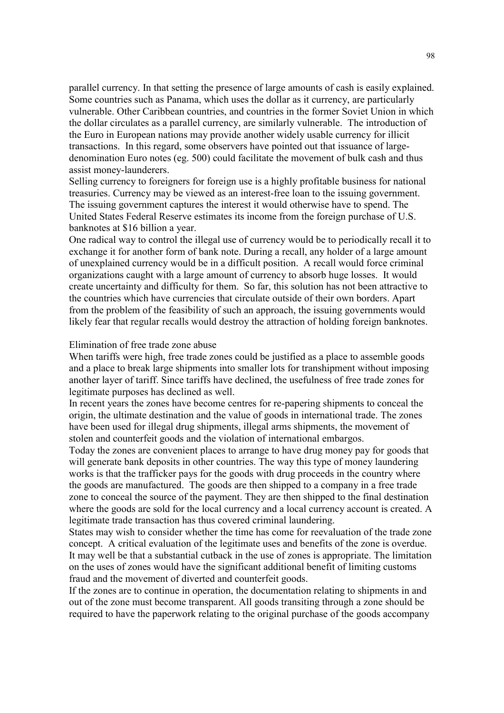parallel currency. In that setting the presence of large amounts of cash is easily explained. Some countries such as Panama, which uses the dollar as it currency, are particularly vulnerable. Other Caribbean countries, and countries in the former Soviet Union in which the dollar circulates as a parallel currency, are similarly vulnerable. The introduction of the Euro in European nations may provide another widely usable currency for illicit transactions. In this regard, some observers have pointed out that issuance of largedenomination Euro notes (eg. 500) could facilitate the movement of bulk cash and thus assist money-launderers.

Selling currency to foreigners for foreign use is a highly profitable business for national treasuries. Currency may be viewed as an interest-free loan to the issuing government. The issuing government captures the interest it would otherwise have to spend. The United States Federal Reserve estimates its income from the foreign purchase of U.S. banknotes at \$16 billion a year.

One radical way to control the illegal use of currency would be to periodically recall it to exchange it for another form of bank note. During a recall, any holder of a large amount of unexplained currency would be in a difficult position. A recall would force criminal organizations caught with a large amount of currency to absorb huge losses. It would create uncertainty and difficulty for them. So far, this solution has not been attractive to the countries which have currencies that circulate outside of their own borders. Apart from the problem of the feasibility of such an approach, the issuing governments would likely fear that regular recalls would destroy the attraction of holding foreign banknotes.

#### Elimination of free trade zone abuse

When tariffs were high, free trade zones could be justified as a place to assemble goods and a place to break large shipments into smaller lots for transhipment without imposing another layer of tariff. Since tariffs have declined, the usefulness of free trade zones for legitimate purposes has declined as well.

In recent years the zones have become centres for re-papering shipments to conceal the origin, the ultimate destination and the value of goods in international trade. The zones have been used for illegal drug shipments, illegal arms shipments, the movement of stolen and counterfeit goods and the violation of international embargos.

Today the zones are convenient places to arrange to have drug money pay for goods that will generate bank deposits in other countries. The way this type of money laundering works is that the trafficker pays for the goods with drug proceeds in the country where the goods are manufactured. The goods are then shipped to a company in a free trade zone to conceal the source of the payment. They are then shipped to the final destination where the goods are sold for the local currency and a local currency account is created. A legitimate trade transaction has thus covered criminal laundering.

States may wish to consider whether the time has come for reevaluation of the trade zone concept. A critical evaluation of the legitimate uses and benefits of the zone is overdue. It may well be that a substantial cutback in the use of zones is appropriate. The limitation on the uses of zones would have the significant additional benefit of limiting customs fraud and the movement of diverted and counterfeit goods.

If the zones are to continue in operation, the documentation relating to shipments in and out of the zone must become transparent. All goods transiting through a zone should be required to have the paperwork relating to the original purchase of the goods accompany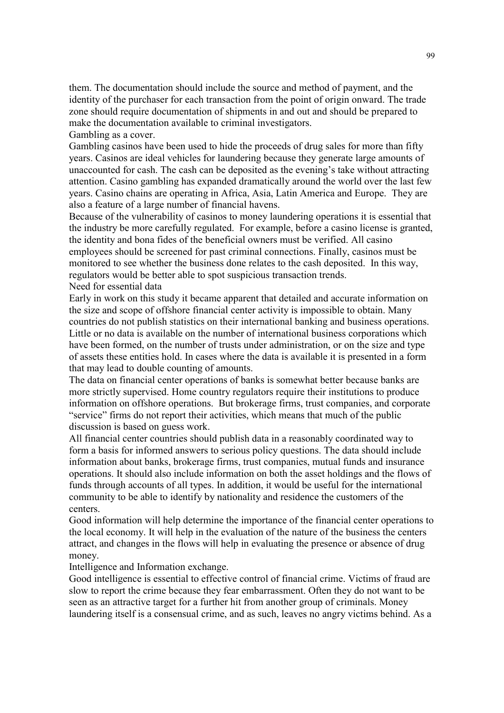them. The documentation should include the source and method of payment, and the identity of the purchaser for each transaction from the point of origin onward. The trade zone should require documentation of shipments in and out and should be prepared to make the documentation available to criminal investigators. Gambling as a cover.

Gambling casinos have been used to hide the proceeds of drug sales for more than fifty years. Casinos are ideal vehicles for laundering because they generate large amounts of unaccounted for cash. The cash can be deposited as the evening's take without attracting attention. Casino gambling has expanded dramatically around the world over the last few years. Casino chains are operating in Africa, Asia, Latin America and Europe. They are also a feature of a large number of financial havens.

Because of the vulnerability of casinos to money laundering operations it is essential that the industry be more carefully regulated. For example, before a casino license is granted, the identity and bona fides of the beneficial owners must be verified. All casino employees should be screened for past criminal connections. Finally, casinos must be monitored to see whether the business done relates to the cash deposited. In this way, regulators would be better able to spot suspicious transaction trends.

Need for essential data

Early in work on this study it became apparent that detailed and accurate information on the size and scope of offshore financial center activity is impossible to obtain. Many countries do not publish statistics on their international banking and business operations. Little or no data is available on the number of international business corporations which have been formed, on the number of trusts under administration, or on the size and type of assets these entities hold. In cases where the data is available it is presented in a form that may lead to double counting of amounts.

The data on financial center operations of banks is somewhat better because banks are more strictly supervised. Home country regulators require their institutions to produce information on offshore operations. But brokerage firms, trust companies, and corporate "service" firms do not report their activities, which means that much of the public discussion is based on guess work.

All financial center countries should publish data in a reasonably coordinated way to form a basis for informed answers to serious policy questions. The data should include information about banks, brokerage firms, trust companies, mutual funds and insurance operations. It should also include information on both the asset holdings and the flows of funds through accounts of all types. In addition, it would be useful for the international community to be able to identify by nationality and residence the customers of the centers.

Good information will help determine the importance of the financial center operations to the local economy. It will help in the evaluation of the nature of the business the centers attract, and changes in the flows will help in evaluating the presence or absence of drug money.

Intelligence and Information exchange.

Good intelligence is essential to effective control of financial crime. Victims of fraud are slow to report the crime because they fear embarrassment. Often they do not want to be seen as an attractive target for a further hit from another group of criminals. Money laundering itself is a consensual crime, and as such, leaves no angry victims behind. As a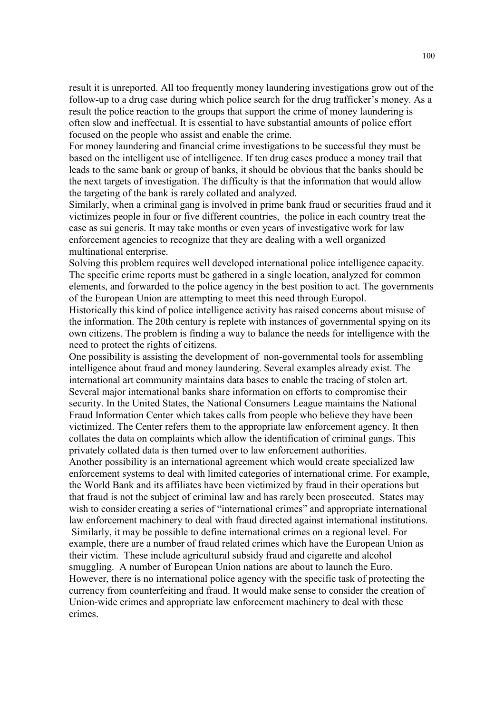result it is unreported. All too frequently money laundering investigations grow out of the follow-up to a drug case during which police search for the drug trafficker's money. As a result the police reaction to the groups that support the crime of money laundering is often slow and ineffectual. It is essential to have substantial amounts of police effort focused on the people who assist and enable the crime.

For money laundering and financial crime investigations to be successful they must be based on the intelligent use of intelligence. If ten drug cases produce a money trail that leads to the same bank or group of banks, it should be obvious that the banks should be the next targets of investigation. The difficulty is that the information that would allow the targeting of the bank is rarely collated and analyzed.

Similarly, when a criminal gang is involved in prime bank fraud or securities fraud and it victimizes people in four or five different countries, the police in each country treat the case as sui generis. It may take months or even years of investigative work for law enforcement agencies to recognize that they are dealing with a well organized multinational enterprise.

Solving this problem requires well developed international police intelligence capacity. The specific crime reports must be gathered in a single location, analyzed for common elements, and forwarded to the police agency in the best position to act. The governments of the European Union are attempting to meet this need through Europol.

Historically this kind of police intelligence activity has raised concerns about misuse of the information. The 20th century is replete with instances of governmental spying on its own citizens. The problem is finding a way to balance the needs for intelligence with the need to protect the rights of citizens.

One possibility is assisting the development of non-governmental tools for assembling intelligence about fraud and money laundering. Several examples already exist. The international art community maintains data bases to enable the tracing of stolen art. Several major international banks share information on efforts to compromise their security. In the United States, the National Consumers League maintains the National Fraud Information Center which takes calls from people who believe they have been victimized. The Center refers them to the appropriate law enforcement agency. It then collates the data on complaints which allow the identification of criminal gangs. This privately collated data is then turned over to law enforcement authorities.

Another possibility is an international agreement which would create specialized law enforcement systems to deal with limited categories of international crime. For example, the World Bank and its affiliates have been victimized by fraud in their operations but that fraud is not the subject of criminal law and has rarely been prosecuted. States may wish to consider creating a series of "international crimes" and appropriate international law enforcement machinery to deal with fraud directed against international institutions. Similarly, it may be possible to define international crimes on a regional level. For example, there are a number of fraud related crimes which have the European Union as their victim. These include agricultural subsidy fraud and cigarette and alcohol smuggling. A number of European Union nations are about to launch the Euro. However, there is no international police agency with the specific task of protecting the currency from counterfeiting and fraud. It would make sense to consider the creation of Union-wide crimes and appropriate law enforcement machinery to deal with these crimes.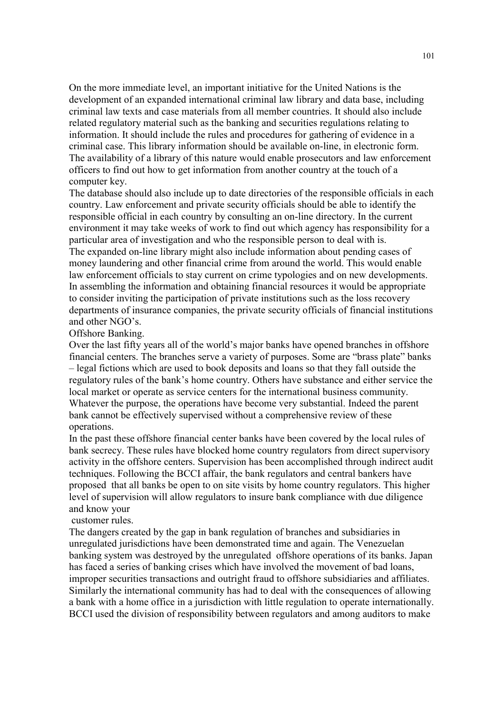On the more immediate level, an important initiative for the United Nations is the development of an expanded international criminal law library and data base, including criminal law texts and case materials from all member countries. It should also include related regulatory material such as the banking and securities regulations relating to information. It should include the rules and procedures for gathering of evidence in a criminal case. This library information should be available on-line, in electronic form. The availability of a library of this nature would enable prosecutors and law enforcement officers to find out how to get information from another country at the touch of a computer key.

The database should also include up to date directories of the responsible officials in each country. Law enforcement and private security officials should be able to identify the responsible official in each country by consulting an on-line directory. In the current environment it may take weeks of work to find out which agency has responsibility for a particular area of investigation and who the responsible person to deal with is. The expanded on-line library might also include information about pending cases of money laundering and other financial crime from around the world. This would enable law enforcement officials to stay current on crime typologies and on new developments. In assembling the information and obtaining financial resources it would be appropriate to consider inviting the participation of private institutions such as the loss recovery departments of insurance companies, the private security officials of financial institutions and other NGO's.

Offshore Banking.

Over the last fifty years all of the world's major banks have opened branches in offshore financial centers. The branches serve a variety of purposes. Some are "brass plate" banks – legal fictions which are used to book deposits and loans so that they fall outside the regulatory rules of the bank's home country. Others have substance and either service the local market or operate as service centers for the international business community. Whatever the purpose, the operations have become very substantial. Indeed the parent bank cannot be effectively supervised without a comprehensive review of these operations.

In the past these offshore financial center banks have been covered by the local rules of bank secrecy. These rules have blocked home country regulators from direct supervisory activity in the offshore centers. Supervision has been accomplished through indirect audit techniques. Following the BCCI affair, the bank regulators and central bankers have proposed that all banks be open to on site visits by home country regulators. This higher level of supervision will allow regulators to insure bank compliance with due diligence and know your

customer rules.

The dangers created by the gap in bank regulation of branches and subsidiaries in unregulated jurisdictions have been demonstrated time and again. The Venezuelan banking system was destroyed by the unregulated offshore operations of its banks. Japan has faced a series of banking crises which have involved the movement of bad loans, improper securities transactions and outright fraud to offshore subsidiaries and affiliates. Similarly the international community has had to deal with the consequences of allowing a bank with a home office in a jurisdiction with little regulation to operate internationally. BCCI used the division of responsibility between regulators and among auditors to make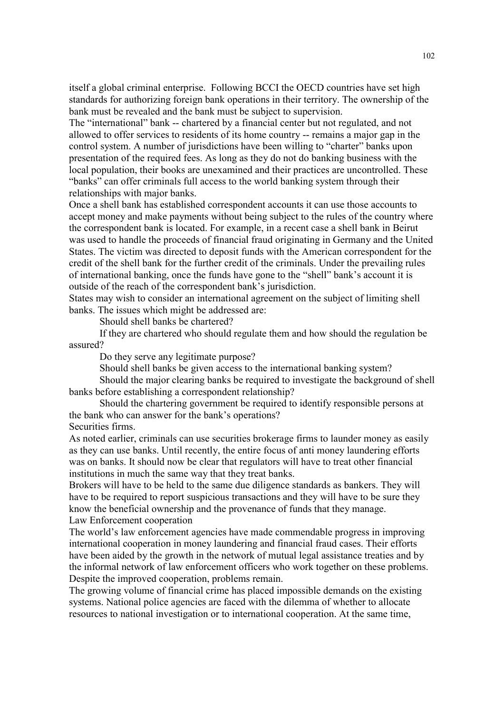itself a global criminal enterprise. Following BCCI the OECD countries have set high standards for authorizing foreign bank operations in their territory. The ownership of the bank must be revealed and the bank must be subject to supervision.

The "international" bank -- chartered by a financial center but not regulated, and not allowed to offer services to residents of its home country -- remains a major gap in the control system. A number of jurisdictions have been willing to "charter" banks upon presentation of the required fees. As long as they do not do banking business with the local population, their books are unexamined and their practices are uncontrolled. These "banks" can offer criminals full access to the world banking system through their relationships with major banks.

Once a shell bank has established correspondent accounts it can use those accounts to accept money and make payments without being subject to the rules of the country where the correspondent bank is located. For example, in a recent case a shell bank in Beirut was used to handle the proceeds of financial fraud originating in Germany and the United States. The victim was directed to deposit funds with the American correspondent for the credit of the shell bank for the further credit of the criminals. Under the prevailing rules of international banking, once the funds have gone to the "shell" bank's account it is outside of the reach of the correspondent bank's jurisdiction.

States may wish to consider an international agreement on the subject of limiting shell banks. The issues which might be addressed are:

Should shell banks be chartered?

 If they are chartered who should regulate them and how should the regulation be assured?

Do they serve any legitimate purpose?

Should shell banks be given access to the international banking system?

 Should the major clearing banks be required to investigate the background of shell banks before establishing a correspondent relationship?

 Should the chartering government be required to identify responsible persons at the bank who can answer for the bank's operations?

Securities firms.

As noted earlier, criminals can use securities brokerage firms to launder money as easily as they can use banks. Until recently, the entire focus of anti money laundering efforts was on banks. It should now be clear that regulators will have to treat other financial institutions in much the same way that they treat banks.

Brokers will have to be held to the same due diligence standards as bankers. They will have to be required to report suspicious transactions and they will have to be sure they know the beneficial ownership and the provenance of funds that they manage. Law Enforcement cooperation

The world's law enforcement agencies have made commendable progress in improving international cooperation in money laundering and financial fraud cases. Their efforts have been aided by the growth in the network of mutual legal assistance treaties and by the informal network of law enforcement officers who work together on these problems. Despite the improved cooperation, problems remain.

The growing volume of financial crime has placed impossible demands on the existing systems. National police agencies are faced with the dilemma of whether to allocate resources to national investigation or to international cooperation. At the same time,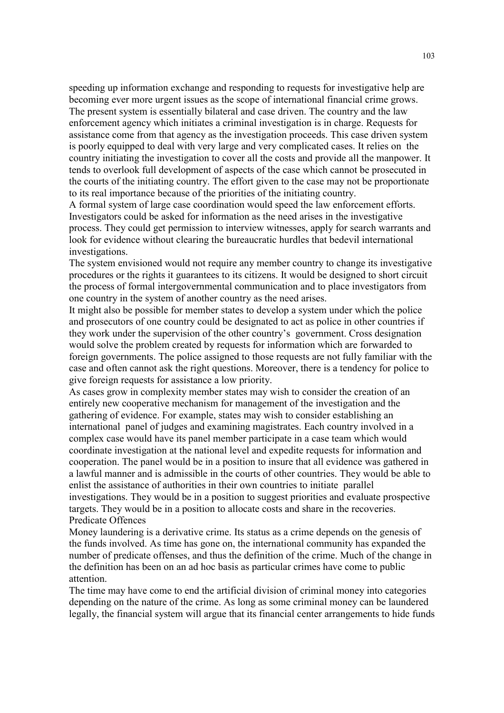speeding up information exchange and responding to requests for investigative help are becoming ever more urgent issues as the scope of international financial crime grows. The present system is essentially bilateral and case driven. The country and the law enforcement agency which initiates a criminal investigation is in charge. Requests for assistance come from that agency as the investigation proceeds. This case driven system is poorly equipped to deal with very large and very complicated cases. It relies on the country initiating the investigation to cover all the costs and provide all the manpower. It tends to overlook full development of aspects of the case which cannot be prosecuted in the courts of the initiating country. The effort given to the case may not be proportionate to its real importance because of the priorities of the initiating country.

A formal system of large case coordination would speed the law enforcement efforts. Investigators could be asked for information as the need arises in the investigative process. They could get permission to interview witnesses, apply for search warrants and look for evidence without clearing the bureaucratic hurdles that bedevil international investigations.

The system envisioned would not require any member country to change its investigative procedures or the rights it guarantees to its citizens. It would be designed to short circuit the process of formal intergovernmental communication and to place investigators from one country in the system of another country as the need arises.

It might also be possible for member states to develop a system under which the police and prosecutors of one country could be designated to act as police in other countries if they work under the supervision of the other country's government. Cross designation would solve the problem created by requests for information which are forwarded to foreign governments. The police assigned to those requests are not fully familiar with the case and often cannot ask the right questions. Moreover, there is a tendency for police to give foreign requests for assistance a low priority.

As cases grow in complexity member states may wish to consider the creation of an entirely new cooperative mechanism for management of the investigation and the gathering of evidence. For example, states may wish to consider establishing an international panel of judges and examining magistrates. Each country involved in a complex case would have its panel member participate in a case team which would coordinate investigation at the national level and expedite requests for information and cooperation. The panel would be in a position to insure that all evidence was gathered in a lawful manner and is admissible in the courts of other countries. They would be able to enlist the assistance of authorities in their own countries to initiate parallel investigations. They would be in a position to suggest priorities and evaluate prospective targets. They would be in a position to allocate costs and share in the recoveries. Predicate Offences

Money laundering is a derivative crime. Its status as a crime depends on the genesis of the funds involved. As time has gone on, the international community has expanded the number of predicate offenses, and thus the definition of the crime. Much of the change in the definition has been on an ad hoc basis as particular crimes have come to public attention.

The time may have come to end the artificial division of criminal money into categories depending on the nature of the crime. As long as some criminal money can be laundered legally, the financial system will argue that its financial center arrangements to hide funds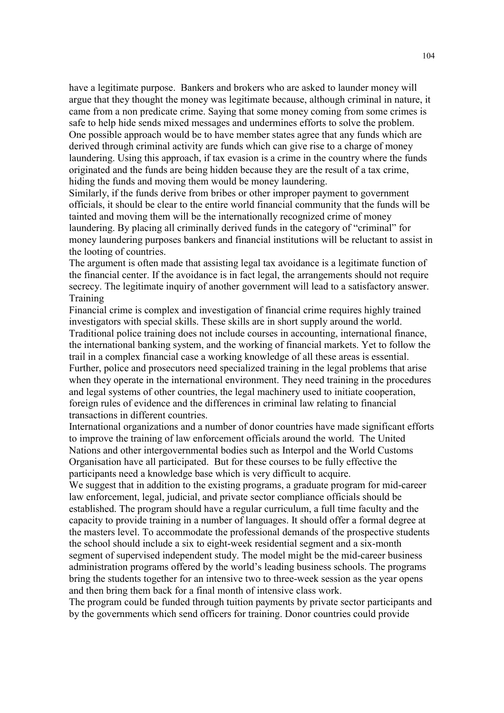have a legitimate purpose. Bankers and brokers who are asked to launder money will argue that they thought the money was legitimate because, although criminal in nature, it came from a non predicate crime. Saying that some money coming from some crimes is safe to help hide sends mixed messages and undermines efforts to solve the problem. One possible approach would be to have member states agree that any funds which are derived through criminal activity are funds which can give rise to a charge of money laundering. Using this approach, if tax evasion is a crime in the country where the funds originated and the funds are being hidden because they are the result of a tax crime, hiding the funds and moving them would be money laundering.

Similarly, if the funds derive from bribes or other improper payment to government officials, it should be clear to the entire world financial community that the funds will be tainted and moving them will be the internationally recognized crime of money laundering. By placing all criminally derived funds in the category of "criminal" for money laundering purposes bankers and financial institutions will be reluctant to assist in the looting of countries.

The argument is often made that assisting legal tax avoidance is a legitimate function of the financial center. If the avoidance is in fact legal, the arrangements should not require secrecy. The legitimate inquiry of another government will lead to a satisfactory answer. **Training** 

Financial crime is complex and investigation of financial crime requires highly trained investigators with special skills. These skills are in short supply around the world. Traditional police training does not include courses in accounting, international finance, the international banking system, and the working of financial markets. Yet to follow the trail in a complex financial case a working knowledge of all these areas is essential. Further, police and prosecutors need specialized training in the legal problems that arise when they operate in the international environment. They need training in the procedures and legal systems of other countries, the legal machinery used to initiate cooperation, foreign rules of evidence and the differences in criminal law relating to financial transactions in different countries.

International organizations and a number of donor countries have made significant efforts to improve the training of law enforcement officials around the world. The United Nations and other intergovernmental bodies such as Interpol and the World Customs Organisation have all participated. But for these courses to be fully effective the participants need a knowledge base which is very difficult to acquire.

We suggest that in addition to the existing programs, a graduate program for mid-career law enforcement, legal, judicial, and private sector compliance officials should be established. The program should have a regular curriculum, a full time faculty and the capacity to provide training in a number of languages. It should offer a formal degree at the masters level. To accommodate the professional demands of the prospective students the school should include a six to eight-week residential segment and a six-month segment of supervised independent study. The model might be the mid-career business administration programs offered by the world's leading business schools. The programs bring the students together for an intensive two to three-week session as the year opens and then bring them back for a final month of intensive class work.

The program could be funded through tuition payments by private sector participants and by the governments which send officers for training. Donor countries could provide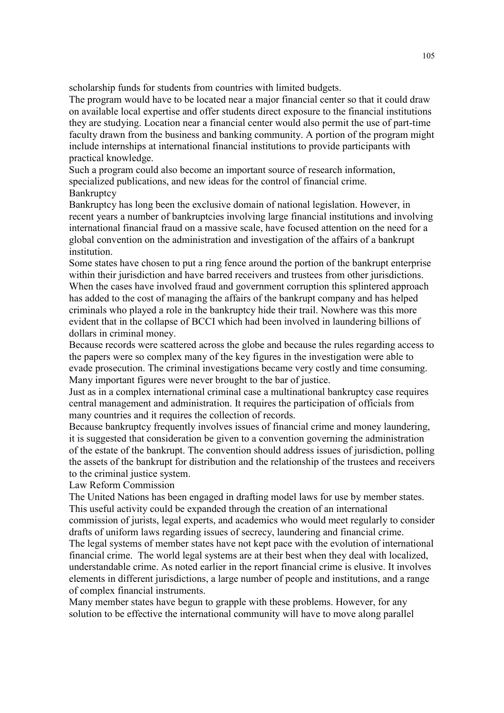scholarship funds for students from countries with limited budgets.

The program would have to be located near a major financial center so that it could draw on available local expertise and offer students direct exposure to the financial institutions they are studying. Location near a financial center would also permit the use of part-time faculty drawn from the business and banking community. A portion of the program might include internships at international financial institutions to provide participants with practical knowledge.

Such a program could also become an important source of research information, specialized publications, and new ideas for the control of financial crime. Bankruptcy

Bankruptcy has long been the exclusive domain of national legislation. However, in recent years a number of bankruptcies involving large financial institutions and involving international financial fraud on a massive scale, have focused attention on the need for a global convention on the administration and investigation of the affairs of a bankrupt institution.

Some states have chosen to put a ring fence around the portion of the bankrupt enterprise within their jurisdiction and have barred receivers and trustees from other jurisdictions. When the cases have involved fraud and government corruption this splintered approach has added to the cost of managing the affairs of the bankrupt company and has helped criminals who played a role in the bankruptcy hide their trail. Nowhere was this more evident that in the collapse of BCCI which had been involved in laundering billions of dollars in criminal money.

Because records were scattered across the globe and because the rules regarding access to the papers were so complex many of the key figures in the investigation were able to evade prosecution. The criminal investigations became very costly and time consuming. Many important figures were never brought to the bar of justice.

Just as in a complex international criminal case a multinational bankruptcy case requires central management and administration. It requires the participation of officials from many countries and it requires the collection of records.

Because bankruptcy frequently involves issues of financial crime and money laundering, it is suggested that consideration be given to a convention governing the administration of the estate of the bankrupt. The convention should address issues of jurisdiction, polling the assets of the bankrupt for distribution and the relationship of the trustees and receivers to the criminal justice system.

Law Reform Commission

The United Nations has been engaged in drafting model laws for use by member states. This useful activity could be expanded through the creation of an international commission of jurists, legal experts, and academics who would meet regularly to consider drafts of uniform laws regarding issues of secrecy, laundering and financial crime.

The legal systems of member states have not kept pace with the evolution of international financial crime. The world legal systems are at their best when they deal with localized, understandable crime. As noted earlier in the report financial crime is elusive. It involves elements in different jurisdictions, a large number of people and institutions, and a range of complex financial instruments.

Many member states have begun to grapple with these problems. However, for any solution to be effective the international community will have to move along parallel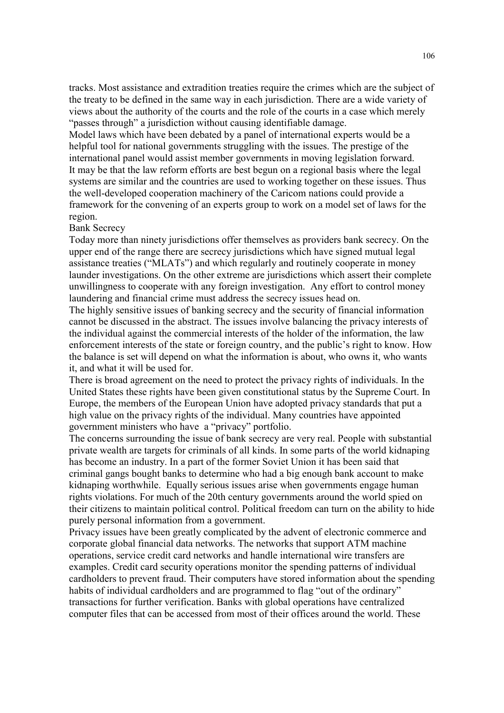tracks. Most assistance and extradition treaties require the crimes which are the subject of the treaty to be defined in the same way in each jurisdiction. There are a wide variety of views about the authority of the courts and the role of the courts in a case which merely "passes through" a jurisdiction without causing identifiable damage.

Model laws which have been debated by a panel of international experts would be a helpful tool for national governments struggling with the issues. The prestige of the international panel would assist member governments in moving legislation forward. It may be that the law reform efforts are best begun on a regional basis where the legal systems are similar and the countries are used to working together on these issues. Thus the well-developed cooperation machinery of the Caricom nations could provide a framework for the convening of an experts group to work on a model set of laws for the region.

Bank Secrecy

Today more than ninety jurisdictions offer themselves as providers bank secrecy. On the upper end of the range there are secrecy jurisdictions which have signed mutual legal assistance treaties ("MLATs") and which regularly and routinely cooperate in money launder investigations. On the other extreme are jurisdictions which assert their complete unwillingness to cooperate with any foreign investigation. Any effort to control money laundering and financial crime must address the secrecy issues head on.

The highly sensitive issues of banking secrecy and the security of financial information cannot be discussed in the abstract. The issues involve balancing the privacy interests of the individual against the commercial interests of the holder of the information, the law enforcement interests of the state or foreign country, and the public's right to know. How the balance is set will depend on what the information is about, who owns it, who wants it, and what it will be used for.

There is broad agreement on the need to protect the privacy rights of individuals. In the United States these rights have been given constitutional status by the Supreme Court. In Europe, the members of the European Union have adopted privacy standards that put a high value on the privacy rights of the individual. Many countries have appointed government ministers who have a "privacy" portfolio.

The concerns surrounding the issue of bank secrecy are very real. People with substantial private wealth are targets for criminals of all kinds. In some parts of the world kidnaping has become an industry. In a part of the former Soviet Union it has been said that criminal gangs bought banks to determine who had a big enough bank account to make kidnaping worthwhile. Equally serious issues arise when governments engage human rights violations. For much of the 20th century governments around the world spied on their citizens to maintain political control. Political freedom can turn on the ability to hide purely personal information from a government.

Privacy issues have been greatly complicated by the advent of electronic commerce and corporate global financial data networks. The networks that support ATM machine operations, service credit card networks and handle international wire transfers are examples. Credit card security operations monitor the spending patterns of individual cardholders to prevent fraud. Their computers have stored information about the spending habits of individual cardholders and are programmed to flag "out of the ordinary" transactions for further verification. Banks with global operations have centralized computer files that can be accessed from most of their offices around the world. These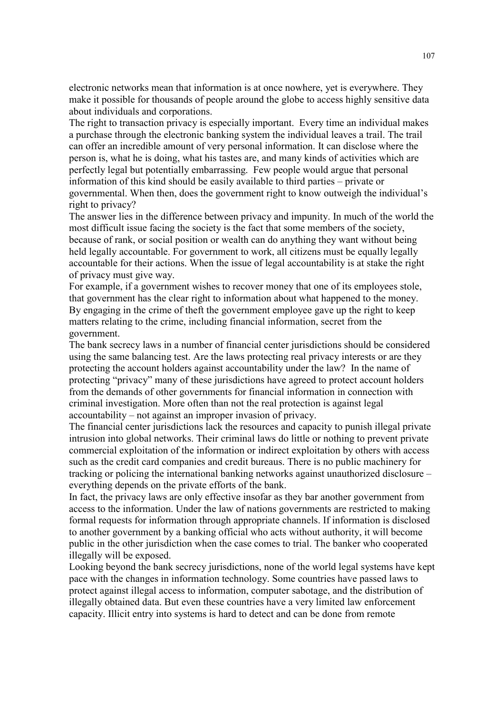electronic networks mean that information is at once nowhere, yet is everywhere. They make it possible for thousands of people around the globe to access highly sensitive data about individuals and corporations.

The right to transaction privacy is especially important. Every time an individual makes a purchase through the electronic banking system the individual leaves a trail. The trail can offer an incredible amount of very personal information. It can disclose where the person is, what he is doing, what his tastes are, and many kinds of activities which are perfectly legal but potentially embarrassing. Few people would argue that personal information of this kind should be easily available to third parties – private or governmental. When then, does the government right to know outweigh the individual's right to privacy?

The answer lies in the difference between privacy and impunity. In much of the world the most difficult issue facing the society is the fact that some members of the society, because of rank, or social position or wealth can do anything they want without being held legally accountable. For government to work, all citizens must be equally legally accountable for their actions. When the issue of legal accountability is at stake the right of privacy must give way.

For example, if a government wishes to recover money that one of its employees stole, that government has the clear right to information about what happened to the money. By engaging in the crime of theft the government employee gave up the right to keep matters relating to the crime, including financial information, secret from the government.

The bank secrecy laws in a number of financial center jurisdictions should be considered using the same balancing test. Are the laws protecting real privacy interests or are they protecting the account holders against accountability under the law? In the name of protecting "privacy" many of these jurisdictions have agreed to protect account holders from the demands of other governments for financial information in connection with criminal investigation. More often than not the real protection is against legal accountability – not against an improper invasion of privacy.

The financial center jurisdictions lack the resources and capacity to punish illegal private intrusion into global networks. Their criminal laws do little or nothing to prevent private commercial exploitation of the information or indirect exploitation by others with access such as the credit card companies and credit bureaus. There is no public machinery for tracking or policing the international banking networks against unauthorized disclosure – everything depends on the private efforts of the bank.

In fact, the privacy laws are only effective insofar as they bar another government from access to the information. Under the law of nations governments are restricted to making formal requests for information through appropriate channels. If information is disclosed to another government by a banking official who acts without authority, it will become public in the other jurisdiction when the case comes to trial. The banker who cooperated illegally will be exposed.

Looking beyond the bank secrecy jurisdictions, none of the world legal systems have kept pace with the changes in information technology. Some countries have passed laws to protect against illegal access to information, computer sabotage, and the distribution of illegally obtained data. But even these countries have a very limited law enforcement capacity. Illicit entry into systems is hard to detect and can be done from remote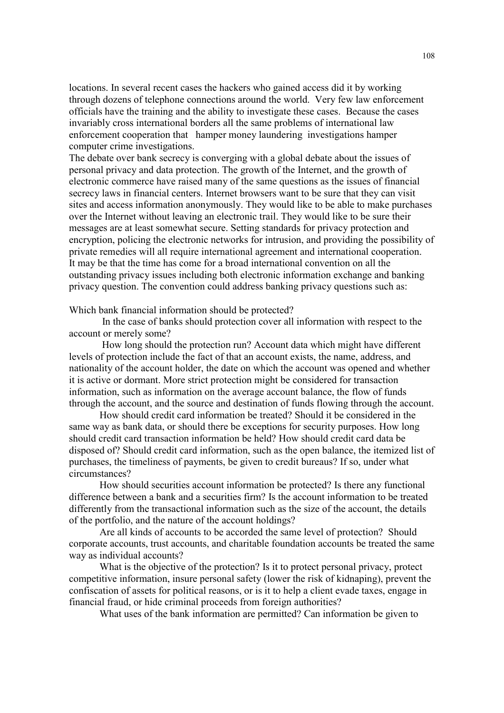locations. In several recent cases the hackers who gained access did it by working through dozens of telephone connections around the world. Very few law enforcement officials have the training and the ability to investigate these cases. Because the cases invariably cross international borders all the same problems of international law enforcement cooperation that hamper money laundering investigations hamper computer crime investigations.

The debate over bank secrecy is converging with a global debate about the issues of personal privacy and data protection. The growth of the Internet, and the growth of electronic commerce have raised many of the same questions as the issues of financial secrecy laws in financial centers. Internet browsers want to be sure that they can visit sites and access information anonymously. They would like to be able to make purchases over the Internet without leaving an electronic trail. They would like to be sure their messages are at least somewhat secure. Setting standards for privacy protection and encryption, policing the electronic networks for intrusion, and providing the possibility of private remedies will all require international agreement and international cooperation. It may be that the time has come for a broad international convention on all the outstanding privacy issues including both electronic information exchange and banking privacy question. The convention could address banking privacy questions such as:

Which bank financial information should be protected?

 In the case of banks should protection cover all information with respect to the account or merely some?

 How long should the protection run? Account data which might have different levels of protection include the fact of that an account exists, the name, address, and nationality of the account holder, the date on which the account was opened and whether it is active or dormant. More strict protection might be considered for transaction information, such as information on the average account balance, the flow of funds through the account, and the source and destination of funds flowing through the account.

How should credit card information be treated? Should it be considered in the same way as bank data, or should there be exceptions for security purposes. How long should credit card transaction information be held? How should credit card data be disposed of? Should credit card information, such as the open balance, the itemized list of purchases, the timeliness of payments, be given to credit bureaus? If so, under what circumstances?

How should securities account information be protected? Is there any functional difference between a bank and a securities firm? Is the account information to be treated differently from the transactional information such as the size of the account, the details of the portfolio, and the nature of the account holdings?

Are all kinds of accounts to be accorded the same level of protection? Should corporate accounts, trust accounts, and charitable foundation accounts be treated the same way as individual accounts?

What is the objective of the protection? Is it to protect personal privacy, protect competitive information, insure personal safety (lower the risk of kidnaping), prevent the confiscation of assets for political reasons, or is it to help a client evade taxes, engage in financial fraud, or hide criminal proceeds from foreign authorities?

What uses of the bank information are permitted? Can information be given to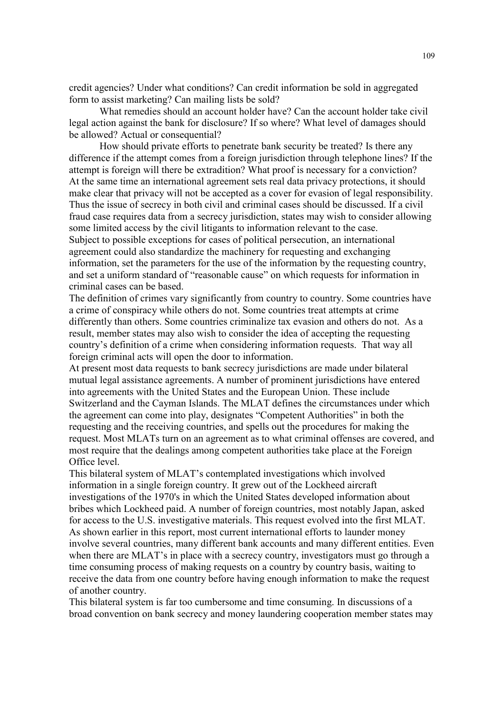credit agencies? Under what conditions? Can credit information be sold in aggregated form to assist marketing? Can mailing lists be sold?

What remedies should an account holder have? Can the account holder take civil legal action against the bank for disclosure? If so where? What level of damages should be allowed? Actual or consequential?

How should private efforts to penetrate bank security be treated? Is there any difference if the attempt comes from a foreign jurisdiction through telephone lines? If the attempt is foreign will there be extradition? What proof is necessary for a conviction? At the same time an international agreement sets real data privacy protections, it should make clear that privacy will not be accepted as a cover for evasion of legal responsibility. Thus the issue of secrecy in both civil and criminal cases should be discussed. If a civil fraud case requires data from a secrecy jurisdiction, states may wish to consider allowing some limited access by the civil litigants to information relevant to the case. Subject to possible exceptions for cases of political persecution, an international agreement could also standardize the machinery for requesting and exchanging information, set the parameters for the use of the information by the requesting country, and set a uniform standard of "reasonable cause" on which requests for information in criminal cases can be based.

The definition of crimes vary significantly from country to country. Some countries have a crime of conspiracy while others do not. Some countries treat attempts at crime differently than others. Some countries criminalize tax evasion and others do not. As a result, member states may also wish to consider the idea of accepting the requesting country's definition of a crime when considering information requests. That way all foreign criminal acts will open the door to information.

At present most data requests to bank secrecy jurisdictions are made under bilateral mutual legal assistance agreements. A number of prominent jurisdictions have entered into agreements with the United States and the European Union. These include Switzerland and the Cayman Islands. The MLAT defines the circumstances under which the agreement can come into play, designates "Competent Authorities" in both the requesting and the receiving countries, and spells out the procedures for making the request. Most MLATs turn on an agreement as to what criminal offenses are covered, and most require that the dealings among competent authorities take place at the Foreign Office level.

This bilateral system of MLAT's contemplated investigations which involved information in a single foreign country. It grew out of the Lockheed aircraft investigations of the 1970's in which the United States developed information about bribes which Lockheed paid. A number of foreign countries, most notably Japan, asked for access to the U.S. investigative materials. This request evolved into the first MLAT. As shown earlier in this report, most current international efforts to launder money involve several countries, many different bank accounts and many different entities. Even when there are MLAT's in place with a secrecy country, investigators must go through a time consuming process of making requests on a country by country basis, waiting to receive the data from one country before having enough information to make the request of another country.

This bilateral system is far too cumbersome and time consuming. In discussions of a broad convention on bank secrecy and money laundering cooperation member states may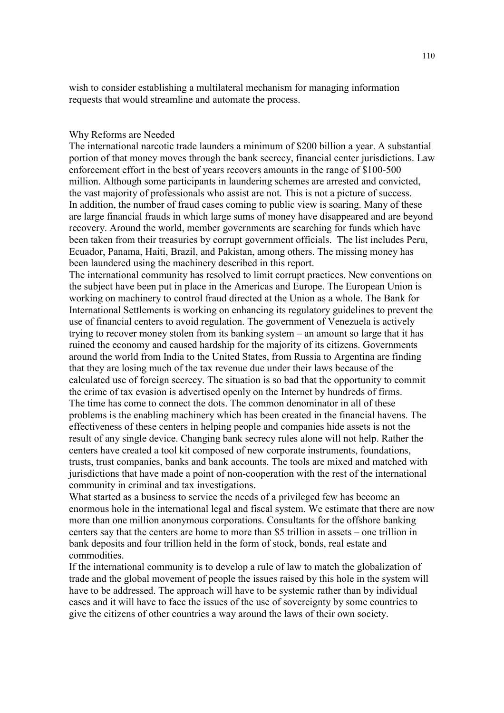wish to consider establishing a multilateral mechanism for managing information requests that would streamline and automate the process.

## Why Reforms are Needed

The international narcotic trade launders a minimum of \$200 billion a year. A substantial portion of that money moves through the bank secrecy, financial center jurisdictions. Law enforcement effort in the best of years recovers amounts in the range of \$100-500 million. Although some participants in laundering schemes are arrested and convicted, the vast majority of professionals who assist are not. This is not a picture of success. In addition, the number of fraud cases coming to public view is soaring. Many of these are large financial frauds in which large sums of money have disappeared and are beyond recovery. Around the world, member governments are searching for funds which have been taken from their treasuries by corrupt government officials. The list includes Peru, Ecuador, Panama, Haiti, Brazil, and Pakistan, among others. The missing money has been laundered using the machinery described in this report.

The international community has resolved to limit corrupt practices. New conventions on the subject have been put in place in the Americas and Europe. The European Union is working on machinery to control fraud directed at the Union as a whole. The Bank for International Settlements is working on enhancing its regulatory guidelines to prevent the use of financial centers to avoid regulation. The government of Venezuela is actively trying to recover money stolen from its banking system – an amount so large that it has ruined the economy and caused hardship for the majority of its citizens. Governments around the world from India to the United States, from Russia to Argentina are finding that they are losing much of the tax revenue due under their laws because of the calculated use of foreign secrecy. The situation is so bad that the opportunity to commit the crime of tax evasion is advertised openly on the Internet by hundreds of firms. The time has come to connect the dots. The common denominator in all of these problems is the enabling machinery which has been created in the financial havens. The effectiveness of these centers in helping people and companies hide assets is not the result of any single device. Changing bank secrecy rules alone will not help. Rather the centers have created a tool kit composed of new corporate instruments, foundations, trusts, trust companies, banks and bank accounts. The tools are mixed and matched with jurisdictions that have made a point of non-cooperation with the rest of the international community in criminal and tax investigations.

What started as a business to service the needs of a privileged few has become an enormous hole in the international legal and fiscal system. We estimate that there are now more than one million anonymous corporations. Consultants for the offshore banking centers say that the centers are home to more than \$5 trillion in assets – one trillion in bank deposits and four trillion held in the form of stock, bonds, real estate and commodities.

If the international community is to develop a rule of law to match the globalization of trade and the global movement of people the issues raised by this hole in the system will have to be addressed. The approach will have to be systemic rather than by individual cases and it will have to face the issues of the use of sovereignty by some countries to give the citizens of other countries a way around the laws of their own society.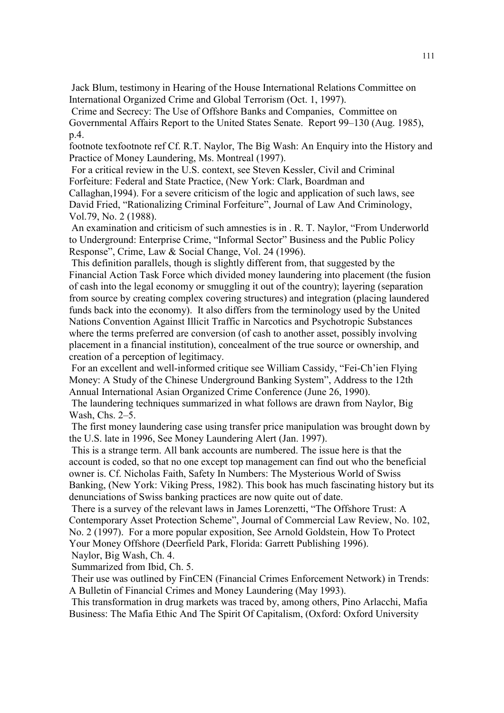Jack Blum, testimony in Hearing of the House International Relations Committee on International Organized Crime and Global Terrorism (Oct. 1, 1997).

 Crime and Secrecy: The Use of Offshore Banks and Companies, Committee on Governmental Affairs Report to the United States Senate. Report 99–130 (Aug. 1985), p.4.

footnote texfootnote ref Cf. R.T. Naylor, The Big Wash: An Enquiry into the History and Practice of Money Laundering, Ms. Montreal (1997).

 For a critical review in the U.S. context, see Steven Kessler, Civil and Criminal Forfeiture: Federal and State Practice, (New York: Clark, Boardman and Callaghan,1994). For a severe criticism of the logic and application of such laws, see David Fried, "Rationalizing Criminal Forfeiture", Journal of Law And Criminology, Vol.79, No. 2 (1988).

 An examination and criticism of such amnesties is in . R. T. Naylor, "From Underworld to Underground: Enterprise Crime, "Informal Sector" Business and the Public Policy Response", Crime, Law & Social Change, Vol. 24 (1996).

 This definition parallels, though is slightly different from, that suggested by the Financial Action Task Force which divided money laundering into placement (the fusion of cash into the legal economy or smuggling it out of the country); layering (separation from source by creating complex covering structures) and integration (placing laundered funds back into the economy). It also differs from the terminology used by the United Nations Convention Against Illicit Traffic in Narcotics and Psychotropic Substances where the terms preferred are conversion (of cash to another asset, possibly involving placement in a financial institution), concealment of the true source or ownership, and creation of a perception of legitimacy.

 For an excellent and well-informed critique see William Cassidy, "Fei-Ch'ien Flying Money: A Study of the Chinese Underground Banking System", Address to the 12th Annual International Asian Organized Crime Conference (June 26, 1990).

 The laundering techniques summarized in what follows are drawn from Naylor, Big Wash, Chs. 2–5.

 The first money laundering case using transfer price manipulation was brought down by the U.S. late in 1996, See Money Laundering Alert (Jan. 1997).

 This is a strange term. All bank accounts are numbered. The issue here is that the account is coded, so that no one except top management can find out who the beneficial owner is. Cf. Nicholas Faith, Safety In Numbers: The Mysterious World of Swiss Banking, (New York: Viking Press, 1982). This book has much fascinating history but its denunciations of Swiss banking practices are now quite out of date.

 There is a survey of the relevant laws in James Lorenzetti, "The Offshore Trust: A Contemporary Asset Protection Scheme", Journal of Commercial Law Review, No. 102, No. 2 (1997). For a more popular exposition, See Arnold Goldstein, How To Protect Your Money Offshore (Deerfield Park, Florida: Garrett Publishing 1996).

Naylor, Big Wash, Ch. 4.

Summarized from Ibid, Ch. 5.

 Their use was outlined by FinCEN (Financial Crimes Enforcement Network) in Trends: A Bulletin of Financial Crimes and Money Laundering (May 1993).

 This transformation in drug markets was traced by, among others, Pino Arlacchi, Mafia Business: The Mafia Ethic And The Spirit Of Capitalism, (Oxford: Oxford University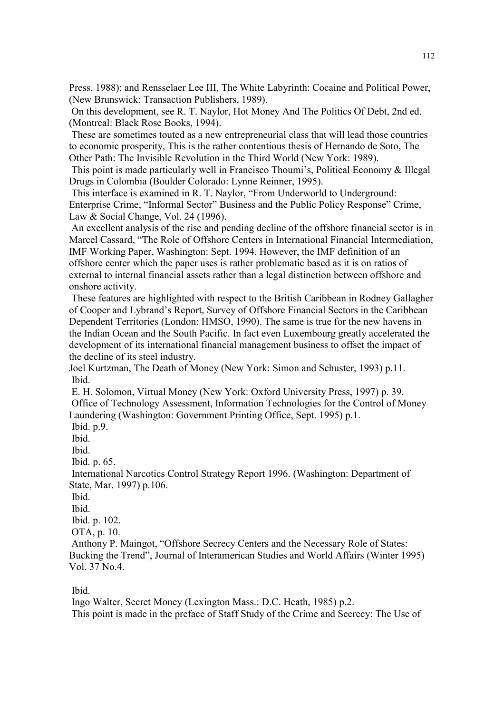Press, 1988); and Rensselaer Lee III, The White Labyrinth: Cocaine and Political Power, (New Brunswick: Transaction Publishers, 1989).

 On this development, see R. T. Naylor, Hot Money And The Politics Of Debt, 2nd ed. (Montreal: Black Rose Books, 1994).

 These are sometimes touted as a new entrepreneurial class that will lead those countries to economic prosperity, This is the rather contentious thesis of Hernando de Soto, The Other Path: The Invisible Revolution in the Third World (New York: 1989).

 This point is made particularly well in Francisco Thoumi's, Political Economy & Illegal Drugs in Colombia (Boulder Colorado: Lynne Reinner, 1995).

 This interface is examined in R. T. Naylor, "From Underworld to Underground: Enterprise Crime, "Informal Sector" Business and the Public Policy Response" Crime, Law & Social Change, Vol. 24 (1996).

 An excellent analysis of the rise and pending decline of the offshore financial sector is in Marcel Cassard, "The Role of Offshore Centers in International Financial Intermediation, IMF Working Paper, Washington: Sept. 1994. However, the IMF definition of an offshore center which the paper uses is rather problematic based as it is on ratios of external to internal financial assets rather than a legal distinction between offshore and onshore activity.

 These features are highlighted with respect to the British Caribbean in Rodney Gallagher of Cooper and Lybrand's Report, Survey of Offshore Financial Sectors in the Caribbean Dependent Territories (London: HMSO, 1990). The same is true for the new havens in the Indian Ocean and the South Pacific. In fact even Luxembourg greatly accelerated the development of its international financial management business to offset the impact of the decline of its steel industry.

Joel Kurtzman, The Death of Money (New York: Simon and Schuster, 1993) p.11. Ibid.

 E. H. Solomon, Virtual Money (New York: Oxford University Press, 1997) p. 39. Office of Technology Assessment, Information Technologies for the Control of Money Laundering (Washington: Government Printing Office, Sept. 1995) p.1. Ibid. p.9.

Ibid.

**Ibid.** 

Ibid. p. 65.

 International Narcotics Control Strategy Report 1996. (Washington: Department of State, Mar. 1997) p.106.

**Ibid.** 

**Ibid.** 

Ibid. p. 102.

OTA, p. 10.

 Anthony P. Maingot, "Offshore Secrecy Centers and the Necessary Role of States: Bucking the Trend", Journal of Interamerican Studies and World Affairs (Winter 1995) Vol. 37 No.4.

Ibid.

 Ingo Walter, Secret Money (Lexington Mass.: D.C. Heath, 1985) p.2. This point is made in the preface of Staff Study of the Crime and Secrecy: The Use of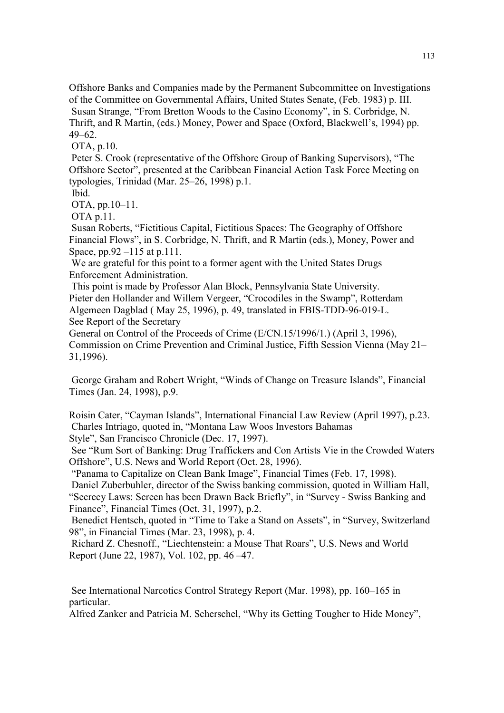Offshore Banks and Companies made by the Permanent Subcommittee on Investigations of the Committee on Governmental Affairs, United States Senate, (Feb. 1983) p. III. Susan Strange, "From Bretton Woods to the Casino Economy", in S. Corbridge, N. Thrift, and R Martin, (eds.) Money, Power and Space (Oxford, Blackwell's, 1994) pp. 49–62.

OTA, p.10.

 Peter S. Crook (representative of the Offshore Group of Banking Supervisors), "The Offshore Sector", presented at the Caribbean Financial Action Task Force Meeting on typologies, Trinidad (Mar. 25–26, 1998) p.1.

Ibid.

OTA, pp.10–11.

OTA p.11.

 Susan Roberts, "Fictitious Capital, Fictitious Spaces: The Geography of Offshore Financial Flows", in S. Corbridge, N. Thrift, and R Martin (eds.), Money, Power and Space, pp.92 –115 at p.111.

 We are grateful for this point to a former agent with the United States Drugs Enforcement Administration.

 This point is made by Professor Alan Block, Pennsylvania State University. Pieter den Hollander and Willem Vergeer, "Crocodiles in the Swamp", Rotterdam Algemeen Dagblad ( May 25, 1996), p. 49, translated in FBIS-TDD-96-019-L. See Report of the Secretary

General on Control of the Proceeds of Crime (E/CN.15/1996/1.) (April 3, 1996), Commission on Crime Prevention and Criminal Justice, Fifth Session Vienna (May 21– 31,1996).

 George Graham and Robert Wright, "Winds of Change on Treasure Islands", Financial Times (Jan. 24, 1998), p.9.

Roisin Cater, "Cayman Islands", International Financial Law Review (April 1997), p.23. Charles Intriago, quoted in, "Montana Law Woos Investors Bahamas Style", San Francisco Chronicle (Dec. 17, 1997).

 See "Rum Sort of Banking: Drug Traffickers and Con Artists Vie in the Crowded Waters Offshore", U.S. News and World Report (Oct. 28, 1996).

"Panama to Capitalize on Clean Bank Image", Financial Times (Feb. 17, 1998).

 Daniel Zuberbuhler, director of the Swiss banking commission, quoted in William Hall, "Secrecy Laws: Screen has been Drawn Back Briefly", in "Survey - Swiss Banking and Finance", Financial Times (Oct. 31, 1997), p.2.

 Benedict Hentsch, quoted in "Time to Take a Stand on Assets", in "Survey, Switzerland 98", in Financial Times (Mar. 23, 1998), p. 4.

 Richard Z. Chesnoff., "Liechtenstein: a Mouse That Roars", U.S. News and World Report (June 22, 1987), Vol. 102, pp. 46 –47.

 See International Narcotics Control Strategy Report (Mar. 1998), pp. 160–165 in particular.

Alfred Zanker and Patricia M. Scherschel, "Why its Getting Tougher to Hide Money",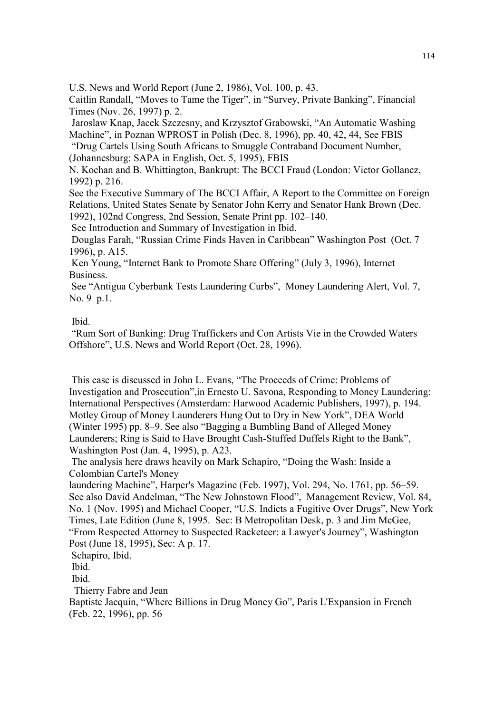U.S. News and World Report (June 2, 1986), Vol. 100, p. 43.

Caitlin Randall, "Moves to Tame the Tiger", in "Survey, Private Banking", Financial Times (Nov. 26, 1997) p. 2.

 Jaroslaw Knap, Jacek Szczesny, and Krzysztof Grabowski, "An Automatic Washing Machine", in Poznan WPROST in Polish (Dec. 8, 1996), pp. 40, 42, 44, See FBIS

"Drug Cartels Using South Africans to Smuggle Contraband Document Number,

(Johannesburg: SAPA in English, Oct. 5, 1995), FBIS

N. Kochan and B. Whittington, Bankrupt: The BCCI Fraud (London: Victor Gollancz, 1992) p. 216.

See the Executive Summary of The BCCI Affair, A Report to the Committee on Foreign Relations, United States Senate by Senator John Kerry and Senator Hank Brown (Dec. 1992), 102nd Congress, 2nd Session, Senate Print pp. 102–140.

See Introduction and Summary of Investigation in Ibid.

 Douglas Farah, "Russian Crime Finds Haven in Caribbean" Washington Post (Oct. 7 1996), p. A15.

 Ken Young, "Internet Bank to Promote Share Offering" (July 3, 1996), Internet Business.

 See "Antigua Cyberbank Tests Laundering Curbs", Money Laundering Alert, Vol. 7, No. 9 p.1.

## Ibid.

 "Rum Sort of Banking: Drug Traffickers and Con Artists Vie in the Crowded Waters Offshore", U.S. News and World Report (Oct. 28, 1996).

 This case is discussed in John L. Evans, "The Proceeds of Crime: Problems of Investigation and Prosecution",in Ernesto U. Savona, Responding to Money Laundering: International Perspectives (Amsterdam: Harwood Academic Publishers, 1997), p. 194. Motley Group of Money Launderers Hung Out to Dry in New York", DEA World (Winter 1995) pp. 8–9. See also "Bagging a Bumbling Band of Alleged Money Launderers; Ring is Said to Have Brought Cash-Stuffed Duffels Right to the Bank", Washington Post (Jan. 4, 1995), p. A23.

 The analysis here draws heavily on Mark Schapiro, "Doing the Wash: Inside a Colombian Cartel's Money

laundering Machine", Harper's Magazine (Feb. 1997), Vol. 294, No. 1761, pp. 56–59. See also David Andelman, "The New Johnstown Flood", Management Review, Vol. 84, No. 1 (Nov. 1995) and Michael Cooper, "U.S. Indicts a Fugitive Over Drugs", New York Times, Late Edition (June 8, 1995. Sec: B Metropolitan Desk, p. 3 and Jim McGee, "From Respected Attorney to Suspected Racketeer: a Lawyer's Journey", Washington Post (June 18, 1995), Sec: A p. 17.

Schapiro, Ibid.

Ibid.

Ibid.

Thierry Fabre and Jean

Baptiste Jacquin, "Where Billions in Drug Money Go", Paris L'Expansion in French (Feb. 22, 1996), pp. 56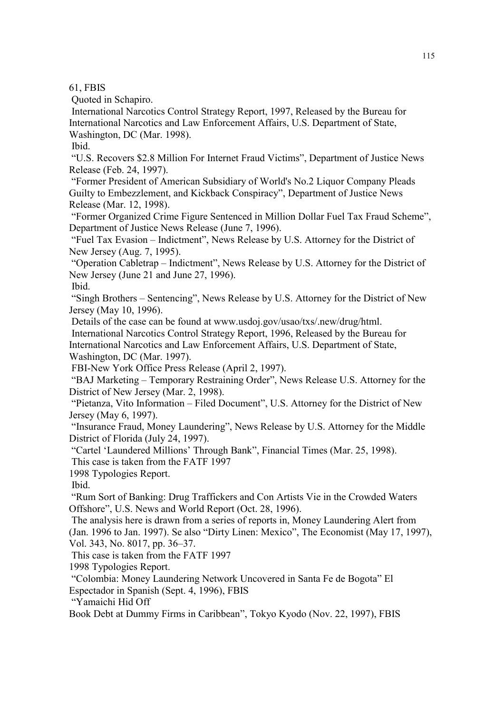61, FBIS

Quoted in Schapiro.

 International Narcotics Control Strategy Report, 1997, Released by the Bureau for International Narcotics and Law Enforcement Affairs, U.S. Department of State, Washington, DC (Mar. 1998).

Ibid.

 "U.S. Recovers \$2.8 Million For Internet Fraud Victims", Department of Justice News Release (Feb. 24, 1997).

 "Former President of American Subsidiary of World's No.2 Liquor Company Pleads Guilty to Embezzlement, and Kickback Conspiracy", Department of Justice News Release (Mar. 12, 1998).

 "Former Organized Crime Figure Sentenced in Million Dollar Fuel Tax Fraud Scheme", Department of Justice News Release (June 7, 1996).

 "Fuel Tax Evasion – Indictment", News Release by U.S. Attorney for the District of New Jersey (Aug. 7, 1995).

 "Operation Cabletrap – Indictment", News Release by U.S. Attorney for the District of New Jersey (June 21 and June 27, 1996).

Ibid.

 "Singh Brothers – Sentencing", News Release by U.S. Attorney for the District of New Jersey (May 10, 1996).

 Details of the case can be found at www.usdoj.gov/usao/txs/.new/drug/html. International Narcotics Control Strategy Report, 1996, Released by the Bureau for International Narcotics and Law Enforcement Affairs, U.S. Department of State, Washington, DC (Mar. 1997).

FBI-New York Office Press Release (April 2, 1997).

 "BAJ Marketing – Temporary Restraining Order", News Release U.S. Attorney for the District of New Jersey (Mar. 2, 1998).

 "Pietanza, Vito Information – Filed Document", U.S. Attorney for the District of New Jersey (May 6, 1997).

 "Insurance Fraud, Money Laundering", News Release by U.S. Attorney for the Middle District of Florida (July 24, 1997).

"Cartel 'Laundered Millions' Through Bank", Financial Times (Mar. 25, 1998).

This case is taken from the FATF 1997

1998 Typologies Report.

Ibid.

 "Rum Sort of Banking: Drug Traffickers and Con Artists Vie in the Crowded Waters Offshore", U.S. News and World Report (Oct. 28, 1996).

 The analysis here is drawn from a series of reports in, Money Laundering Alert from (Jan. 1996 to Jan. 1997). Se also "Dirty Linen: Mexico", The Economist (May 17, 1997), Vol. 343, No. 8017, pp. 36–37.

This case is taken from the FATF 1997

1998 Typologies Report.

 "Colombia: Money Laundering Network Uncovered in Santa Fe de Bogota" El Espectador in Spanish (Sept. 4, 1996), FBIS

"Yamaichi Hid Off

Book Debt at Dummy Firms in Caribbean", Tokyo Kyodo (Nov. 22, 1997), FBIS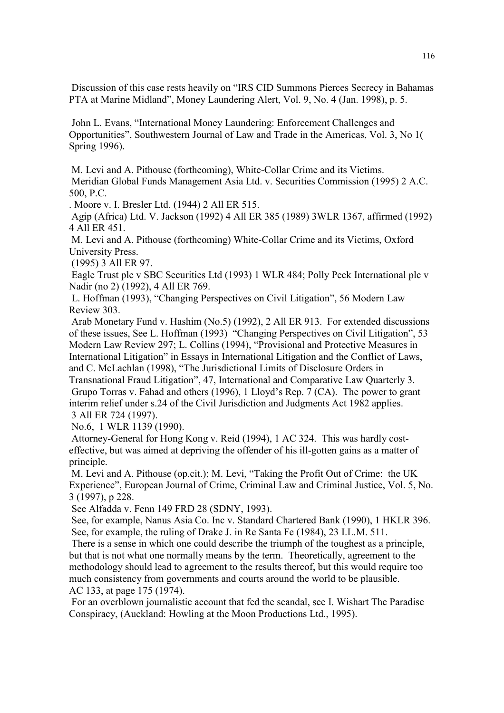Discussion of this case rests heavily on "IRS CID Summons Pierces Secrecy in Bahamas PTA at Marine Midland", Money Laundering Alert, Vol. 9, No. 4 (Jan. 1998), p. 5.

 John L. Evans, "International Money Laundering: Enforcement Challenges and Opportunities", Southwestern Journal of Law and Trade in the Americas, Vol. 3, No 1( Spring 1996).

 M. Levi and A. Pithouse (forthcoming), White-Collar Crime and its Victims. Meridian Global Funds Management Asia Ltd. v. Securities Commission (1995) 2 A.C. 500, P.C.

. Moore v. I. Bresler Ltd. (1944) 2 All ER 515.

 Agip (Africa) Ltd. V. Jackson (1992) 4 All ER 385 (1989) 3WLR 1367, affirmed (1992) 4 All ER 451.

 M. Levi and A. Pithouse (forthcoming) White-Collar Crime and its Victims, Oxford University Press.

(1995) 3 All ER 97.

 Eagle Trust plc v SBC Securities Ltd (1993) 1 WLR 484; Polly Peck International plc v Nadir (no 2) (1992), 4 All ER 769.

 L. Hoffman (1993), "Changing Perspectives on Civil Litigation", 56 Modern Law Review 303.

 Arab Monetary Fund v. Hashim (No.5) (1992), 2 All ER 913. For extended discussions of these issues, See L. Hoffman (1993) "Changing Perspectives on Civil Litigation", 53 Modern Law Review 297; L. Collins (1994), "Provisional and Protective Measures in International Litigation" in Essays in International Litigation and the Conflict of Laws, and C. McLachlan (1998), "The Jurisdictional Limits of Disclosure Orders in Transnational Fraud Litigation", 47, International and Comparative Law Quarterly 3.

 Grupo Torras v. Fahad and others (1996), 1 Lloyd's Rep. 7 (CA). The power to grant interim relief under s.24 of the Civil Jurisdiction and Judgments Act 1982 applies. 3 All ER 724 (1997).

No.6, 1 WLR 1139 (1990).

 Attorney-General for Hong Kong v. Reid (1994), 1 AC 324. This was hardly costeffective, but was aimed at depriving the offender of his ill-gotten gains as a matter of principle.

 M. Levi and A. Pithouse (op.cit.); M. Levi, "Taking the Profit Out of Crime: the UK Experience", European Journal of Crime, Criminal Law and Criminal Justice, Vol. 5, No. 3 (1997), p 228.

See Alfadda v. Fenn 149 FRD 28 (SDNY, 1993).

 See, for example, Nanus Asia Co. Inc v. Standard Chartered Bank (1990), 1 HKLR 396. See, for example, the ruling of Drake J. in Re Santa Fe (1984), 23 I.L.M. 511.

 There is a sense in which one could describe the triumph of the toughest as a principle, but that is not what one normally means by the term. Theoretically, agreement to the methodology should lead to agreement to the results thereof, but this would require too much consistency from governments and courts around the world to be plausible. AC 133, at page 175 (1974).

 For an overblown journalistic account that fed the scandal, see I. Wishart The Paradise Conspiracy, (Auckland: Howling at the Moon Productions Ltd., 1995).